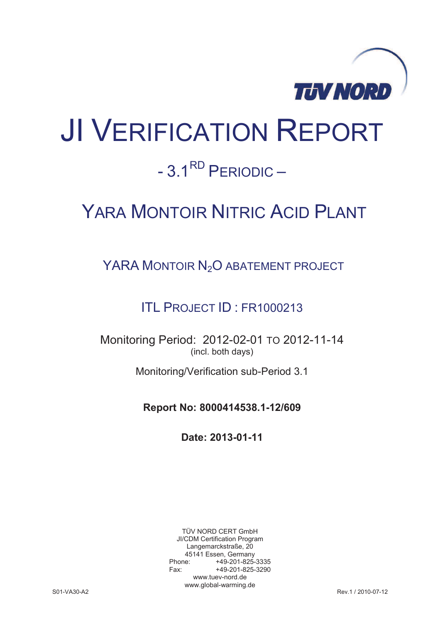

# JI VERIFICATION REPORT

## $-3.1^{RD}$  PFRIODIC –

## YARA MONTOIR NITRIC ACID PLANT

YARA MONTOIR N<sub>2</sub>O ABATEMENT PROJECT

### ITL PROJECT ID : FR1000213

Monitoring Period: 2012-02-01 TO 2012-11-14 (incl. both days)

Monitoring/Verification sub-Period 3.1

**Report No: 8000414538.1-12/609** 

**Date: 2013-01-11** 

TÜV NORD CERT GmbH JI/CDM Certification Program Langemarckstraße, 20 45141 Essen, Germany<br>+49-201-825 +49-201-825-3335 Fax: +49-201-825-3290 www.tuev-nord.de www.global-warming.de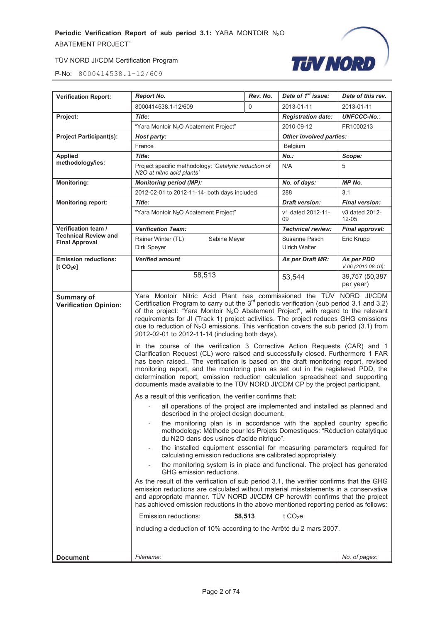

| <b>Verification Report:</b>                           | <b>Report No.</b>                                                                                                                                                                                                                                                                                                                                                                                                                                                                                                                                                                                                                                                                                                                                                                                                                                                                                                                                                                                                                                                                                                                                                                                                                                                                                                                                                                                                                                                                                                                                                                                                                                                                                                                                                                                                                                                                                                                                                                                                                                                                                                                                                              | Rev. No. | Date of 1 <sup>st</sup> issue:        | Date of this rev.                |
|-------------------------------------------------------|--------------------------------------------------------------------------------------------------------------------------------------------------------------------------------------------------------------------------------------------------------------------------------------------------------------------------------------------------------------------------------------------------------------------------------------------------------------------------------------------------------------------------------------------------------------------------------------------------------------------------------------------------------------------------------------------------------------------------------------------------------------------------------------------------------------------------------------------------------------------------------------------------------------------------------------------------------------------------------------------------------------------------------------------------------------------------------------------------------------------------------------------------------------------------------------------------------------------------------------------------------------------------------------------------------------------------------------------------------------------------------------------------------------------------------------------------------------------------------------------------------------------------------------------------------------------------------------------------------------------------------------------------------------------------------------------------------------------------------------------------------------------------------------------------------------------------------------------------------------------------------------------------------------------------------------------------------------------------------------------------------------------------------------------------------------------------------------------------------------------------------------------------------------------------------|----------|---------------------------------------|----------------------------------|
|                                                       | 8000414538.1-12/609                                                                                                                                                                                                                                                                                                                                                                                                                                                                                                                                                                                                                                                                                                                                                                                                                                                                                                                                                                                                                                                                                                                                                                                                                                                                                                                                                                                                                                                                                                                                                                                                                                                                                                                                                                                                                                                                                                                                                                                                                                                                                                                                                            | 0        | 2013-01-11                            | 2013-01-11                       |
| Project:                                              | Title:                                                                                                                                                                                                                                                                                                                                                                                                                                                                                                                                                                                                                                                                                                                                                                                                                                                                                                                                                                                                                                                                                                                                                                                                                                                                                                                                                                                                                                                                                                                                                                                                                                                                                                                                                                                                                                                                                                                                                                                                                                                                                                                                                                         |          | <b>Registration date:</b>             | <b>UNFCCC-No.:</b>               |
|                                                       | "Yara Montoir N <sub>2</sub> O Abatement Project"                                                                                                                                                                                                                                                                                                                                                                                                                                                                                                                                                                                                                                                                                                                                                                                                                                                                                                                                                                                                                                                                                                                                                                                                                                                                                                                                                                                                                                                                                                                                                                                                                                                                                                                                                                                                                                                                                                                                                                                                                                                                                                                              |          | 2010-09-12                            | FR1000213                        |
| <b>Project Participant(s):</b>                        | Host party:                                                                                                                                                                                                                                                                                                                                                                                                                                                                                                                                                                                                                                                                                                                                                                                                                                                                                                                                                                                                                                                                                                                                                                                                                                                                                                                                                                                                                                                                                                                                                                                                                                                                                                                                                                                                                                                                                                                                                                                                                                                                                                                                                                    |          | Other involved parties:               |                                  |
|                                                       | France                                                                                                                                                                                                                                                                                                                                                                                                                                                                                                                                                                                                                                                                                                                                                                                                                                                                                                                                                                                                                                                                                                                                                                                                                                                                                                                                                                                                                                                                                                                                                                                                                                                                                                                                                                                                                                                                                                                                                                                                                                                                                                                                                                         |          | Belgium                               |                                  |
| <b>Applied</b>                                        | Title:                                                                                                                                                                                                                                                                                                                                                                                                                                                                                                                                                                                                                                                                                                                                                                                                                                                                                                                                                                                                                                                                                                                                                                                                                                                                                                                                                                                                                                                                                                                                                                                                                                                                                                                                                                                                                                                                                                                                                                                                                                                                                                                                                                         |          | No.:                                  | Scope:                           |
| methodology/ies:                                      | Project specific methodology: 'Catalytic reduction of<br>N2O at nitric acid plants'                                                                                                                                                                                                                                                                                                                                                                                                                                                                                                                                                                                                                                                                                                                                                                                                                                                                                                                                                                                                                                                                                                                                                                                                                                                                                                                                                                                                                                                                                                                                                                                                                                                                                                                                                                                                                                                                                                                                                                                                                                                                                            |          | N/A                                   | 5                                |
| <b>Monitoring:</b>                                    | <b>Monitoring period (MP):</b>                                                                                                                                                                                                                                                                                                                                                                                                                                                                                                                                                                                                                                                                                                                                                                                                                                                                                                                                                                                                                                                                                                                                                                                                                                                                                                                                                                                                                                                                                                                                                                                                                                                                                                                                                                                                                                                                                                                                                                                                                                                                                                                                                 |          | No. of days:                          | <b>MP No.</b>                    |
|                                                       | 2012-02-01 to 2012-11-14- both days included                                                                                                                                                                                                                                                                                                                                                                                                                                                                                                                                                                                                                                                                                                                                                                                                                                                                                                                                                                                                                                                                                                                                                                                                                                                                                                                                                                                                                                                                                                                                                                                                                                                                                                                                                                                                                                                                                                                                                                                                                                                                                                                                   |          | 288                                   | 3.1                              |
| <b>Monitoring report:</b>                             | Title:                                                                                                                                                                                                                                                                                                                                                                                                                                                                                                                                                                                                                                                                                                                                                                                                                                                                                                                                                                                                                                                                                                                                                                                                                                                                                                                                                                                                                                                                                                                                                                                                                                                                                                                                                                                                                                                                                                                                                                                                                                                                                                                                                                         |          | <b>Draft version:</b>                 | <b>Final version:</b>            |
|                                                       | "Yara Montoir N <sub>2</sub> O Abatement Project"                                                                                                                                                                                                                                                                                                                                                                                                                                                                                                                                                                                                                                                                                                                                                                                                                                                                                                                                                                                                                                                                                                                                                                                                                                                                                                                                                                                                                                                                                                                                                                                                                                                                                                                                                                                                                                                                                                                                                                                                                                                                                                                              |          | v1 dated 2012-11-<br>09               | v3 dated 2012-<br>$12 - 05$      |
| Verification team /<br><b>Technical Review and</b>    | <b>Verification Team:</b>                                                                                                                                                                                                                                                                                                                                                                                                                                                                                                                                                                                                                                                                                                                                                                                                                                                                                                                                                                                                                                                                                                                                                                                                                                                                                                                                                                                                                                                                                                                                                                                                                                                                                                                                                                                                                                                                                                                                                                                                                                                                                                                                                      |          | <b>Technical review:</b>              | Final approval:                  |
| <b>Final Approval</b>                                 | Rainer Winter (TL)<br>Sabine Meyer<br>Dirk Speyer                                                                                                                                                                                                                                                                                                                                                                                                                                                                                                                                                                                                                                                                                                                                                                                                                                                                                                                                                                                                                                                                                                                                                                                                                                                                                                                                                                                                                                                                                                                                                                                                                                                                                                                                                                                                                                                                                                                                                                                                                                                                                                                              |          | Susanne Pasch<br><b>Ulrich Walter</b> | Eric Krupp                       |
| <b>Emission reductions:</b><br>[t CO <sub>2</sub> el] | <b>Verified amount</b>                                                                                                                                                                                                                                                                                                                                                                                                                                                                                                                                                                                                                                                                                                                                                                                                                                                                                                                                                                                                                                                                                                                                                                                                                                                                                                                                                                                                                                                                                                                                                                                                                                                                                                                                                                                                                                                                                                                                                                                                                                                                                                                                                         |          | As per Draft MR:                      | As per PDD<br>V 06 (2010.08.10): |
|                                                       | 58,513                                                                                                                                                                                                                                                                                                                                                                                                                                                                                                                                                                                                                                                                                                                                                                                                                                                                                                                                                                                                                                                                                                                                                                                                                                                                                                                                                                                                                                                                                                                                                                                                                                                                                                                                                                                                                                                                                                                                                                                                                                                                                                                                                                         |          | 53,544                                | 39,757 (50,387<br>per year)      |
| <b>Verification Opinion:</b>                          | Yara Montoir Nitric Acid Plant has commissioned the TÜV NORD JI/CDM<br>Certification Program to carry out the $3rd$ periodic verification (sub period 3.1 and 3.2)<br>of the project: "Yara Montoir N <sub>2</sub> O Abatement Project", with regard to the relevant<br>requirements for JI (Track 1) project activities. The project reduces GHG emissions<br>due to reduction of $N_2O$ emissions. This verification covers the sub period (3.1) from<br>2012-02-01 to 2012-11-14 (including both days).<br>In the course of the verification 3 Corrective Action Requests (CAR) and 1<br>Clarification Request (CL) were raised and successfully closed. Furthermore 1 FAR<br>has been raised The verification is based on the draft monitoring report, revised<br>monitoring report, and the monitoring plan as set out in the registered PDD, the<br>determination report, emission reduction calculation spreadsheet and supporting<br>documents made available to the TÜV NORD JI/CDM CP by the project participant.<br>As a result of this verification, the verifier confirms that:<br>all operations of the project are implemented and installed as planned and<br>described in the project design document.<br>the monitoring plan is in accordance with the applied country specific<br>methodology: Méthode pour les Projets Domestiques: "Réduction catalytique<br>du N2O dans des usines d'acide nitrique".<br>the installed equipment essential for measuring parameters required for<br>calculating emission reductions are calibrated appropriately.<br>the monitoring system is in place and functional. The project has generated<br>GHG emission reductions.<br>As the result of the verification of sub period 3.1, the verifier confirms that the GHG<br>emission reductions are calculated without material misstatements in a conservative<br>and appropriate manner. TÜV NORD JI/CDM CP herewith confirms that the project<br>has achieved emission reductions in the above mentioned reporting period as follows:<br>t CO <sub>2</sub> e<br>Emission reductions:<br>58,513<br>Including a deduction of 10% according to the Arrêté du 2 mars 2007. |          |                                       |                                  |
| <b>Document</b>                                       | Filename:                                                                                                                                                                                                                                                                                                                                                                                                                                                                                                                                                                                                                                                                                                                                                                                                                                                                                                                                                                                                                                                                                                                                                                                                                                                                                                                                                                                                                                                                                                                                                                                                                                                                                                                                                                                                                                                                                                                                                                                                                                                                                                                                                                      |          |                                       | No. of pages:                    |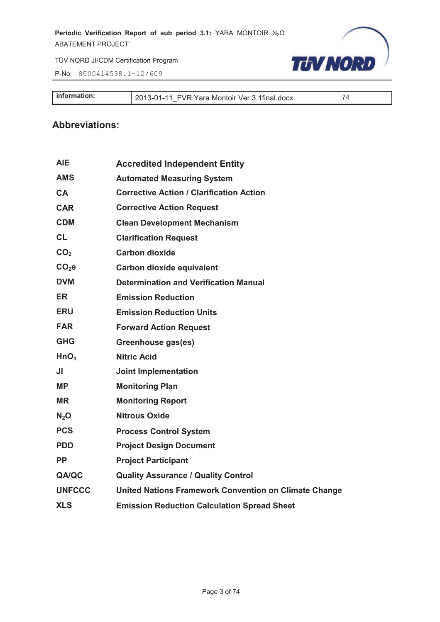P-No: 8000414538.1-12/609



| <b>I</b> information:<br>$2013 - 01 -$<br>FVR Yara Montoir Ver 3.1final.docx<br>$\begin{array}{c} 1 & 1 \\ 1 & 1 \end{array}$ |
|-------------------------------------------------------------------------------------------------------------------------------|
|-------------------------------------------------------------------------------------------------------------------------------|

#### **Abbreviations:**

| <b>AIE</b>       | <b>Accredited Independent Entity</b>                  |
|------------------|-------------------------------------------------------|
| <b>AMS</b>       | <b>Automated Measuring System</b>                     |
| CA               | <b>Corrective Action / Clarification Action</b>       |
| <b>CAR</b>       | <b>Corrective Action Request</b>                      |
| <b>CDM</b>       | <b>Clean Development Mechanism</b>                    |
| <b>CL</b>        | <b>Clarification Request</b>                          |
| CO <sub>2</sub>  | <b>Carbon dioxide</b>                                 |
| $CO2$ e          | Carbon dioxide equivalent                             |
| <b>DVM</b>       | <b>Determination and Verification Manual</b>          |
| <b>ER</b>        | <b>Emission Reduction</b>                             |
| <b>ERU</b>       | <b>Emission Reduction Units</b>                       |
| <b>FAR</b>       | <b>Forward Action Request</b>                         |
| <b>GHG</b>       | Greenhouse gas(es)                                    |
| HnO <sub>3</sub> | <b>Nitric Acid</b>                                    |
| JI               | <b>Joint Implementation</b>                           |
| <b>MP</b>        | <b>Monitoring Plan</b>                                |
| <b>MR</b>        | <b>Monitoring Report</b>                              |
| N <sub>2</sub> O | <b>Nitrous Oxide</b>                                  |
| <b>PCS</b>       | <b>Process Control System</b>                         |
| <b>PDD</b>       | <b>Project Design Document</b>                        |
| <b>PP</b>        | <b>Project Participant</b>                            |
| QA/QC            | <b>Quality Assurance / Quality Control</b>            |
| <b>UNFCCC</b>    | United Nations Framework Convention on Climate Change |
| <b>XLS</b>       | <b>Emission Reduction Calculation Spread Sheet</b>    |
|                  |                                                       |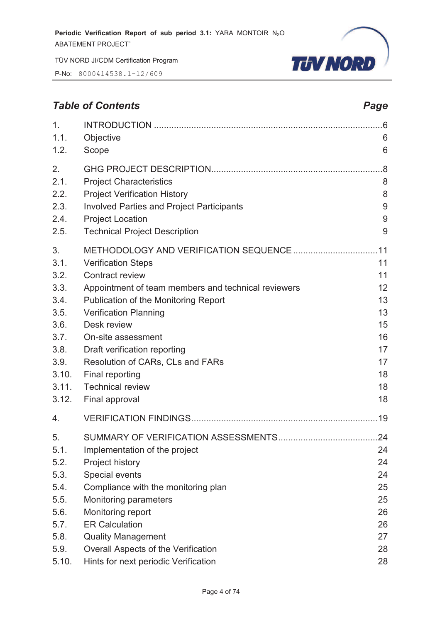P-No: 8000414538.1-12/609



#### **Table of Contents** *Page Page Page Page*

| 1.                                                                 |                                                                                                                                                                                                                             | .6                                           |
|--------------------------------------------------------------------|-----------------------------------------------------------------------------------------------------------------------------------------------------------------------------------------------------------------------------|----------------------------------------------|
| 1.1.                                                               | Objective                                                                                                                                                                                                                   | 6                                            |
| 1.2.                                                               | Scope                                                                                                                                                                                                                       | 6                                            |
| 2.                                                                 |                                                                                                                                                                                                                             | .8                                           |
| 2.1.                                                               | <b>Project Characteristics</b>                                                                                                                                                                                              | 8                                            |
| 2.2.                                                               | <b>Project Verification History</b>                                                                                                                                                                                         | 8                                            |
| 2.3.                                                               | <b>Involved Parties and Project Participants</b>                                                                                                                                                                            | 9                                            |
| 2.4.                                                               | <b>Project Location</b>                                                                                                                                                                                                     | 9                                            |
| 2.5.                                                               | <b>Technical Project Description</b>                                                                                                                                                                                        | 9                                            |
| 3.                                                                 |                                                                                                                                                                                                                             | .11                                          |
| 3.1.                                                               | <b>Verification Steps</b>                                                                                                                                                                                                   | 11                                           |
| 3.2.                                                               | <b>Contract review</b>                                                                                                                                                                                                      | 11                                           |
| 3.3.                                                               | Appointment of team members and technical reviewers                                                                                                                                                                         | 12                                           |
| 3.4.                                                               | Publication of the Monitoring Report                                                                                                                                                                                        | 13                                           |
| 3.5.                                                               | <b>Verification Planning</b>                                                                                                                                                                                                | 13                                           |
| 3.6.                                                               | Desk review                                                                                                                                                                                                                 | 15                                           |
| 3.7.                                                               | On-site assessment                                                                                                                                                                                                          | 16                                           |
| 3.8.                                                               | Draft verification reporting                                                                                                                                                                                                | 17                                           |
| 3.9.                                                               | Resolution of CARs, CLs and FARs                                                                                                                                                                                            | 17                                           |
| 3.10.                                                              | Final reporting                                                                                                                                                                                                             | 18                                           |
| 3.11.                                                              | <b>Technical review</b>                                                                                                                                                                                                     | 18                                           |
| 3.12.                                                              | Final approval                                                                                                                                                                                                              | 18                                           |
| 4.                                                                 |                                                                                                                                                                                                                             |                                              |
| 5.<br>5.1.<br>5.2.<br>5.3.<br>5.4.<br>5.5.<br>5.6.<br>5.7.<br>5.8. | Implementation of the project<br><b>Project history</b><br>Special events<br>Compliance with the monitoring plan<br><b>Monitoring parameters</b><br>Monitoring report<br><b>ER Calculation</b><br><b>Quality Management</b> | 24<br>24<br>24<br>25<br>25<br>26<br>26<br>27 |
| 5.9.                                                               | Overall Aspects of the Verification                                                                                                                                                                                         | 28                                           |
| 5.10.                                                              | Hints for next periodic Verification                                                                                                                                                                                        | 28                                           |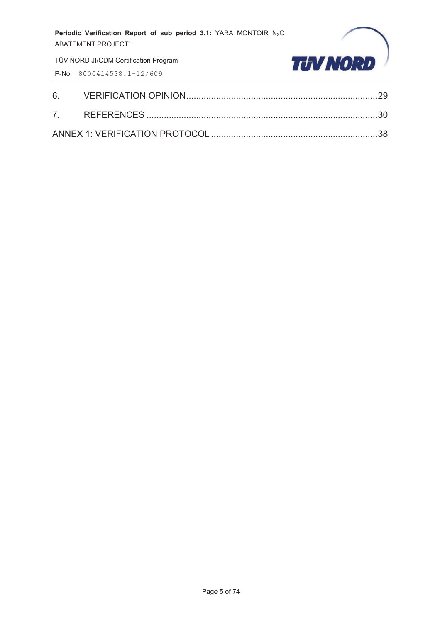TÜV NORD JI/CDM Certification Program

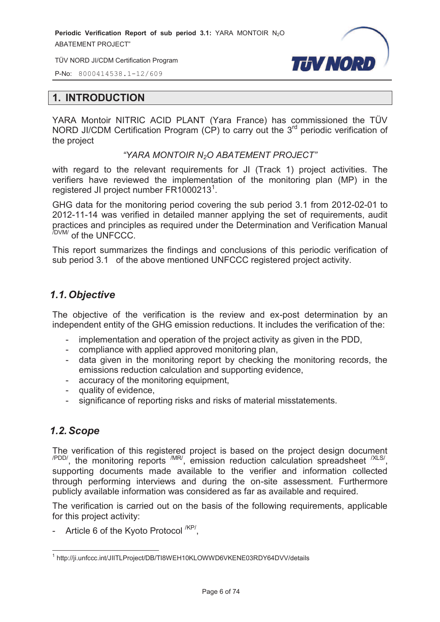TÜV NORD JI/CDM Certification Program



P-No: 8000414538.1-12/609

#### **1. INTRODUCTION**

YARA Montoir NITRIC ACID PLANT (Yara France) has commissioned the TÜV NORD JI/CDM Certification Program (CP) to carry out the  $3<sup>rd</sup>$  periodic verification of the project

#### *"YARA MONTOIR N2O ABATEMENT PROJECT"*

with regard to the relevant requirements for JI (Track 1) project activities. The verifiers have reviewed the implementation of the monitoring plan (MP) in the registered JI project number  $FR1000213^1$ .

GHG data for the monitoring period covering the sub period 3.1 from 2012-02-01 to 2012-11-14 was verified in detailed manner applying the set of requirements, audit practices and principles as required under the Determination and Verification Manual /DVM/ of the UNFCCC.

This report summarizes the findings and conclusions of this periodic verification of sub period 3.1 of the above mentioned UNFCCC registered project activity.

#### *1.1. Objective*

The objective of the verification is the review and ex-post determination by an independent entity of the GHG emission reductions. It includes the verification of the:

- implementation and operation of the project activity as given in the PDD,
- compliance with applied approved monitoring plan,
- data given in the monitoring report by checking the monitoring records, the emissions reduction calculation and supporting evidence,
- accuracy of the monitoring equipment,
- quality of evidence,
- significance of reporting risks and risks of material misstatements.

#### *1.2. Scope*

The verification of this registered project is based on the project design document  $\mu_{\text{PDD}}$ , the monitoring reports  $\mu_{\text{IR}}$ , emission reduction calculation spreadsheet  $\mu_{\text{SND}}$ supporting documents made available to the verifier and information collected through performing interviews and during the on-site assessment. Furthermore publicly available information was considered as far as available and required.

The verification is carried out on the basis of the following requirements, applicable for this project activity:

- Article 6 of the Kyoto Protocol <sup>/KP/</sup>,

 1 http://ji.unfccc.int/JIITLProject/DB/TI8WEH10KLOWWD6VKENE03RDY64DVV/details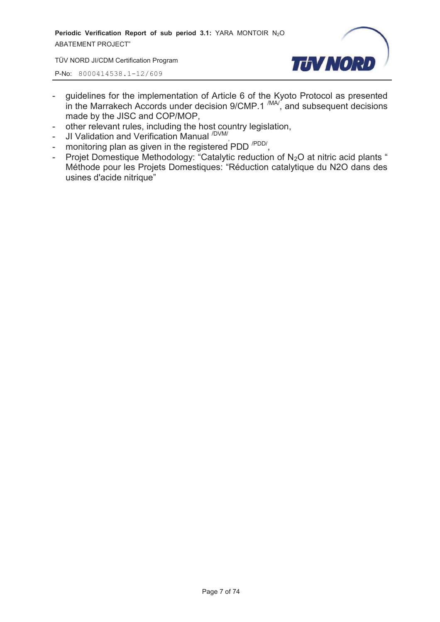TÜV NORD JI/CDM Certification Program



- guidelines for the implementation of Article 6 of the Kyoto Protocol as presented in the Marrakech Accords under decision  $9/CMP.1 \frac{MAV}{M}$ , and subsequent decisions made by the JISC and COP/MOP,
- other relevant rules, including the host country legislation,
- JI Validation and Verification Manual <sup>/DVM/</sup>,
- monitoring plan as given in the registered PDD<sup>/PDD/</sup>,
- Projet Domestique Methodology: "Catalytic reduction of  $N_2O$  at nitric acid plants " Méthode pour les Projets Domestiques: "Réduction catalytique du N2O dans des usines d'acide nitrique"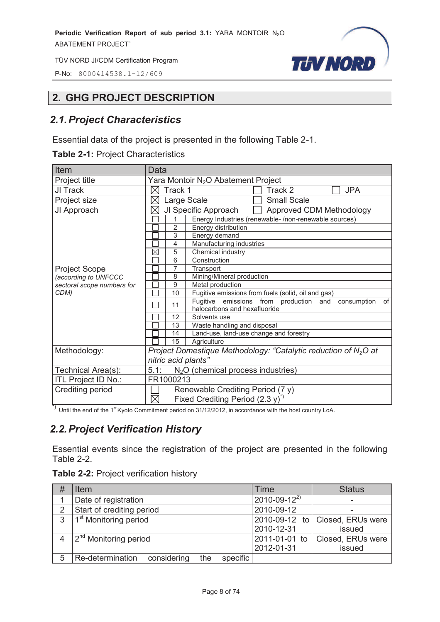P-No: 8000414538.1-12/609



#### **2. GHG PROJECT DESCRIPTION**

#### *2.1. Project Characteristics*

Essential data of the project is presented in the following Table 2-1.

|  |  | <b>Table 2-1: Project Characteristics</b> |
|--|--|-------------------------------------------|
|--|--|-------------------------------------------|

| Item                       | Data                                                                                              |  |  |
|----------------------------|---------------------------------------------------------------------------------------------------|--|--|
| Project title              | Yara Montoir N <sub>2</sub> O Abatement Project                                                   |  |  |
| JI Track                   | <b>JPA</b><br>Track 1<br>Track 2<br>$\times$                                                      |  |  |
| Project size               | <b>Small Scale</b><br>Large Scale                                                                 |  |  |
| JI Approach                | JI Specific Approach<br>Approved CDM Methodology<br>X                                             |  |  |
|                            | Energy Industries (renewable-/non-renewable sources)<br>1                                         |  |  |
|                            | 2<br>Energy distribution                                                                          |  |  |
|                            | 3<br>Energy demand                                                                                |  |  |
|                            | Manufacturing industries<br>$\overline{4}$                                                        |  |  |
|                            | $\boxtimes$<br>Chemical industry<br>5                                                             |  |  |
|                            | 6<br>Construction                                                                                 |  |  |
| <b>Project Scope</b>       | $\overline{7}$<br>Transport                                                                       |  |  |
| (according to UNFCCC       | Mining/Mineral production<br>8                                                                    |  |  |
| sectoral scope numbers for | 9<br>Metal production                                                                             |  |  |
| CDM)                       | Fugitive emissions from fuels (solid, oil and gas)<br>10                                          |  |  |
|                            | Fugitive emissions from production and<br>consumption<br>of<br>11<br>halocarbons and hexafluoride |  |  |
|                            | 12<br>Solvents use                                                                                |  |  |
|                            | Waste handling and disposal<br>13                                                                 |  |  |
|                            | Land-use, land-use change and forestry<br>14                                                      |  |  |
|                            | 15<br>Agriculture                                                                                 |  |  |
| Methodology:               | Project Domestique Methodology: "Catalytic reduction of N <sub>2</sub> O at                       |  |  |
|                            | nitric acid plants"                                                                               |  |  |
| Technical Area(s):         | $N2O$ (chemical process industries)<br>5.1:                                                       |  |  |
| ITL Project ID No.:        | FR1000213                                                                                         |  |  |
| Crediting period           | Renewable Crediting Period (7 y)                                                                  |  |  |
|                            | Fixed Crediting Period $(2.3 y)^{1/2}$<br>$\boxtimes$                                             |  |  |

\*) Until the end of the 1<sup>st</sup> Kyoto Commitment period on 31/12/2012, in accordance with the host country LoA.

#### *2.2. Project Verification History*

Essential events since the registration of the project are presented in the following Table 2-2.

|  | <b>Table 2-2: Project verification history</b> |
|--|------------------------------------------------|
|--|------------------------------------------------|

| #            | <b>Item</b>                                        | Time                 | <b>Status</b>     |
|--------------|----------------------------------------------------|----------------------|-------------------|
|              | Date of registration                               | $2010 - 09 - 12^{2}$ |                   |
| $\mathcal P$ | Start of crediting period                          | 2010-09-12           |                   |
| 3            | 1 <sup>st</sup> Monitoring period                  | 2010-09-12 to        | Closed, ERUs were |
|              |                                                    | 2010-12-31           | issued            |
|              | 2 <sup>nd</sup> Monitoring period                  | 2011-01-01 to        | Closed, ERUs were |
|              |                                                    | 2012-01-31           | issued            |
| 5            | considering<br>Re-determination<br>specific<br>the |                      |                   |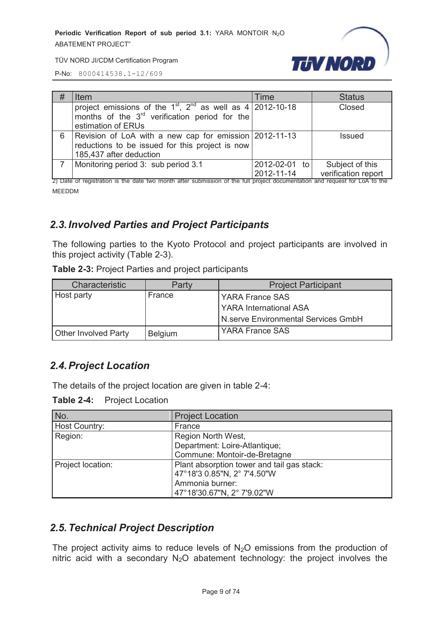

P-No: 8000414538.1-12/609

| # | <b>Item</b>                                                                                                                                               | Time                        | <b>Status</b>                          |
|---|-----------------------------------------------------------------------------------------------------------------------------------------------------------|-----------------------------|----------------------------------------|
|   | project emissions of the $1^{st}$ , $2^{nd}$ as well as 4   2012-10-18<br>months of the 3 <sup>rd</sup> verification period for the<br>estimation of ERUs |                             | Closed                                 |
| 6 | Revision of LoA with a new cap for emission 2012-11-13<br>reductions to be issued for this project is now<br>185,437 after deduction                      |                             | Issued                                 |
|   | Monitoring period 3: sub period 3.1                                                                                                                       | 2012-02-01 to<br>2012-11-14 | Subject of this<br>verification report |

2) Date of registration is the date two month after submission of the full project documentation and request for LoA to the MEEDDM

#### *2.3. Involved Parties and Project Participants*

The following parties to the Kyoto Protocol and project participants are involved in this project activity (Table 2-3).

**Table 2-3:** Project Parties and project participants

| Characteristic              | Partv          | <b>Project Participant</b>          |
|-----------------------------|----------------|-------------------------------------|
| Host party                  | France         | <b>YARA France SAS</b>              |
|                             |                | <b>YARA International ASA</b>       |
|                             |                | N.serve Environmental Services GmbH |
| <b>Other Involved Party</b> | <b>Belgium</b> | <b>YARA France SAS</b>              |

#### *2.4. Project Location*

The details of the project location are given in table 2-4:

**Table 2-4:** Project Location

| No.               | <b>Project Location</b>                    |  |
|-------------------|--------------------------------------------|--|
| Host Country:     | France                                     |  |
| Region:           | Region North West,                         |  |
|                   | Department: Loire-Atlantique;              |  |
|                   | Commune: Montoir-de-Bretagne               |  |
| Project location: | Plant absorption tower and tail gas stack: |  |
|                   | 47°18'3 0.85"N, 2° 7'4.50"W                |  |
|                   | Ammonia burner:                            |  |
|                   | 47°18'30.67"N, 2° 7'9.02"W                 |  |

#### *2.5. Technical Project Description*

The project activity aims to reduce levels of  $N_2O$  emissions from the production of nitric acid with a secondary  $N_2O$  abatement technology: the project involves the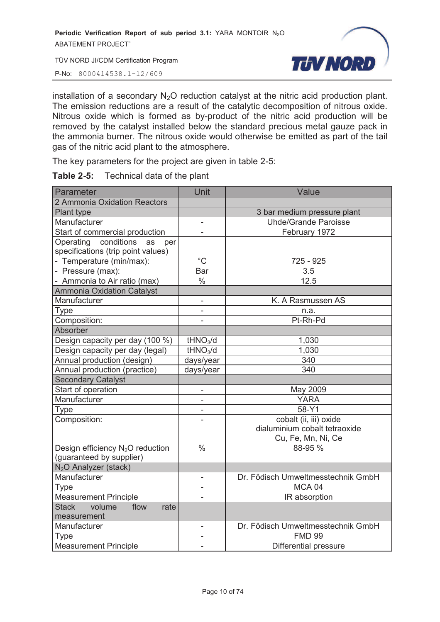P-No: 8000414538.1-12/609

**TUV NORD** 

installation of a secondary  $N_2O$  reduction catalyst at the nitric acid production plant. The emission reductions are a result of the catalytic decomposition of nitrous oxide. Nitrous oxide which is formed as by-product of the nitric acid production will be removed by the catalyst installed below the standard precious metal gauze pack in the ammonia burner. The nitrous oxide would otherwise be emitted as part of the tail gas of the nitric acid plant to the atmosphere.

The key parameters for the project are given in table 2-5:

| Technical data of the plant<br><b>Table 2-5:</b> |  |
|--------------------------------------------------|--|
|--------------------------------------------------|--|

| Parameter                                    | Unit                     | Value                              |
|----------------------------------------------|--------------------------|------------------------------------|
| 2 Ammonia Oxidation Reactors                 |                          |                                    |
| Plant type                                   |                          | 3 bar medium pressure plant        |
| Manufacturer                                 | -                        | <b>Uhde/Grande Paroisse</b>        |
| Start of commercial production               | ÷,                       | February 1972                      |
| Operating conditions<br>as<br>per            |                          |                                    |
| specifications (trip point values)           |                          |                                    |
| - Temperature (min/max):                     | $^{\circ}C$              | 725 - 925                          |
| - Pressure (max):                            | Bar                      | 3.5                                |
| - Ammonia to Air ratio (max)                 | $\frac{0}{0}$            | 12.5                               |
| <b>Ammonia Oxidation Catalyst</b>            |                          |                                    |
| Manufacturer                                 | $\overline{\phantom{0}}$ | K. A Rasmussen AS                  |
| <b>Type</b>                                  | ÷,                       | n.a.                               |
| Composition:                                 | ÷                        | Pt-Rh-Pd                           |
| Absorber                                     |                          |                                    |
| Design capacity per day (100 %)              | tHNO <sub>3</sub> /d     | 1,030                              |
| Design capacity per day (legal)              | tHNO <sub>3</sub> /d     | 1,030                              |
| Annual production (design)                   | days/year                | 340                                |
| Annual production (practice)                 | days/year                | 340                                |
| <b>Secondary Catalyst</b>                    |                          |                                    |
| Start of operation                           |                          | May 2009                           |
| Manufacturer                                 |                          | <b>YARA</b>                        |
| Type                                         |                          | 58-Y1                              |
| Composition:                                 |                          | cobalt (ii, iii) oxide             |
|                                              |                          | dialuminium cobalt tetraoxide      |
|                                              |                          | Cu, Fe, Mn, Ni, Ce                 |
| Design efficiency N <sub>2</sub> O reduction | $\overline{\frac{0}{6}}$ | 88-95 %                            |
| (guaranteed by supplier)                     |                          |                                    |
| N <sub>2</sub> O Analyzer (stack)            |                          |                                    |
| Manufacturer                                 | $\overline{\phantom{0}}$ | Dr. Födisch Umweltmesstechnik GmbH |
| <b>Type</b>                                  | $\overline{\phantom{0}}$ | MCA 04                             |
| <b>Measurement Principle</b>                 |                          | IR absorption                      |
| volume<br><b>Stack</b><br>flow<br>rate       |                          |                                    |
| measurement                                  |                          |                                    |
| Manufacturer                                 | $\overline{\phantom{0}}$ | Dr. Födisch Umweltmesstechnik GmbH |
| Type                                         | ÷,                       | <b>FMD 99</b>                      |
| <b>Measurement Principle</b>                 | $\overline{\phantom{0}}$ | Differential pressure              |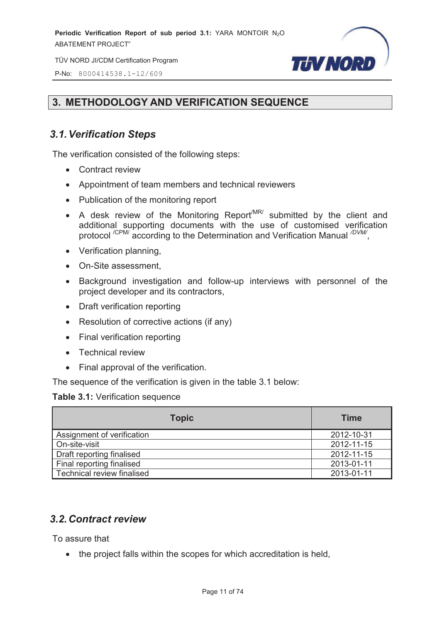TÜV NORD JI/CDM Certification Program

**TUV NORD** 

P-No: 8000414538.1-12/609

#### **3. METHODOLOGY AND VERIFICATION SEQUENCE**

#### *3.1. Verification Steps*

The verification consisted of the following steps:

- Contract review
- · Appointment of team members and technical reviewers
- · Publication of the monitoring report
- A desk review of the Monitoring Report<sup>MR/</sup> submitted by the client and additional supporting documents with the use of customised verification protocol <sup>/CPM/</sup> according to the Determination and Verification Manual <sup>/DVM/</sup>,
- · Verification planning,
- · On-Site assessment,
- · Background investigation and follow-up interviews with personnel of the project developer and its contractors,
- · Draft verification reporting
- Resolution of corrective actions (if any)
- · Final verification reporting
- · Technical review
- · Final approval of the verification.

The sequence of the verification is given in the table 3.1 below:

#### **Table 3.1:** Verification sequence

| <b>Topic</b>               | <b>Time</b> |
|----------------------------|-------------|
| Assignment of verification | 2012-10-31  |
| On-site-visit              | 2012-11-15  |
| Draft reporting finalised  | 2012-11-15  |
| Final reporting finalised  | 2013-01-11  |
| Technical review finalised | 2013-01-11  |

#### *3.2. Contract review*

To assure that

• the project falls within the scopes for which accreditation is held,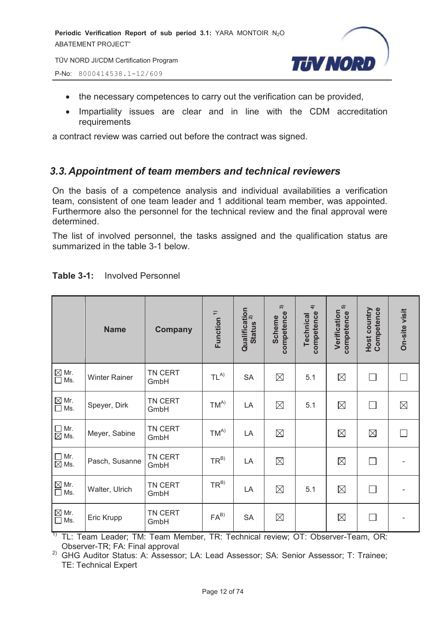

TÜV NORD JI/CDM Certification Program

P-No: 8000414538.1-12/609

- · the necessary competences to carry out the verification can be provided,
- · Impartiality issues are clear and in line with the CDM accreditation requirements

a contract review was carried out before the contract was signed.

#### *3.3. Appointment of team members and technical reviewers*

On the basis of a competence analysis and individual availabilities a verification team, consistent of one team leader and 1 additional team member, was appointed. Furthermore also the personnel for the technical review and the final approval were determined.

The list of involved personnel, the tasks assigned and the qualification status are summarized in the table 3-1 below.

|                                                             | <b>Name</b>          | <b>Company</b>  | Function <sup>1)</sup> | Qualification<br>stating <sup>2)</sup><br><b>Status</b> | $\widehat{\mathfrak{g}}$<br>competence<br><b>Scheme</b> | $\widehat{+}$<br>competence<br>Technical | 5<br>Verification<br>competence | Host country<br>Competence | On-site visit |
|-------------------------------------------------------------|----------------------|-----------------|------------------------|---------------------------------------------------------|---------------------------------------------------------|------------------------------------------|---------------------------------|----------------------------|---------------|
| $\overline{\square}$ Mr.<br>$\overline{\square}$ Ms.<br>Ms. | <b>Winter Rainer</b> | TN CERT<br>GmbH | $TL^{A)}$              | <b>SA</b>                                               | $\boxtimes$                                             | 5.1                                      | $\boxtimes$                     | $\Box$                     | П             |
| $\boxtimes$ Mr.<br>$\Box$ Ms.                               | Speyer, Dirk         | TN CERT<br>GmbH | $TM^{A)}$              | LA                                                      | $\boxtimes$                                             | 5.1                                      | $\boxtimes$                     | $\Box$                     | $\boxtimes$   |
| $\Box$<br>Mr.<br>$\overline{\boxtimes}$ Ms.                 | Meyer, Sabine        | TN CERT<br>GmbH | $TM^{A)}$              | LA                                                      | $\boxtimes$                                             |                                          | $\boxtimes$                     | $\boxtimes$                | П             |
| $\Box$<br>Mr.<br>$\boxtimes$ Ms.                            | Pasch, Susanne       | TN CERT<br>GmbH | $TR^{B)}$              | LA                                                      | $\boxtimes$                                             |                                          | $\boxtimes$                     | $\Box$                     |               |
| $\underline{\boxtimes}$ Mr.<br>$\Box$<br>Ms.                | Walter, Ulrich       | TN CERT<br>GmbH | $TR^{B)}$              | LA                                                      | $\boxtimes$                                             | 5.1                                      | $\boxtimes$                     | $\Box$                     |               |
| $\mathbb{\underline{\boxtimes}}$ Mr.<br>$\Box$<br>Ms.       | Eric Krupp           | TN CERT<br>GmbH | $FA^{B}$               | <b>SA</b>                                               | $\boxtimes$                                             |                                          | $\boxtimes$                     | $\Box$                     |               |

#### **Table 3-1:** Involved Personnel

 $1$ <sup>1)</sup> TL: Team Leader; TM: Team Member, TR: Technical review; OT: Observer-Team, OR: Observer-TR; FA: Final approval

<sup>2)</sup> GHG Auditor Status: A: Assessor; LA: Lead Assessor; SA: Senior Assessor; T: Trainee; TE: Technical Expert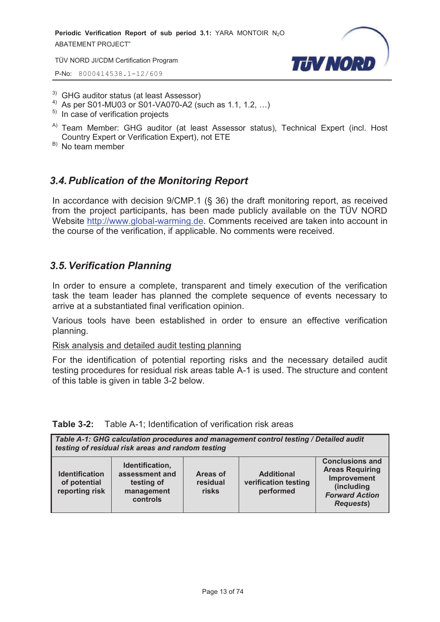TÜV NORD JI/CDM Certification Program

P-No: 8000414538.1-12/609



- <sup>3)</sup> GHG auditor status (at least Assessor)
- <sup>4)</sup> As per S01-MU03 or S01-VA070-A2 (such as 1.1, 1.2, ...)
- $5)$  In case of verification projects
- <sup>A)</sup> Team Member: GHG auditor (at least Assessor status), Technical Expert (incl. Host Country Expert or Verification Expert), not ETE
- $B)$  No team member

#### *3.4. Publication of the Monitoring Report*

In accordance with decision 9/CMP.1 (§ 36) the draft monitoring report, as received from the project participants, has been made publicly available on the TÜV NORD Website http://www.global-warming.de. Comments received are taken into account in the course of the verification, if applicable. No comments were received.

#### *3.5. Verification Planning*

In order to ensure a complete, transparent and timely execution of the verification task the team leader has planned the complete sequence of events necessary to arrive at a substantiated final verification opinion.

Various tools have been established in order to ensure an effective verification planning.

Risk analysis and detailed audit testing planning

For the identification of potential reporting risks and the necessary detailed audit testing procedures for residual risk areas table A-1 is used. The structure and content of this table is given in table 3-2 below.

#### **Table 3-2:** Table A-1; Identification of verification risk areas

| Table A-1: GHG calculation procedures and management control testing / Detailed audit<br>testing of residual risk areas and random testing |                                                                           |                               |                                                        |                                                                                                                            |
|--------------------------------------------------------------------------------------------------------------------------------------------|---------------------------------------------------------------------------|-------------------------------|--------------------------------------------------------|----------------------------------------------------------------------------------------------------------------------------|
| <b>Identification</b><br>of potential<br>reporting risk                                                                                    | Identification,<br>assessment and<br>testing of<br>management<br>controls | Areas of<br>residual<br>risks | <b>Additional</b><br>verification testing<br>performed | <b>Conclusions and</b><br><b>Areas Requiring</b><br>Improvement<br>(including<br><b>Forward Action</b><br><b>Requests)</b> |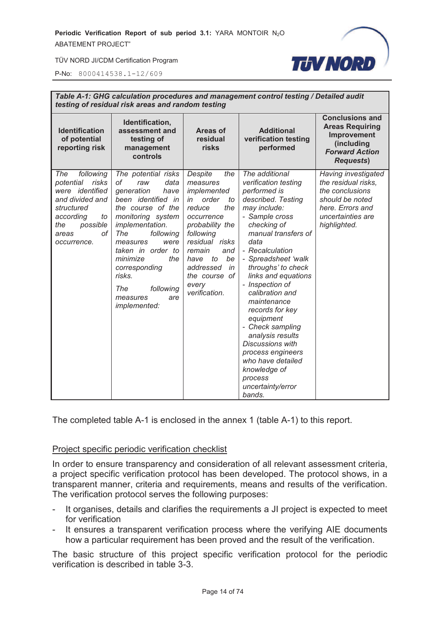

P-No: 8000414538.1-12/609

| Table A-1: GHG calculation procedures and management control testing / Detailed audit<br>testing of residual risk areas and random testing                     |                                                                                                                                                                                                                                                                                                                     |                                                                                                                                                                                                                                                    |                                                                                                                                                                                                                                                                                                                                                                                                                                                                                                                 |                                                                                                                                           |
|----------------------------------------------------------------------------------------------------------------------------------------------------------------|---------------------------------------------------------------------------------------------------------------------------------------------------------------------------------------------------------------------------------------------------------------------------------------------------------------------|----------------------------------------------------------------------------------------------------------------------------------------------------------------------------------------------------------------------------------------------------|-----------------------------------------------------------------------------------------------------------------------------------------------------------------------------------------------------------------------------------------------------------------------------------------------------------------------------------------------------------------------------------------------------------------------------------------------------------------------------------------------------------------|-------------------------------------------------------------------------------------------------------------------------------------------|
| <b>Identification</b><br>of potential<br>reporting risk                                                                                                        | Identification,<br>assessment and<br>testing of<br>management<br>controls                                                                                                                                                                                                                                           | Areas of<br>residual<br>risks                                                                                                                                                                                                                      | <b>Additional</b><br>verification testing<br>performed                                                                                                                                                                                                                                                                                                                                                                                                                                                          | <b>Conclusions and</b><br><b>Areas Requiring</b><br>Improvement<br>(including<br><b>Forward Action</b><br><b>Requests)</b>                |
| following<br>The<br>risks<br>potential<br>were identified<br>and divided and<br>structured<br>according<br>to<br>possible<br>the<br>οf<br>areas<br>occurrence. | The potential risks<br>data<br>оf<br>raw<br>generation<br>have<br>been identified in<br>the course of the<br>monitoring system<br>implementation.<br>The<br>following<br>measures<br>were<br>taken in order to<br>minimize<br>the<br>corresponding<br>risks.<br>The<br>following<br>measures<br>are<br>implemented: | Despite<br>the<br>measures<br>implemented<br>order<br>in<br>to<br>reduce<br>the<br>occurrence<br>probability the<br>following<br>residual risks<br>remain<br>and<br>to<br>be<br>have<br>addressed<br>in<br>the course of<br>every<br>verification. | The additional<br>verification testing<br>performed is<br>described. Testing<br>may include:<br>- Sample cross<br>checking of<br>manual transfers of<br>data<br>- Recalculation<br>- Spreadsheet 'walk<br>throughs' to check<br>links and equations<br>- Inspection of<br>calibration and<br>maintenance<br>records for key<br>equipment<br>- Check sampling<br>analysis results<br><b>Discussions with</b><br>process engineers<br>who have detailed<br>knowledge of<br>process<br>uncertainty/error<br>bands. | Having investigated<br>the residual risks,<br>the conclusions<br>should be noted<br>here. Errors and<br>uncertainties are<br>highlighted. |

The completed table A-1 is enclosed in the annex 1 (table A-1) to this report.

#### Project specific periodic verification checklist

In order to ensure transparency and consideration of all relevant assessment criteria, a project specific verification protocol has been developed. The protocol shows, in a transparent manner, criteria and requirements, means and results of the verification. The verification protocol serves the following purposes:

- It organises, details and clarifies the requirements a JI project is expected to meet for verification
- It ensures a transparent verification process where the verifying AIE documents how a particular requirement has been proved and the result of the verification.

The basic structure of this project specific verification protocol for the periodic verification is described in table 3-3.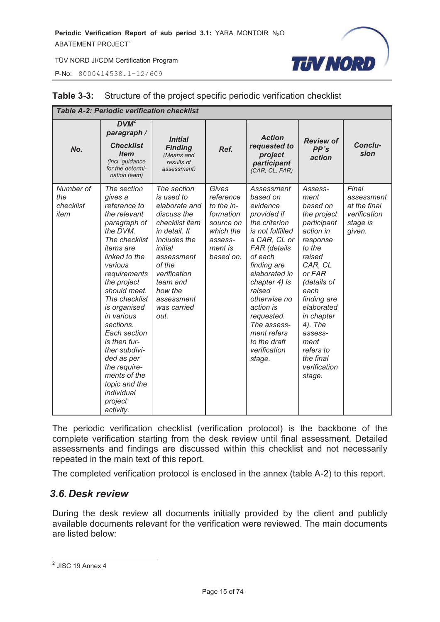P-No: 8000414538.1-12/609



|                                       | <b>Table A-2: Periodic verification checklist</b>                                                                                                                                                                                                                                                                                                                                                                    |                                                                                                                                                                                                                             |                                                                                                            |                                                                                                                                                                                                                                                                                                                 |                                                                                                                                                                                                                                                                                 |                                                                           |
|---------------------------------------|----------------------------------------------------------------------------------------------------------------------------------------------------------------------------------------------------------------------------------------------------------------------------------------------------------------------------------------------------------------------------------------------------------------------|-----------------------------------------------------------------------------------------------------------------------------------------------------------------------------------------------------------------------------|------------------------------------------------------------------------------------------------------------|-----------------------------------------------------------------------------------------------------------------------------------------------------------------------------------------------------------------------------------------------------------------------------------------------------------------|---------------------------------------------------------------------------------------------------------------------------------------------------------------------------------------------------------------------------------------------------------------------------------|---------------------------------------------------------------------------|
| No.                                   | $DVM^2$<br>paragraph /<br><b>Checklist</b><br><b>Item</b><br>(incl. guidance<br>for the determi-<br>nation team)                                                                                                                                                                                                                                                                                                     | <b>Initial</b><br><b>Finding</b><br>(Means and<br>results of<br>assessment)                                                                                                                                                 | Ref.                                                                                                       | <b>Action</b><br>requested to<br>project<br>participant<br>(CAR, CL, FAR)                                                                                                                                                                                                                                       | <b>Review of</b><br>PP's<br>action                                                                                                                                                                                                                                              | Conclu-<br>sion                                                           |
| Number of<br>the<br>checklist<br>item | The section<br>gives a<br>reference to<br>the relevant<br>paragraph of<br>the DVM.<br>The checklist<br><i>items</i> are<br>linked to the<br>various<br>requirements<br>the project<br>should meet.<br>The checklist<br>is organised<br>in various<br>sections.<br>Each section<br>is then fur-<br>ther subdivi-<br>ded as per<br>the require-<br>ments of the<br>topic and the<br>individual<br>project<br>activity. | The section<br>is used to<br>elaborate and<br>discuss the<br>checklist item<br>in detail. It<br>includes the<br>initial<br>assessment<br>of the<br>verification<br>team and<br>how the<br>assessment<br>was carried<br>out. | Gives<br>reference<br>to the in-<br>formation<br>source on<br>which the<br>assess-<br>ment is<br>based on. | Assessment<br>based on<br>evidence<br>provided if<br>the criterion<br>is not fulfilled<br>a CAR, CL or<br>FAR (details<br>of each<br>finding are<br>elaborated in<br>chapter 4) is<br>raised<br>otherwise no<br>action is<br>requested.<br>The assess-<br>ment refers<br>to the draft<br>verification<br>stage. | Assess-<br>ment<br>based on<br>the project<br>participant<br>action in<br>response<br>to the<br>raised<br>CAR, CL<br>or FAR<br>(details of<br>each<br>finding are<br>elaborated<br>in chapter<br>4). The<br>assess-<br>ment<br>refers to<br>the final<br>verification<br>stage. | Final<br>assessment<br>at the final<br>verification<br>stage is<br>given. |

#### **Table 3-3:** Structure of the project specific periodic verification checklist

The periodic verification checklist (verification protocol) is the backbone of the complete verification starting from the desk review until final assessment. Detailed assessments and findings are discussed within this checklist and not necessarily repeated in the main text of this report.

The completed verification protocol is enclosed in the annex (table A-2) to this report.

#### *3.6. Desk review*

During the desk review all documents initially provided by the client and publicly available documents relevant for the verification were reviewed. The main documents are listed below:

 2 JISC 19 Annex 4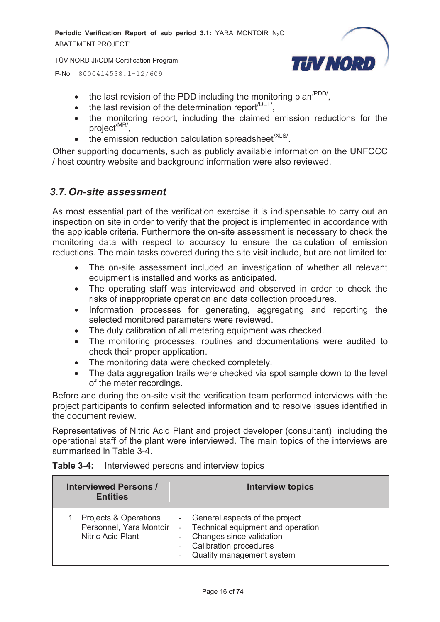P-No: 8000414538.1-12/609



- $\bullet$  the last revision of the PDD including the monitoring plan<sup>/PDD/</sup>,
- $\bullet$  the last revision of the determination report<sup>/DET/</sup>,
- · the monitoring report, including the claimed emission reductions for the project<sup>/MR/</sup>,
- $\bullet$  the emission reduction calculation spreadsheet<sup>(XLS/</sup>.

Other supporting documents, such as publicly available information on the UNFCCC / host country website and background information were also reviewed.

#### *3.7. On-site assessment*

As most essential part of the verification exercise it is indispensable to carry out an inspection on site in order to verify that the project is implemented in accordance with the applicable criteria. Furthermore the on-site assessment is necessary to check the monitoring data with respect to accuracy to ensure the calculation of emission reductions. The main tasks covered during the site visit include, but are not limited to:

- The on-site assessment included an investigation of whether all relevant equipment is installed and works as anticipated.
- · The operating staff was interviewed and observed in order to check the risks of inappropriate operation and data collection procedures.
- · Information processes for generating, aggregating and reporting the selected monitored parameters were reviewed.
- · The duly calibration of all metering equipment was checked.
- · The monitoring processes, routines and documentations were audited to check their proper application.
- The monitoring data were checked completely.
- The data aggregation trails were checked via spot sample down to the level of the meter recordings.

Before and during the on-site visit the verification team performed interviews with the project participants to confirm selected information and to resolve issues identified in the document review.

Representatives of Nitric Acid Plant and project developer (consultant) including the operational staff of the plant were interviewed. The main topics of the interviews are summarised in Table 3-4.

| <b>Interviewed Persons /</b><br><b>Entities</b>                                 | <b>Interview topics</b>                                                                                                                                         |
|---------------------------------------------------------------------------------|-----------------------------------------------------------------------------------------------------------------------------------------------------------------|
| 1. Projects & Operations<br>Personnel, Yara Montoir<br><b>Nitric Acid Plant</b> | - General aspects of the project<br>Technical equipment and operation<br>Changes since validation<br><b>Calibration procedures</b><br>Quality management system |

#### **Table 3-4:** Interviewed persons and interview topics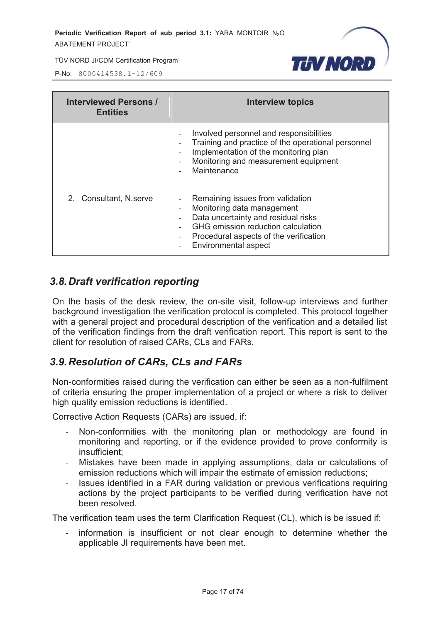

P-No: 8000414538.1-12/609

| <b>Interviewed Persons /</b><br><b>Entities</b> | Interview topics                                                                                                                                                                                              |
|-------------------------------------------------|---------------------------------------------------------------------------------------------------------------------------------------------------------------------------------------------------------------|
|                                                 | Involved personnel and responsibilities<br>Training and practice of the operational personnel<br>Implementation of the monitoring plan<br>Monitoring and measurement equipment<br>Maintenance                 |
| 2. Consultant, N.serve                          | Remaining issues from validation<br>Monitoring data management<br>Data uncertainty and residual risks<br>GHG emission reduction calculation<br>Procedural aspects of the verification<br>Environmental aspect |

#### *3.8. Draft verification reporting*

On the basis of the desk review, the on-site visit, follow-up interviews and further background investigation the verification protocol is completed. This protocol together with a general project and procedural description of the verification and a detailed list of the verification findings from the draft verification report. This report is sent to the client for resolution of raised CARs, CLs and FARs.

#### *3.9. Resolution of CARs, CLs and FARs*

Non-conformities raised during the verification can either be seen as a non-fulfilment of criteria ensuring the proper implementation of a project or where a risk to deliver high quality emission reductions is identified.

Corrective Action Requests (CARs) are issued, if:

- Non-conformities with the monitoring plan or methodology are found in monitoring and reporting, or if the evidence provided to prove conformity is insufficient;
- Mistakes have been made in applying assumptions, data or calculations of emission reductions which will impair the estimate of emission reductions;
- Issues identified in a FAR during validation or previous verifications requiring actions by the project participants to be verified during verification have not been resolved.

The verification team uses the term Clarification Request (CL), which is be issued if:

information is insufficient or not clear enough to determine whether the applicable JI requirements have been met.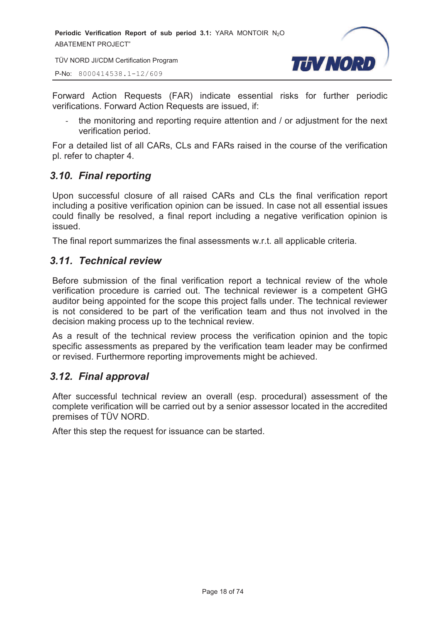TÜV NORD JI/CDM Certification Program

P-No: 8000414538.1-12/609



Forward Action Requests (FAR) indicate essential risks for further periodic verifications. Forward Action Requests are issued, if:

- the monitoring and reporting require attention and / or adjustment for the next verification period.

For a detailed list of all CARs, CLs and FARs raised in the course of the verification pl. refer to chapter 4.

#### *3.10. Final reporting*

Upon successful closure of all raised CARs and CLs the final verification report including a positive verification opinion can be issued. In case not all essential issues could finally be resolved, a final report including a negative verification opinion is issued.

The final report summarizes the final assessments w.r.t. all applicable criteria.

#### *3.11. Technical review*

Before submission of the final verification report a technical review of the whole verification procedure is carried out. The technical reviewer is a competent GHG auditor being appointed for the scope this project falls under. The technical reviewer is not considered to be part of the verification team and thus not involved in the decision making process up to the technical review.

As a result of the technical review process the verification opinion and the topic specific assessments as prepared by the verification team leader may be confirmed or revised. Furthermore reporting improvements might be achieved.

#### *3.12. Final approval*

After successful technical review an overall (esp. procedural) assessment of the complete verification will be carried out by a senior assessor located in the accredited premises of TÜV NORD.

After this step the request for issuance can be started.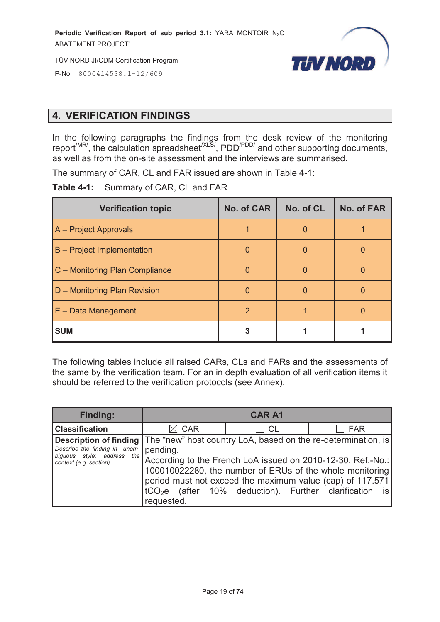

P-No: 8000414538.1-12/609

#### **4. VERIFICATION FINDINGS**

In the following paragraphs the findings from the desk review of the monitoring report<sup>/MR/</sup>, the calculation spreadsheet<sup>/XLS/</sup>, PDD<sup>/PDD/</sup> and other supporting documents, as well as from the on-site assessment and the interviews are summarised.

The summary of CAR, CL and FAR issued are shown in Table 4-1:

**Table 4-1:** Summary of CAR, CL and FAR

| <b>Verification topic</b>      | <b>No. of CAR</b> | No. of CL | <b>No. of FAR</b> |
|--------------------------------|-------------------|-----------|-------------------|
| A - Project Approvals          |                   |           |                   |
| B - Project Implementation     |                   |           |                   |
| C - Monitoring Plan Compliance |                   |           |                   |
| D - Monitoring Plan Revision   |                   |           |                   |
| $E$ – Data Management          | $\mathcal{P}$     |           |                   |
| <b>SUM</b>                     |                   |           |                   |

The following tables include all raised CARs, CLs and FARs and the assessments of the same by the verification team. For an in depth evaluation of all verification items it should be referred to the verification protocols (see Annex).

| Finding:                                                                                                                                                                             |            | <b>CAR A1</b> |                                                                                                                                                                                      |
|--------------------------------------------------------------------------------------------------------------------------------------------------------------------------------------|------------|---------------|--------------------------------------------------------------------------------------------------------------------------------------------------------------------------------------|
| <b>Classification</b>                                                                                                                                                                | <b>CAR</b> | <b>CL</b>     | <b>FAR</b>                                                                                                                                                                           |
| <b>Description of finding</b> The "new" host country LoA, based on the re-determination, is<br>Describe the finding in unam-<br>biguous style; address the<br>context (e.g. section) | pending.   |               | According to the French LoA issued on 2010-12-30, Ref.-No.:<br>100010022280, the number of ERUs of the whole monitoring<br>period must not exceed the maximum value (cap) of 117.571 |
|                                                                                                                                                                                      | requested. |               | $tCO2e$ (after 10% deduction). Further clarification is                                                                                                                              |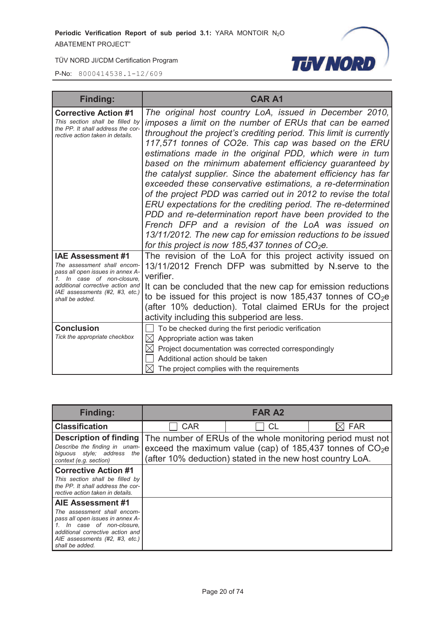

| <b>Finding:</b>                                                                                                                                                                                                    | <b>CAR A1</b>                                                                                                                                                                                                                                                                                                                                                                                                                                                                                                                                                                                                                                                                                                                                                                                                                                                                        |
|--------------------------------------------------------------------------------------------------------------------------------------------------------------------------------------------------------------------|--------------------------------------------------------------------------------------------------------------------------------------------------------------------------------------------------------------------------------------------------------------------------------------------------------------------------------------------------------------------------------------------------------------------------------------------------------------------------------------------------------------------------------------------------------------------------------------------------------------------------------------------------------------------------------------------------------------------------------------------------------------------------------------------------------------------------------------------------------------------------------------|
| <b>Corrective Action #1</b><br>This section shall be filled by<br>the PP. It shall address the cor-<br>rective action taken in details.                                                                            | The original host country LoA, issued in December 2010,<br>imposes a limit on the number of ERUs that can be earned<br>throughout the project's crediting period. This limit is currently<br>117,571 tonnes of CO2e. This cap was based on the ERU<br>estimations made in the original PDD, which were in turn<br>based on the minimum abatement efficiency guaranteed by<br>the catalyst supplier. Since the abatement efficiency has far<br>exceeded these conservative estimations, a re-determination<br>of the project PDD was carried out in 2012 to revise the total<br>ERU expectations for the crediting period. The re-determined<br>PDD and re-determination report have been provided to the<br>French DFP and a revision of the LoA was issued on<br>13/11/2012. The new cap for emission reductions to be issued<br>for this project is now 185,437 tonnes of $CO2e$ . |
| <b>IAE Assessment #1</b><br>The assessment shall encom-<br>pass all open issues in annex A-<br>1. In case of non-closure,<br>additional corrective action and<br>IAE assessments (#2, #3, etc.)<br>shall be added. | The revision of the LoA for this project activity issued on<br>13/11/2012 French DFP was submitted by N.serve to the<br>verifier.<br>It can be concluded that the new cap for emission reductions<br>to be issued for this project is now 185,437 tonnes of $CO2e$<br>(after 10% deduction). Total claimed ERUs for the project<br>activity including this subperiod are less.                                                                                                                                                                                                                                                                                                                                                                                                                                                                                                       |
| <b>Conclusion</b><br>Tick the appropriate checkbox                                                                                                                                                                 | To be checked during the first periodic verification<br>$\bowtie$<br>Appropriate action was taken<br>Project documentation was corrected correspondingly<br>$\boxtimes$<br>Additional action should be taken<br>The project complies with the requirements                                                                                                                                                                                                                                                                                                                                                                                                                                                                                                                                                                                                                           |

| <b>Finding:</b>                                                                                                                                                                                          | <b>FAR A2</b> |                                                           |                                                                                                                          |
|----------------------------------------------------------------------------------------------------------------------------------------------------------------------------------------------------------|---------------|-----------------------------------------------------------|--------------------------------------------------------------------------------------------------------------------------|
| <b>Classification</b>                                                                                                                                                                                    | <b>CAR</b>    | <b>CL</b>                                                 | <b>FAR</b>                                                                                                               |
| Description of finding<br>Describe the finding in unam-<br>biguous style; address the<br>context (e.g. section)                                                                                          |               | (after 10% deduction) stated in the new host country LoA. | The number of ERUs of the whole monitoring period must not<br>exceed the maximum value (cap) of 185,437 tonnes of $CO2e$ |
| <b>Corrective Action #1</b><br>This section shall be filled by<br>the PP. It shall address the cor-<br>rective action taken in details.                                                                  |               |                                                           |                                                                                                                          |
| AIE Assessment #1<br>The assessment shall encom-<br>pass all open issues in annex A-<br>In case of non-closure,<br>additional corrective action and<br>AIE assessments (#2, #3, etc.)<br>shall be added. |               |                                                           |                                                                                                                          |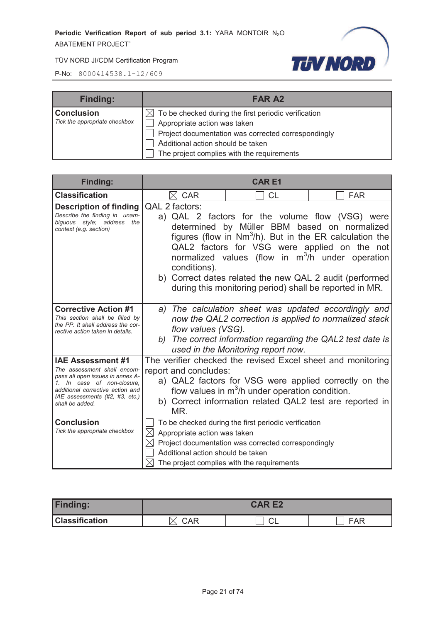

| <b>Finding:</b>               | <b>FAR A2</b>                                                    |
|-------------------------------|------------------------------------------------------------------|
| <b>Conclusion</b>             | $\boxtimes$ To be checked during the first periodic verification |
| Tick the appropriate checkbox | Appropriate action was taken                                     |
|                               | Project documentation was corrected correspondingly              |
|                               | Additional action should be taken                                |
|                               | The project complies with the requirements                       |

| <b>Finding:</b>                                                                                                                                                                                                    | <b>CARE1</b>                                                                                                                                                                                                                                                          |                                                                                                                                                                                                                       |                                                                                                                                                                              |
|--------------------------------------------------------------------------------------------------------------------------------------------------------------------------------------------------------------------|-----------------------------------------------------------------------------------------------------------------------------------------------------------------------------------------------------------------------------------------------------------------------|-----------------------------------------------------------------------------------------------------------------------------------------------------------------------------------------------------------------------|------------------------------------------------------------------------------------------------------------------------------------------------------------------------------|
| <b>Classification</b>                                                                                                                                                                                              | $\boxtimes$ CAR                                                                                                                                                                                                                                                       | <b>CL</b>                                                                                                                                                                                                             | <b>FAR</b>                                                                                                                                                                   |
| <b>Description of finding</b><br>Describe the finding in unam-<br>biguous style; address the<br>context (e.g. section)                                                                                             | QAL 2 factors:<br>conditions).                                                                                                                                                                                                                                        | a) QAL 2 factors for the volume flow (VSG) were<br>determined by Müller BBM based on normalized<br>b) Correct dates related the new QAL 2 audit (performed<br>during this monitoring period) shall be reported in MR. | figures (flow in $Nm^3/h$ ). But in the ER calculation the<br>QAL2 factors for VSG were applied on the not<br>normalized values (flow in m <sup>3</sup> /h under operation   |
| <b>Corrective Action #1</b><br>This section shall be filled by<br>the PP. It shall address the cor-<br>rective action taken in details.                                                                            | flow values (VSG).                                                                                                                                                                                                                                                    | used in the Monitoring report now.                                                                                                                                                                                    | a) The calculation sheet was updated accordingly and<br>now the QAL2 correction is applied to normalized stack<br>b) The correct information regarding the QAL2 test date is |
| <b>IAE Assessment #1</b><br>The assessment shall encom-<br>pass all open issues in annex A-<br>1. In case of non-closure.<br>additional corrective action and<br>IAE assessments (#2, #3, etc.)<br>shall be added. | The verifier checked the revised Excel sheet and monitoring<br>report and concludes:<br>a) QAL2 factors for VSG were applied correctly on the<br>flow values in $m^3/h$ under operation condition.<br>b) Correct information related QAL2 test are reported in<br>MR. |                                                                                                                                                                                                                       |                                                                                                                                                                              |
| <b>Conclusion</b><br>Tick the appropriate checkbox                                                                                                                                                                 | $\bowtie$<br>Appropriate action was taken<br>Additional action should be taken                                                                                                                                                                                        | To be checked during the first periodic verification<br>Project documentation was corrected correspondingly<br>The project complies with the requirements                                                             |                                                                                                                                                                              |

| <b>Finding:</b>       | <b>CARE2</b> |  |     |
|-----------------------|--------------|--|-----|
| <b>Classification</b> | CAR          |  | FAR |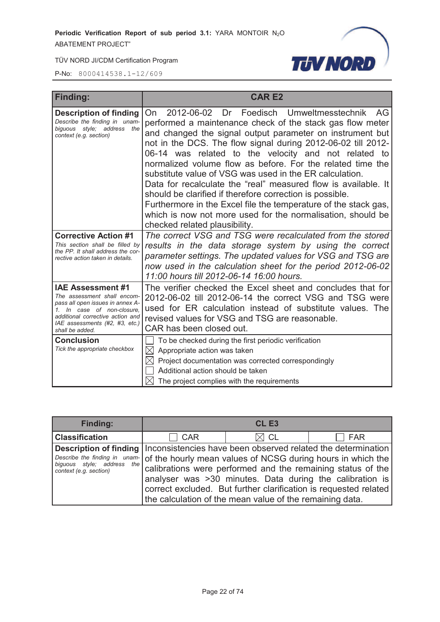

| <b>Finding:</b>                                                                                                                                                                                                                         | <b>CARE2</b>                                                                                                                                                                                                                                                                                                                                                                                                                                                                                                                                                                                                                                                                                                                  |  |  |
|-----------------------------------------------------------------------------------------------------------------------------------------------------------------------------------------------------------------------------------------|-------------------------------------------------------------------------------------------------------------------------------------------------------------------------------------------------------------------------------------------------------------------------------------------------------------------------------------------------------------------------------------------------------------------------------------------------------------------------------------------------------------------------------------------------------------------------------------------------------------------------------------------------------------------------------------------------------------------------------|--|--|
| <b>Description of finding</b><br>Describe the finding in unam-<br>biquous style: address the<br>context (e.g. section)                                                                                                                  | Foedisch Umweltmesstechnik AG<br>On 2012-06-02 Dr<br>performed a maintenance check of the stack gas flow meter<br>and changed the signal output parameter on instrument but<br>not in the DCS. The flow signal during 2012-06-02 till 2012-<br>06-14 was related to the velocity and not related to<br>normalized volume flow as before. For the related time the<br>substitute value of VSG was used in the ER calculation.<br>Data for recalculate the "real" measured flow is available. It<br>should be clarified if therefore correction is possible.<br>Furthermore in the Excel file the temperature of the stack gas,<br>which is now not more used for the normalisation, should be<br>checked related plausibility. |  |  |
| <b>Corrective Action #1</b><br>This section shall be filled by<br>the PP. It shall address the cor-<br>rective action taken in details.                                                                                                 | The correct VSG and TSG were recalculated from the stored<br>results in the data storage system by using the correct<br>parameter settings. The updated values for VSG and TSG are<br>now used in the calculation sheet for the period 2012-06-02<br>11:00 hours till 2012-06-14 16:00 hours.                                                                                                                                                                                                                                                                                                                                                                                                                                 |  |  |
| <b>IAE Assessment #1</b><br>The assessment shall encom-<br>pass all open issues in annex A-<br>1. In case of non-closure.<br>additional corrective action and<br>IAE assessments (#2, #3, etc.)<br>shall be added.<br><b>Conclusion</b> | The verifier checked the Excel sheet and concludes that for<br>2012-06-02 till 2012-06-14 the correct VSG and TSG were<br>used for ER calculation instead of substitute values. The<br>revised values for VSG and TSG are reasonable.<br>CAR has been closed out.<br>To be checked during the first periodic verification                                                                                                                                                                                                                                                                                                                                                                                                     |  |  |
| Tick the appropriate checkbox                                                                                                                                                                                                           | $\boxtimes$ Appropriate action was taken<br>$\boxtimes$ Project documentation was corrected correspondingly<br>Additional action should be taken<br>$\bowtie$<br>The project complies with the requirements                                                                                                                                                                                                                                                                                                                                                                                                                                                                                                                   |  |  |

| <b>Finding:</b>                                      |                                                                                                                                                                                                                                                                                                                                                                                                                                                 | CL <sub>E3</sub> |            |
|------------------------------------------------------|-------------------------------------------------------------------------------------------------------------------------------------------------------------------------------------------------------------------------------------------------------------------------------------------------------------------------------------------------------------------------------------------------------------------------------------------------|------------------|------------|
| <b>Classification</b>                                | <b>CAR</b>                                                                                                                                                                                                                                                                                                                                                                                                                                      | $\boxtimes$ CL   | <b>FAR</b> |
| biguous style; address the<br>context (e.g. section) | Description of finding   Inconsistencies have been observed related the determination  <br>Describe the finding in unam- of the hourly mean values of NCSG during hours in which the<br>calibrations were performed and the remaining status of the<br>analyser was >30 minutes. Data during the calibration is<br>correct excluded. But further clarification is requested related<br>the calculation of the mean value of the remaining data. |                  |            |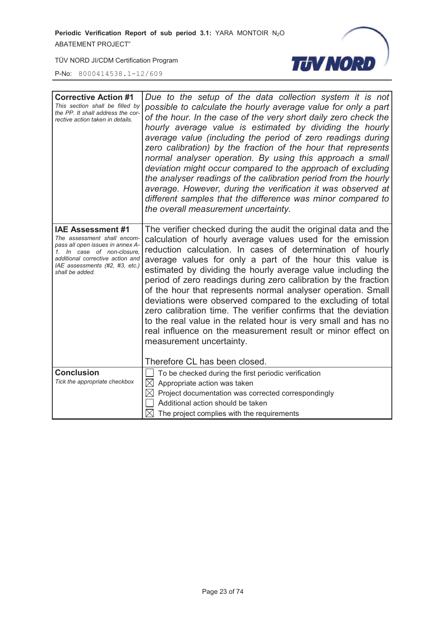

| <b>Corrective Action #1</b><br>This section shall be filled by<br>the PP. It shall address the cor-<br>rective action taken in details.                                                                            | Due to the setup of the data collection system it is not<br>possible to calculate the hourly average value for only a part<br>of the hour. In the case of the very short daily zero check the<br>hourly average value is estimated by dividing the hourly<br>average value (including the period of zero readings during<br>zero calibration) by the fraction of the hour that represents<br>normal analyser operation. By using this approach a small<br>deviation might occur compared to the approach of excluding<br>the analyser readings of the calibration period from the hourly<br>average. However, during the verification it was observed at<br>different samples that the difference was minor compared to<br>the overall measurement uncertainty. |
|--------------------------------------------------------------------------------------------------------------------------------------------------------------------------------------------------------------------|-----------------------------------------------------------------------------------------------------------------------------------------------------------------------------------------------------------------------------------------------------------------------------------------------------------------------------------------------------------------------------------------------------------------------------------------------------------------------------------------------------------------------------------------------------------------------------------------------------------------------------------------------------------------------------------------------------------------------------------------------------------------|
| <b>IAE Assessment #1</b><br>The assessment shall encom-<br>pass all open issues in annex A-<br>1. In case of non-closure,<br>additional corrective action and<br>IAE assessments (#2, #3, etc.)<br>shall be added. | The verifier checked during the audit the original data and the<br>calculation of hourly average values used for the emission<br>reduction calculation. In cases of determination of hourly<br>average values for only a part of the hour this value is<br>estimated by dividing the hourly average value including the<br>period of zero readings during zero calibration by the fraction<br>of the hour that represents normal analyser operation. Small<br>deviations were observed compared to the excluding of total<br>zero calibration time. The verifier confirms that the deviation<br>to the real value in the related hour is very small and has no<br>real influence on the measurement result or minor effect on<br>measurement uncertainty.       |
|                                                                                                                                                                                                                    | Therefore CL has been closed.                                                                                                                                                                                                                                                                                                                                                                                                                                                                                                                                                                                                                                                                                                                                   |
| <b>Conclusion</b><br>Tick the appropriate checkbox                                                                                                                                                                 | To be checked during the first periodic verification<br>$\boxtimes$<br>Appropriate action was taken<br>Project documentation was corrected correspondingly<br>$\boxtimes$<br>Additional action should be taken<br>$\boxtimes$ The project complies with the requirements                                                                                                                                                                                                                                                                                                                                                                                                                                                                                        |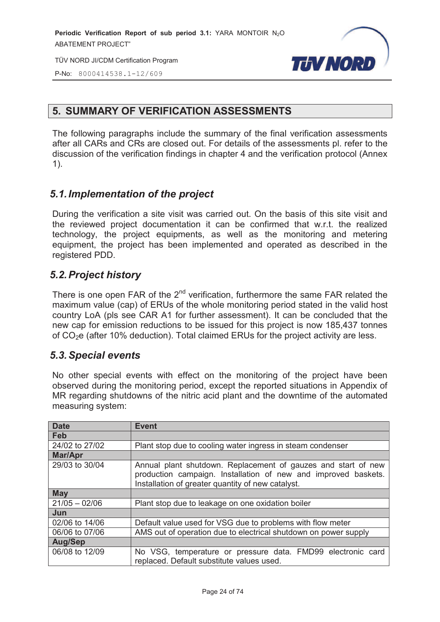



#### **5. SUMMARY OF VERIFICATION ASSESSMENTS**

The following paragraphs include the summary of the final verification assessments after all CARs and CRs are closed out. For details of the assessments pl. refer to the discussion of the verification findings in chapter 4 and the verification protocol (Annex 1).

#### *5.1. Implementation of the project*

During the verification a site visit was carried out. On the basis of this site visit and the reviewed project documentation it can be confirmed that w.r.t. the realized technology, the project equipments, as well as the monitoring and metering equipment, the project has been implemented and operated as described in the registered PDD.

#### *5.2. Project history*

There is one open FAR of the  $2<sup>nd</sup>$  verification, furthermore the same FAR related the maximum value (cap) of ERUs of the whole monitoring period stated in the valid host country LoA (pls see CAR A1 for further assessment). It can be concluded that the new cap for emission reductions to be issued for this project is now 185,437 tonnes of  $CO<sub>2</sub>e$  (after 10% deduction). Total claimed ERUs for the project activity are less.

#### *5.3. Special events*

No other special events with effect on the monitoring of the project have been observed during the monitoring period, except the reported situations in Appendix of MR regarding shutdowns of the nitric acid plant and the downtime of the automated measuring system:

| <b>Date</b>     | <b>Event</b>                                                                                                                                                                         |
|-----------------|--------------------------------------------------------------------------------------------------------------------------------------------------------------------------------------|
| Feb             |                                                                                                                                                                                      |
| 24/02 to 27/02  | Plant stop due to cooling water ingress in steam condenser                                                                                                                           |
| Mar/Apr         |                                                                                                                                                                                      |
| 29/03 to 30/04  | Annual plant shutdown. Replacement of gauzes and start of new<br>production campaign. Installation of new and improved baskets.<br>Installation of greater quantity of new catalyst. |
| <b>May</b>      |                                                                                                                                                                                      |
| $21/05 - 02/06$ | Plant stop due to leakage on one oxidation boiler                                                                                                                                    |
| Jun             |                                                                                                                                                                                      |
| 02/06 to 14/06  | Default value used for VSG due to problems with flow meter                                                                                                                           |
| 06/06 to 07/06  | AMS out of operation due to electrical shutdown on power supply                                                                                                                      |
| <b>Aug/Sep</b>  |                                                                                                                                                                                      |
| 06/08 to 12/09  | No VSG, temperature or pressure data. FMD99 electronic card<br>replaced. Default substitute values used.                                                                             |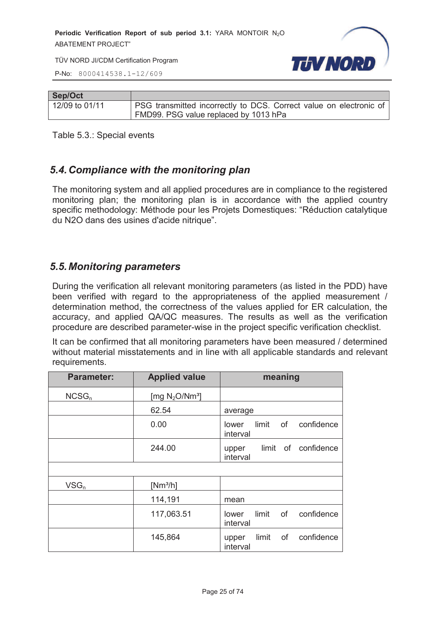TÜV NORD JI/CDM Certification Program



P-No: 8000414538.1-12/609

| Sep/Oct        |                                                                           |
|----------------|---------------------------------------------------------------------------|
| 12/09 to 01/11 | <b>PSG</b> transmitted incorrectly to DCS. Correct value on electronic of |
|                | FMD99. PSG value replaced by 1013 hPa                                     |

Table 5.3.: Special events

#### *5.4. Compliance with the monitoring plan*

The monitoring system and all applied procedures are in compliance to the registered monitoring plan; the monitoring plan is in accordance with the applied country specific methodology: Méthode pour les Projets Domestiques: "Réduction catalytique du N2O dans des usines d'acide nitrique".

#### *5.5. Monitoring parameters*

During the verification all relevant monitoring parameters (as listed in the PDD) have been verified with regard to the appropriateness of the applied measurement / determination method, the correctness of the values applied for ER calculation, the accuracy, and applied QA/QC measures. The results as well as the verification procedure are described parameter-wise in the project specific verification checklist.

It can be confirmed that all monitoring parameters have been measured / determined without material misstatements and in line with all applicable standards and relevant requirements.

| <b>Parameter:</b> | <b>Applied value</b> | meaning                                        |
|-------------------|----------------------|------------------------------------------------|
| NCSG <sub>n</sub> | [mg $N_2O/Nm^3$ ]    |                                                |
|                   | 62.54                | average                                        |
|                   | 0.00                 | limit of<br>confidence<br>lower<br>interval    |
|                   | 244.00               | limit of confidence<br>upper<br>interval       |
|                   |                      |                                                |
| $VSG_n$           | $[Nm^3/h]$           |                                                |
|                   | 114,191              | mean                                           |
|                   | 117,063.51           | limit<br>of<br>confidence<br>lower<br>interval |
|                   | 145,864              | confidence<br>limit of<br>upper<br>interval    |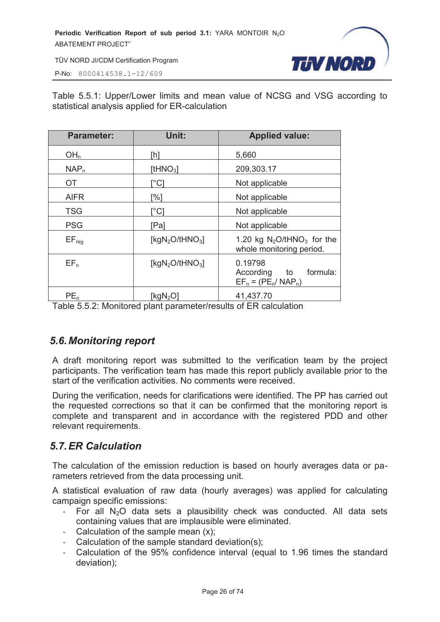

P-No: 8000414538.1-12/609

Table 5.5.1: Upper/Lower limits and mean value of NCSG and VSG according to statistical analysis applied for ER-calculation

| <b>Parameter:</b> | Unit:                                   | <b>Applied value:</b>                                                 |  |
|-------------------|-----------------------------------------|-----------------------------------------------------------------------|--|
| OH <sub>n</sub>   | [h]                                     | 5,660                                                                 |  |
| NAP <sub>n</sub>  | [tHN $O_3$ ]                            | 209,303.17                                                            |  |
| <b>OT</b>         | `°C]                                    | Not applicable                                                        |  |
| <b>AIFR</b>       | [%]                                     | Not applicable                                                        |  |
| <b>TSG</b>        | [°C]                                    | Not applicable                                                        |  |
| <b>PSG</b>        | [Pa]                                    | Not applicable                                                        |  |
| $EF_{req}$        | [kgN <sub>2</sub> O/tHNO <sub>3</sub> ] | 1.20 kg $N_2$ O/tHNO <sub>3</sub> for the<br>whole monitoring period. |  |
| EF <sub>n</sub>   | [ $kgN2O/tHNO3$ ]                       | 0.19798<br>formula:<br>According to<br>$EF_n = (PE_n / NAP_n)$        |  |
| PE <sub>n</sub>   | [ $kgN2O$ ]                             | 41,437.70                                                             |  |

Table 5.5.2: Monitored plant parameter/results of ER calculation

#### *5.6. Monitoring report*

A draft monitoring report was submitted to the verification team by the project participants. The verification team has made this report publicly available prior to the start of the verification activities. No comments were received.

During the verification, needs for clarifications were identified. The PP has carried out the requested corrections so that it can be confirmed that the monitoring report is complete and transparent and in accordance with the registered PDD and other relevant requirements.

#### *5.7. ER Calculation*

The calculation of the emission reduction is based on hourly averages data or parameters retrieved from the data processing unit.

A statistical evaluation of raw data (hourly averages) was applied for calculating campaign specific emissions:

- For all  $N_2O$  data sets a plausibility check was conducted. All data sets containing values that are implausible were eliminated.
- Calculation of the sample mean (x);
- Calculation of the sample standard deviation(s);
- Calculation of the 95% confidence interval (equal to 1.96 times the standard deviation);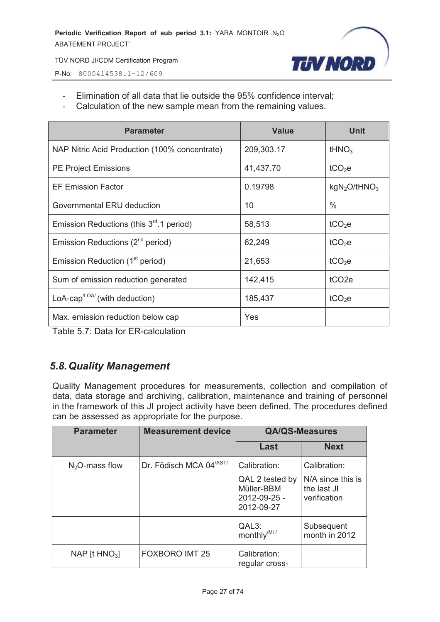

P-No: 8000414538.1-12/609

- Elimination of all data that lie outside the 95% confidence interval;
- Calculation of the new sample mean from the remaining values.

| <b>Parameter</b>                                            | <b>Value</b> | <b>Unit</b>                         |
|-------------------------------------------------------------|--------------|-------------------------------------|
| NAP Nitric Acid Production (100% concentrate)               | 209,303.17   | tHNO <sub>3</sub>                   |
| <b>PE Project Emissions</b>                                 | 41,437.70    | tCO <sub>2</sub> e                  |
| <b>EF Emission Factor</b>                                   | 0.19798      | kgN <sub>2</sub> O/HNO <sub>3</sub> |
| Governmental ERU deduction                                  | 10           | $\%$                                |
| Emission Reductions (this $3rd$ .1 period)                  | 58,513       | tCO <sub>2</sub> e                  |
| Emission Reductions (2 <sup>nd</sup> period)                | 62,249       | tCO <sub>2</sub> e                  |
| Emission Reduction (1 <sup>st</sup> period)                 | 21,653       | tCO <sub>2</sub> e                  |
| Sum of emission reduction generated                         | 142,415      | tCO <sub>2e</sub>                   |
| LoA-cap <sup><math>\text{LOA}</math></sup> (with deduction) | 185,437      | tCO <sub>2</sub> e                  |
| Max. emission reduction below cap                           | Yes          |                                     |

Table 5.7: Data for ER-calculation

#### *5.8. Quality Management*

Quality Management procedures for measurements, collection and compilation of data, data storage and archiving, calibration, maintenance and training of personnel in the framework of this JI project activity have been defined. The procedures defined can be assessed as appropriate for the purpose.

| <b>Parameter</b>             | <b>Measurement device</b>           | <b>QA/QS-Measures</b>                    |                                   |
|------------------------------|-------------------------------------|------------------------------------------|-----------------------------------|
|                              |                                     | Last                                     | <b>Next</b>                       |
| $N2O$ -mass flow             | Dr. Födisch MCA 04 <sup>/AST/</sup> | Calibration:<br>QAL 2 tested by          | Calibration:<br>N/A since this is |
|                              |                                     | Müller-BBM<br>2012-09-25 -<br>2012-09-27 | the last JI<br>verification       |
|                              |                                     | QAL3:<br>monthly <sup>/ML/</sup>         | Subsequent<br>month in 2012       |
| NAP [ $t$ HNO <sub>3</sub> ] | <b>FOXBORO IMT 25</b>               | Calibration:<br>regular cross-           |                                   |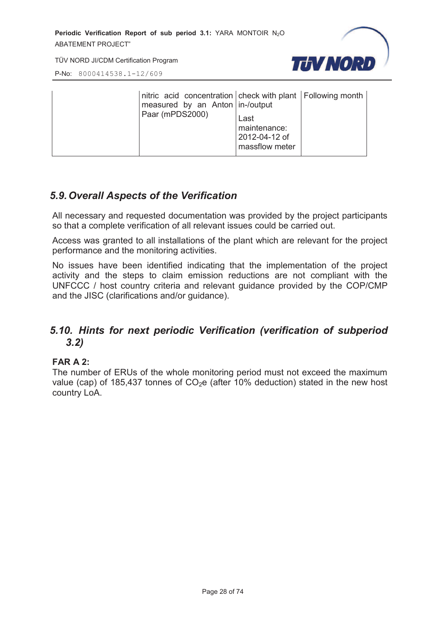

P-No: 8000414538.1-12/609

| nitric acid concentration check with plant Following month<br>measured by an Anton in-/output<br>Paar (mPDS2000) | Last<br>maintenance:<br>2012-04-12 of<br>massflow meter |  |
|------------------------------------------------------------------------------------------------------------------|---------------------------------------------------------|--|
|------------------------------------------------------------------------------------------------------------------|---------------------------------------------------------|--|

#### *5.9. Overall Aspects of the Verification*

All necessary and requested documentation was provided by the project participants so that a complete verification of all relevant issues could be carried out.

Access was granted to all installations of the plant which are relevant for the project performance and the monitoring activities.

No issues have been identified indicating that the implementation of the project activity and the steps to claim emission reductions are not compliant with the UNFCCC / host country criteria and relevant guidance provided by the COP/CMP and the JISC (clarifications and/or guidance).

#### *5.10. Hints for next periodic Verification (verification of subperiod 3.2)*

#### **FAR A 2:**

The number of ERUs of the whole monitoring period must not exceed the maximum value (cap) of 185,437 tonnes of  $CO<sub>2</sub>e$  (after 10% deduction) stated in the new host country LoA.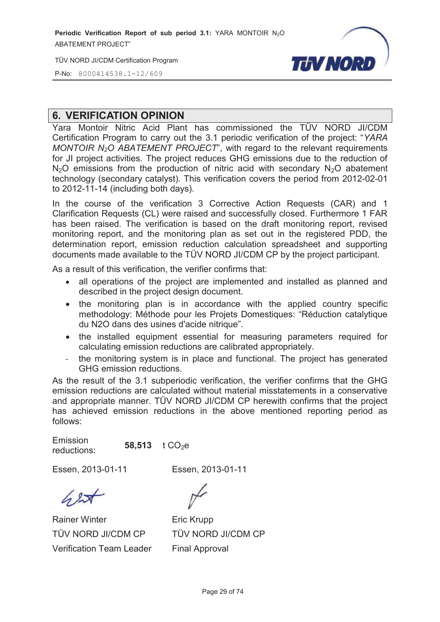TÜV NORD JI/CDM Certification Program

P-No: 8000414538.1-12/609



#### **6. VERIFICATION OPINION**

Yara Montoir Nitric Acid Plant has commissioned the TÜV NORD JI/CDM Certification Program to carry out the 3.1 periodic verification of the project: "*YARA MONTOIR N2O ABATEMENT PROJECT*", with regard to the relevant requirements for JI project activities. The project reduces GHG emissions due to the reduction of  $N_2$ O emissions from the production of nitric acid with secondary  $N_2$ O abatement technology (secondary catalyst). This verification covers the period from 2012-02-01 to 2012-11-14 (including both days).

In the course of the verification 3 Corrective Action Requests (CAR) and 1 Clarification Requests (CL) were raised and successfully closed. Furthermore 1 FAR has been raised. The verification is based on the draft monitoring report, revised monitoring report, and the monitoring plan as set out in the registered PDD, the determination report, emission reduction calculation spreadsheet and supporting documents made available to the TÜV NORD JI/CDM CP by the project participant.

As a result of this verification, the verifier confirms that:

- · all operations of the project are implemented and installed as planned and described in the project design document.
- the monitoring plan is in accordance with the applied country specific methodology: Méthode pour les Projets Domestiques: "Réduction catalytique du N2O dans des usines d'acide nitrique".
- · the installed equipment essential for measuring parameters required for calculating emission reductions are calibrated appropriately.
- the monitoring system is in place and functional. The project has generated GHG emission reductions.

As the result of the 3.1 subperiodic verification, the verifier confirms that the GHG emission reductions are calculated without material misstatements in a conservative and appropriate manner. TÜV NORD JI/CDM CP herewith confirms that the project has achieved emission reductions in the above mentioned reporting period as follows:

Emission reductions: **58,513** t CO<sub>2</sub>e

Essen, 2013-01-11 Essen, 2013-01-11

Rainer Winter TÜV NORD JI/CDM CP Verification Team Leader

Eric Krupp TÜV NORD JI/CDM CP Final Approval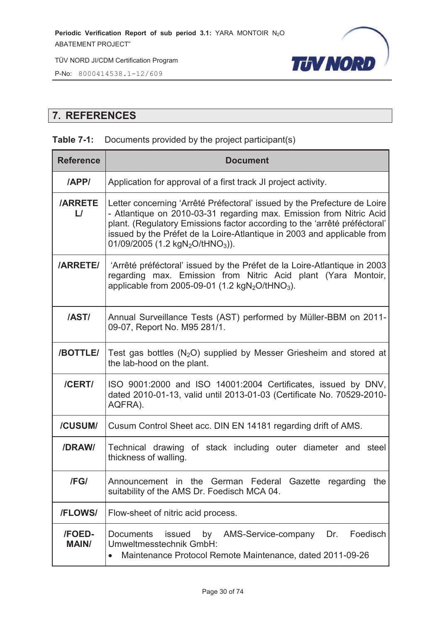

P-No: 8000414538.1-12/609

#### **7. REFERENCES**

#### **Table 7-1:** Documents provided by the project participant(s)

| <b>Reference</b>               | <b>Document</b>                                                                                                                                                                                                                                                                                                                                                     |  |  |
|--------------------------------|---------------------------------------------------------------------------------------------------------------------------------------------------------------------------------------------------------------------------------------------------------------------------------------------------------------------------------------------------------------------|--|--|
| <b>APPI</b>                    | Application for approval of a first track JI project activity.                                                                                                                                                                                                                                                                                                      |  |  |
| <b>/ARRETE</b><br>$\mathsf{L}$ | Letter concerning 'Arrêté Préfectoral' issued by the Prefecture de Loire<br>- Atlantique on 2010-03-31 regarding max. Emission from Nitric Acid<br>plant. (Regulatory Emissions factor according to the 'arrêté préféctoral'<br>issued by the Préfet de la Loire-Atlantique in 2003 and applicable from<br>01/09/2005 (1.2 kgN <sub>2</sub> O/tHNO <sub>3</sub> )). |  |  |
| <b>/ARRETE/</b>                | 'Arrêté préféctoral' issued by the Préfet de la Loire-Atlantique in 2003<br>regarding max. Emission from Nitric Acid plant (Yara Montoir,<br>applicable from 2005-09-01 (1.2 $kgN_2O/tHNO_3$ ).                                                                                                                                                                     |  |  |
| <b>/AST/</b>                   | Annual Surveillance Tests (AST) performed by Müller-BBM on 2011-<br>09-07, Report No. M95 281/1.                                                                                                                                                                                                                                                                    |  |  |
| <b>/BOTTLE/</b>                | Test gas bottles $(N_2O)$ supplied by Messer Griesheim and stored at<br>the lab-hood on the plant.                                                                                                                                                                                                                                                                  |  |  |
| /CERT/                         | ISO 9001:2000 and ISO 14001:2004 Certificates, issued by DNV,<br>dated 2010-01-13, valid until 2013-01-03 (Certificate No. 70529-2010-<br>AQFRA).                                                                                                                                                                                                                   |  |  |
| /CUSUM/                        | Cusum Control Sheet acc. DIN EN 14181 regarding drift of AMS.                                                                                                                                                                                                                                                                                                       |  |  |
| /DRAW/                         | Technical drawing of stack including outer diameter and steel<br>thickness of walling.                                                                                                                                                                                                                                                                              |  |  |
| /FG/                           | Announcement in the German Federal Gazette regarding the<br>suitability of the AMS Dr. Foedisch MCA 04.                                                                                                                                                                                                                                                             |  |  |
| /FLOWS/                        | Flow-sheet of nitric acid process.                                                                                                                                                                                                                                                                                                                                  |  |  |
| /FOED-<br><b>MAIN/</b>         | by<br>AMS-Service-company<br>Foedisch<br><b>Documents</b><br>issued<br>Dr.<br>Umweltmesstechnik GmbH:<br>Maintenance Protocol Remote Maintenance, dated 2011-09-26<br>$\bullet$                                                                                                                                                                                     |  |  |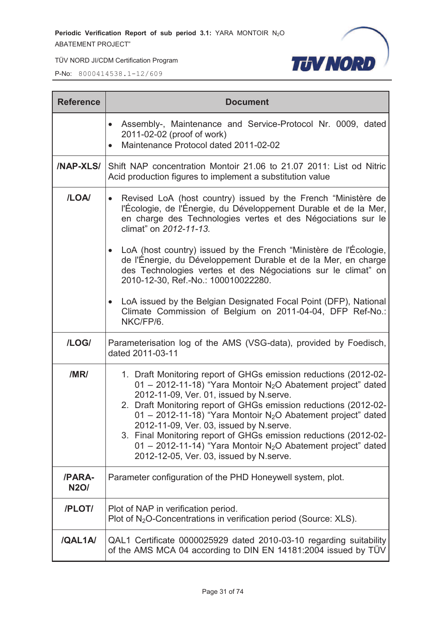TÜV NORD JI/CDM Certification Program

**TUV NORD** 

| <b>Reference</b>      | <b>Document</b>                                                                                                                                                                                                                                                                                                                                                                                                                                                                                                                                                                |  |  |  |
|-----------------------|--------------------------------------------------------------------------------------------------------------------------------------------------------------------------------------------------------------------------------------------------------------------------------------------------------------------------------------------------------------------------------------------------------------------------------------------------------------------------------------------------------------------------------------------------------------------------------|--|--|--|
|                       | Assembly-, Maintenance and Service-Protocol Nr. 0009, dated<br>2011-02-02 (proof of work)<br>Maintenance Protocol dated 2011-02-02                                                                                                                                                                                                                                                                                                                                                                                                                                             |  |  |  |
| <b>/NAP-XLS/</b>      | Shift NAP concentration Montoir 21.06 to 21.07 2011: List od Nitric<br>Acid production figures to implement a substitution value                                                                                                                                                                                                                                                                                                                                                                                                                                               |  |  |  |
| /LOA/                 | Revised LoA (host country) issued by the French "Ministère de<br>$\bullet$<br>l'Écologie, de l'Énergie, du Développement Durable et de la Mer,<br>en charge des Technologies vertes et des Négociations sur le<br>climat" on 2012-11-13.<br>LoA (host country) issued by the French "Ministère de l'Écologie,<br>de l'Énergie, du Développement Durable et de la Mer, en charge<br>des Technologies vertes et des Négociations sur le climat" on<br>2010-12-30, Ref.-No.: 100010022280.                                                                                        |  |  |  |
|                       | LoA issued by the Belgian Designated Focal Point (DFP), National<br>Climate Commission of Belgium on 2011-04-04, DFP Ref-No.:<br>NKC/FP/6.                                                                                                                                                                                                                                                                                                                                                                                                                                     |  |  |  |
| /LOG/                 | Parameterisation log of the AMS (VSG-data), provided by Foedisch,<br>dated 2011-03-11                                                                                                                                                                                                                                                                                                                                                                                                                                                                                          |  |  |  |
| /MR/                  | 1. Draft Monitoring report of GHGs emission reductions (2012-02-<br>01 - 2012-11-18) "Yara Montoir N <sub>2</sub> O Abatement project" dated<br>2012-11-09, Ver. 01, issued by N.serve.<br>2. Draft Monitoring report of GHGs emission reductions (2012-02-<br>01 - 2012-11-18) "Yara Montoir N <sub>2</sub> O Abatement project" dated<br>2012-11-09, Ver. 03, issued by N. serve.<br>3. Final Monitoring report of GHGs emission reductions (2012-02-<br>01 - 2012-11-14) "Yara Montoir N <sub>2</sub> O Abatement project" dated<br>2012-12-05, Ver. 03, issued by N.serve. |  |  |  |
| /PARA-<br><b>N2O/</b> | Parameter configuration of the PHD Honeywell system, plot.                                                                                                                                                                                                                                                                                                                                                                                                                                                                                                                     |  |  |  |
| /PLOT/                | Plot of NAP in verification period.<br>Plot of N <sub>2</sub> O-Concentrations in verification period (Source: XLS).                                                                                                                                                                                                                                                                                                                                                                                                                                                           |  |  |  |
| /QAL1A/               | QAL1 Certificate 0000025929 dated 2010-03-10 regarding suitability<br>of the AMS MCA 04 according to DIN EN 14181:2004 issued by TÜV                                                                                                                                                                                                                                                                                                                                                                                                                                           |  |  |  |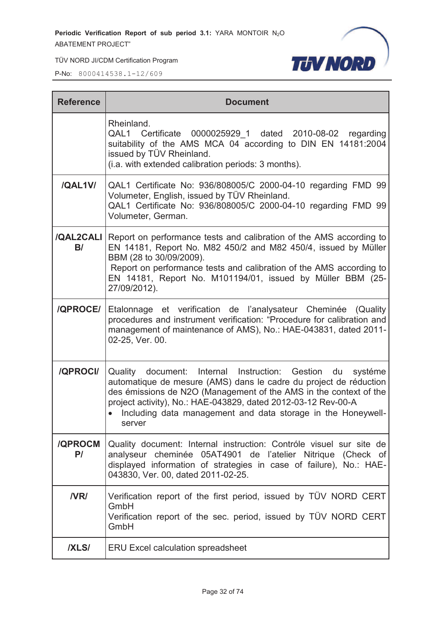

TÜV NORD JI/CDM Certification Program

| <b>Reference</b>       | <b>Document</b>                                                                                                                                                                                                                                                                                                                                    |
|------------------------|----------------------------------------------------------------------------------------------------------------------------------------------------------------------------------------------------------------------------------------------------------------------------------------------------------------------------------------------------|
|                        | Rheinland.<br>QAL1 Certificate 0000025929 1 dated 2010-08-02 regarding<br>suitability of the AMS MCA 04 according to DIN EN 14181:2004<br>issued by TÜV Rheinland.<br>(i.a. with extended calibration periods: 3 months).                                                                                                                          |
| /QAL1V/                | QAL1 Certificate No: 936/808005/C 2000-04-10 regarding FMD 99<br>Volumeter, English, issued by TÜV Rheinland.<br>QAL1 Certificate No: 936/808005/C 2000-04-10 regarding FMD 99<br>Volumeter, German.                                                                                                                                               |
| <b>/QAL2CALI</b><br>B/ | Report on performance tests and calibration of the AMS according to<br>EN 14181, Report No. M82 450/2 and M82 450/4, issued by Müller<br>BBM (28 to 30/09/2009).<br>Report on performance tests and calibration of the AMS according to<br>EN 14181, Report No. M101194/01, issued by Müller BBM (25-<br>27/09/2012).                              |
| <b>/QPROCE/</b>        | Etalonnage et verification de l'analysateur Cheminée (Quality<br>procedures and instrument verification: "Procedure for calibration and<br>management of maintenance of AMS), No.: HAE-043831, dated 2011-<br>02-25, Ver. 00.                                                                                                                      |
| /QPROCI/               | Quality document: Internal Instruction: Gestion du<br>systéme<br>automatique de mesure (AMS) dans le cadre du project de réduction<br>des émissions de N2O (Management of the AMS in the context of the<br>project activity), No.: HAE-043829, dated 2012-03-12 Rev-00-A<br>Including data management and data storage in the Honeywell-<br>server |
| <b>/QPROCM</b><br>P/   | Quality document: Internal instruction: Contróle visuel sur site de<br>analyseur cheminée 05AT4901 de l'atelier Nitrique (Check of<br>displayed information of strategies in case of failure), No.: HAE-<br>043830, Ver. 00, dated 2011-02-25.                                                                                                     |
| <b>NRI</b>             | Verification report of the first period, issued by TÜV NORD CERT<br>GmbH<br>Verification report of the sec. period, issued by TÜV NORD CERT<br>GmbH                                                                                                                                                                                                |
| <b>IXLSI</b>           | <b>ERU Excel calculation spreadsheet</b>                                                                                                                                                                                                                                                                                                           |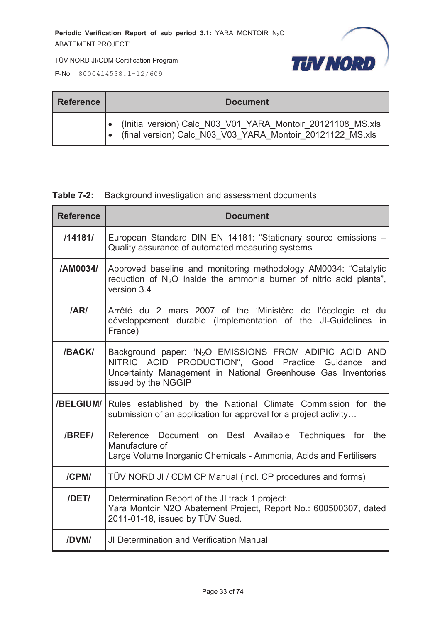

TÜV NORD JI/CDM Certification Program

P-No: 8000414538.1-12/609

| <b>Reference</b> | <b>Document</b>                                                                                                          |  |  |
|------------------|--------------------------------------------------------------------------------------------------------------------------|--|--|
|                  | (Initial version) Calc N03 V01 YARA Montoir 20121108 MS.xls<br>(final version) Calc N03 V03 YARA Montoir 20121122 MS.xls |  |  |

#### **Table 7-2:** Background investigation and assessment documents

| <b>Reference</b> | <b>Document</b>                                                                                                                                                                                                   |
|------------------|-------------------------------------------------------------------------------------------------------------------------------------------------------------------------------------------------------------------|
| /14181/          | European Standard DIN EN 14181: "Stationary source emissions -<br>Quality assurance of automated measuring systems                                                                                                |
| /AM0034/         | Approved baseline and monitoring methodology AM0034: "Catalytic<br>reduction of $N_2O$ inside the ammonia burner of nitric acid plants",<br>version 3.4                                                           |
| /AR/             | Arrêté du 2 mars 2007 of the 'Ministère de l'écologie et du<br>développement durable (Implementation of the JI-Guidelines in<br>France)                                                                           |
| /BACK/           | Background paper: "N <sub>2</sub> O EMISSIONS FROM ADIPIC ACID AND<br>NITRIC ACID PRODUCTION", Good Practice Guidance and<br>Uncertainty Management in National Greenhouse Gas Inventories<br>issued by the NGGIP |
| /BELGIUM/        | Rules established by the National Climate Commission for the<br>submission of an application for approval for a project activity                                                                                  |
| <b>/BREF/</b>    | Reference Document on Best Available Techniques for the<br>Manufacture of<br>Large Volume Inorganic Chemicals - Ammonia, Acids and Fertilisers                                                                    |
| /CPM/            | TÜV NORD JI / CDM CP Manual (incl. CP procedures and forms)                                                                                                                                                       |
| /DET/            | Determination Report of the JI track 1 project:<br>Yara Montoir N2O Abatement Project, Report No.: 600500307, dated<br>2011-01-18, issued by TÜV Sued.                                                            |
| /DVM/            | <b>JI Determination and Verification Manual</b>                                                                                                                                                                   |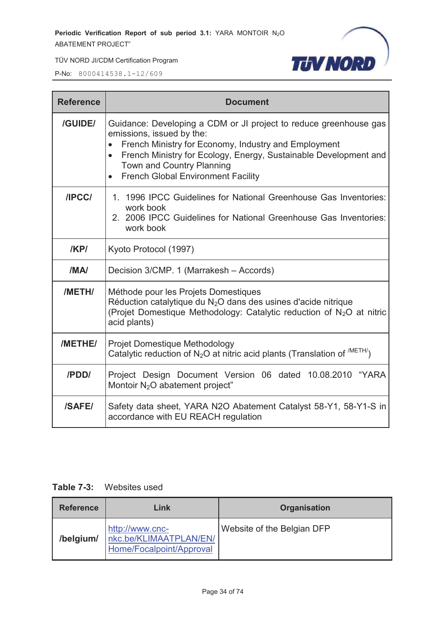

TÜV NORD JI/CDM Certification Program

P-No: 8000414538.1-12/609

| <b>Reference</b> | <b>Document</b>                                                                                                                                                                                                                                                                                                   |  |  |
|------------------|-------------------------------------------------------------------------------------------------------------------------------------------------------------------------------------------------------------------------------------------------------------------------------------------------------------------|--|--|
| /GUIDE/          | Guidance: Developing a CDM or JI project to reduce greenhouse gas<br>emissions, issued by the:<br>French Ministry for Economy, Industry and Employment<br>French Ministry for Ecology, Energy, Sustainable Development and<br>$\bullet$<br>Town and Country Planning<br><b>French Global Environment Facility</b> |  |  |
| /IPCC/           | 1. 1996 IPCC Guidelines for National Greenhouse Gas Inventories:<br>work book<br>2. 2006 IPCC Guidelines for National Greenhouse Gas Inventories:<br>work book                                                                                                                                                    |  |  |
| /KPI             | Kyoto Protocol (1997)                                                                                                                                                                                                                                                                                             |  |  |
| /MA/             | Decision 3/CMP. 1 (Marrakesh - Accords)                                                                                                                                                                                                                                                                           |  |  |
| /METH/           | Méthode pour les Projets Domestiques<br>Réduction catalytique du N <sub>2</sub> O dans des usines d'acide nitrique<br>(Projet Domestique Methodology: Catalytic reduction of N <sub>2</sub> O at nitric<br>acid plants)                                                                                           |  |  |
| /METHE/          | Projet Domestique Methodology<br>Catalytic reduction of $N_2O$ at nitric acid plants (Translation of $^{/METH/}$ )                                                                                                                                                                                                |  |  |
| /PDD/            | Project Design Document Version 06 dated 10.08.2010 "YARA<br>Montoir N <sub>2</sub> O abatement project"                                                                                                                                                                                                          |  |  |
| /SAFE/           | Safety data sheet, YARA N2O Abatement Catalyst 58-Y1, 58-Y1-S in<br>accordance with EU REACH regulation                                                                                                                                                                                                           |  |  |

#### **Table 7-3:** Websites used

| <b>Reference</b> | Link                                                                  | <b>Organisation</b>        |  |
|------------------|-----------------------------------------------------------------------|----------------------------|--|
| /belgium/        | http://www.cnc-<br>nkc.be/KLIMAATPLAN/EN/<br>Home/Focalpoint/Approval | Website of the Belgian DFP |  |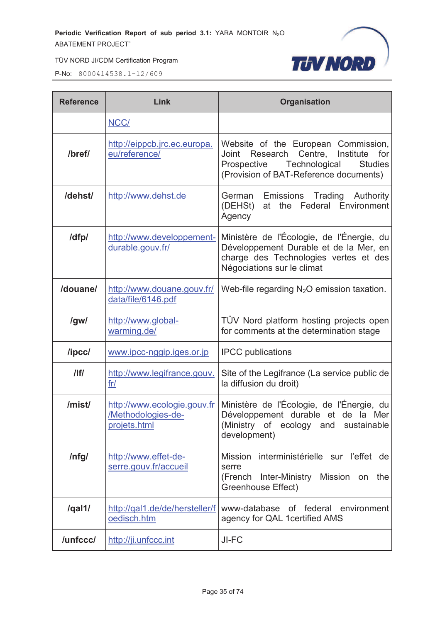

| <b>Reference</b> | Link                                                              | <b>Organisation</b>                                                                                                                                                                 |  |  |
|------------------|-------------------------------------------------------------------|-------------------------------------------------------------------------------------------------------------------------------------------------------------------------------------|--|--|
|                  | NCC/                                                              |                                                                                                                                                                                     |  |  |
| /bref/           | http://eippcb.jrc.ec.europa.<br>eu/reference/                     | Website of the European Commission,<br>Research<br>Centre,<br>Institute<br>Joint<br>for<br>Prospective<br>Technological<br><b>Studies</b><br>(Provision of BAT-Reference documents) |  |  |
| /dehst/          | http://www.dehst.de                                               | Emissions Trading<br>Authority<br>German<br>Federal Environment<br>(DEHSt)<br>the<br>at<br>Agency                                                                                   |  |  |
| /dfp/            | http://www.developpement-<br>durable.gouv.fr/                     | Ministère de l'Écologie, de l'Énergie, du<br>Développement Durable et de la Mer, en<br>charge des Technologies vertes et des<br>Négociations sur le climat                          |  |  |
| /douane/         | http://www.douane.gouv.fr/<br>data/file/6146.pdf                  | Web-file regarding $N_2O$ emission taxation.                                                                                                                                        |  |  |
| /gw/             | http://www.global-<br>warming.de/                                 | TÜV Nord platform hosting projects open<br>for comments at the determination stage                                                                                                  |  |  |
| /ipcc/           | www.ipcc-nggip.iges.or.jp                                         | <b>IPCC</b> publications                                                                                                                                                            |  |  |
| $/$  f/          | http://www.legifrance.gouv.<br>fr/                                | Site of the Legifrance (La service public de<br>la diffusion du droit)                                                                                                              |  |  |
| /mist/           | http://www.ecologie.gouv.fr<br>/Methodologies-de-<br>projets.html | Ministère de l'Écologie, de l'Énergie, du<br>Développement durable et de la Mer<br>(Ministry of ecology and sustainable<br>development)                                             |  |  |
| /nfg/            | http://www.effet-de-<br>serre.gouv.fr/accueil                     | Mission interministérielle sur l'effet de<br>serre<br>(French<br>Inter-Ministry<br>Mission on<br>the<br>Greenhouse Effect)                                                          |  |  |
| /qal1/           | http://qal1.de/de/hersteller/f<br>oedisch.htm                     | www-database of federal environment<br>agency for QAL 1 certified AMS                                                                                                               |  |  |
| /unfccc/         | http://ji.unfccc.int                                              | JI-FC                                                                                                                                                                               |  |  |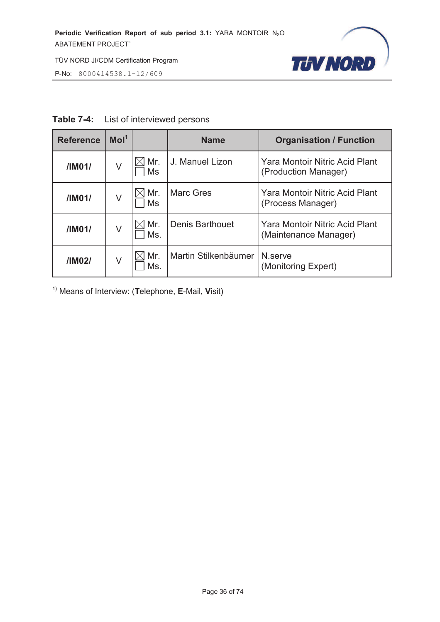

P-No: 8000414538.1-12/609

| <b>Table 7-4:</b> | List of interviewed persons |
|-------------------|-----------------------------|
|-------------------|-----------------------------|

| <b>Reference</b> | Mol <sup>1</sup> |            | <b>Name</b>          | <b>Organisation / Function</b>                          |
|------------------|------------------|------------|----------------------|---------------------------------------------------------|
| /IM01/           | V                | Mr.<br>Ms  | J. Manuel Lizon      | Yara Montoir Nitric Acid Plant<br>(Production Manager)  |
| /IM01/           | V                | Mr.<br>Ms  | <b>Marc Gres</b>     | Yara Montoir Nitric Acid Plant<br>(Process Manager)     |
| /IM01/           | V                | Mr.<br>Ms. | Denis Barthouet      | Yara Montoir Nitric Acid Plant<br>(Maintenance Manager) |
| /IM02/           | V                | Mr.<br>Ms. | Martin Stilkenbäumer | N.serve<br>(Monitoring Expert)                          |

1) Means of Interview: (**T**elephone, **E**-Mail, **V**isit)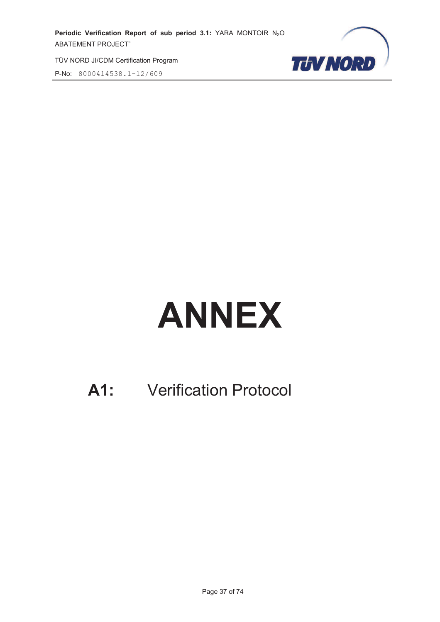TÜV NORD JI/CDM Certification Program

P-No: 8000414538.1-12/609



## **ANNEX**

## **A1:** Verification Protocol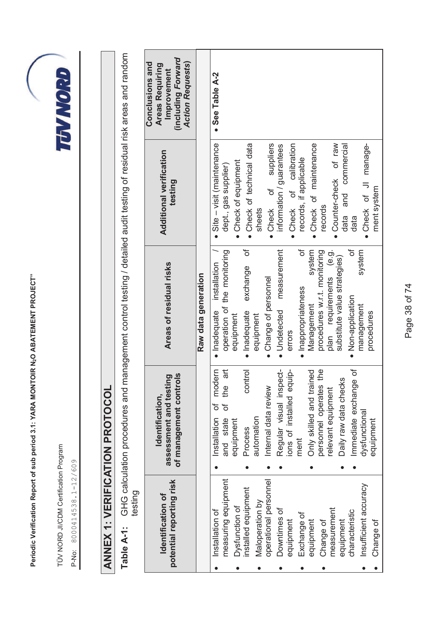TÜV NORD JI/CDM Certification Program TÜV NORD JI/CDM Certification Program

P-No: 8000414538.1-12/609 P-No: 8000414538.1-12/609

## **TEVAYORD**

## **ANNEX 1: VERIFICATION PROTOCOL ANNEX 1: VERIFICATION PROTOCOL**

**Table A-1:** GHG calculation procedures and management control testing / detailed audit testing of residual risk areas and random GHG calculation procedures and management control testing / detailed audit testing of residual risk areas and random testing Table A-1:

|                 | potential reporting risk<br>Identification of | <u>ທ</u><br>assessment and testing<br>of management control<br>Identification, | Areas of residual risks       | <b>Additional verification</b><br>testing | including Forward)<br>Conclusions and<br><b>Action Requests)</b><br>Areas Requiring<br>Improvement |
|-----------------|-----------------------------------------------|--------------------------------------------------------------------------------|-------------------------------|-------------------------------------------|----------------------------------------------------------------------------------------------------|
|                 |                                               |                                                                                | Raw data generation           |                                           |                                                                                                    |
| Installation of |                                               | modern<br>Installation of                                                      | installation<br>· Inadequate  | Site - visit (maintenance                 | • See Table A-2                                                                                    |
|                 | measuring equipment                           | Та<br>the<br>ð<br>and state                                                    | operation of the monitoring   | dept., gas supplier)                      |                                                                                                    |
|                 | Dysfunction of                                | equipment                                                                      | equipment                     | Check of equipment                        |                                                                                                    |
|                 | installed equipment                           | control<br>Process                                                             | đ<br>exchange<br>· Inadequate | Check of technical data                   |                                                                                                    |
|                 | Maloperation by                               | automation                                                                     | equipment                     | sheets                                    |                                                                                                    |
|                 | operational personnel                         | Internal data review                                                           | Change of personnel           | · Check of suppliers                      |                                                                                                    |
| Downtimes of    |                                               | Regular visual inspect-                                                        | measurement<br>Undetected     | information / guarantees                  |                                                                                                    |
| equipment       |                                               | <u>غ</u><br>ions of installed equi                                             | errors                        | calibration<br>Check of                   |                                                                                                    |
| Exchange of     |                                               | ment                                                                           | ð<br>Inappropriateness        | records, if applicable                    |                                                                                                    |
| equipment       |                                               | Only skilled and trained                                                       | system<br>Management          | . Check of maintenance                    |                                                                                                    |
| Change of       |                                               | e<br>P<br>personnel operates t                                                 | procedures w.r.t. monitoring  | records                                   |                                                                                                    |
| measurement     |                                               | relevant equipment                                                             | plan requirements (e.g.       | · Counter-check of raw                    |                                                                                                    |
| equipment       |                                               | Daily raw data checks                                                          | substitute value strategies)  | data and commercial                       |                                                                                                    |
| characteristic  |                                               | ৳<br>Immediate exchange                                                        | ৳<br>· Non-application        | data                                      |                                                                                                    |
|                 | Insufficient accuracy                         | dysfunctional                                                                  | system<br>management          | · Check of JI manage-                     |                                                                                                    |
| Change of       |                                               | equipment                                                                      | procedures                    | ment system                               |                                                                                                    |

Page 38 of 74 Page 38 of 74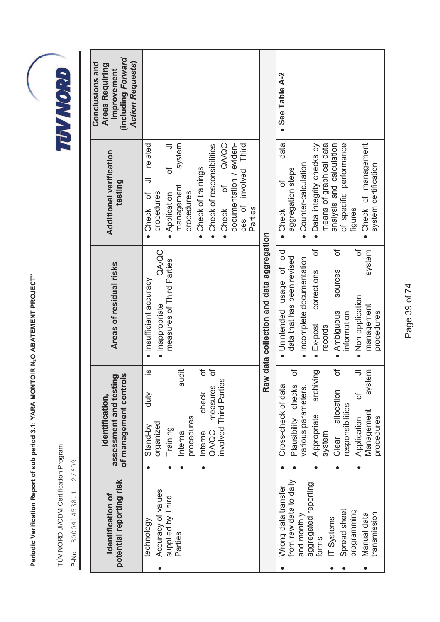TÜV NORD JI/CDM Certification Program TÜV NORD JI/CDM Certification Program

P-No: 8000414538.1-12/609 P-No: 8000414538.1-12/609

| (including Forward<br><b>Action Requests)</b><br>Conclusions and<br><b>Areas Requiring</b><br>Improvement |                                                                                                                                                                                                                                                                            |                                          | • See Table A-2<br>data                                                                                                                                                                                                                                                     |
|-----------------------------------------------------------------------------------------------------------|----------------------------------------------------------------------------------------------------------------------------------------------------------------------------------------------------------------------------------------------------------------------------|------------------------------------------|-----------------------------------------------------------------------------------------------------------------------------------------------------------------------------------------------------------------------------------------------------------------------------|
| Additional verification<br>testing                                                                        | documentation / eviden-<br>QA/QC<br>related<br>system<br>ces of involved Third<br>• Check of responsibilities<br>• Check of trainings<br>ট<br>$\overline{\phantom{1}}$<br>ð<br>management<br>procedures<br>procedures<br>Application<br>đ<br>• Check<br>Parties<br>• Check |                                          | Check of management<br>means of graphical data<br>of specific performance<br>• Data integrity checks by<br>analysis and calculation<br>Counter-calculation<br>system certification<br>aggregation steps<br>৳<br>figures<br>· Check                                          |
| Areas of residual risks                                                                                   | QA/QC<br>measures of Third Parties<br>· Insufficient accuracy<br>· Inappropriate                                                                                                                                                                                           | Raw data collection and data aggregation | đ<br>đ<br>৳<br>system<br>$\frac{1}{\sqrt{2}}$<br>data that has been revised<br>· Incomplete documentation<br>· Unintended usage of<br>sources<br>corrections<br>· Non-application<br>management<br>· Ambiguous<br>procedures<br>information<br>$\bullet$ Ex-post<br>records |
| of management controls<br>ting<br>assessment and test<br>Identification,                                  | ð<br>$\overline{\omega}$<br>audit<br>$\sigma$<br>nvolved Third Parties<br>measures<br>check<br>duty<br>procedures<br>organized<br>Stand-by<br>Training<br>Internal<br>Internal<br>QA/QC                                                                                    |                                          | đ<br>৳<br>archiving<br>$\overline{\mathbf{z}}$<br>system<br>Plausibility checks<br>Cross-check of data<br>various parameters<br>allocation<br>đ<br>responsibilities<br>Management<br>Appropriate<br>procedures<br>Application<br>system<br>Clear                            |
| potential reporting risk<br><b>Identification of</b>                                                      | Accuracy of values<br>supplied by Third<br>technology<br>Parties                                                                                                                                                                                                           |                                          | from raw data to daily<br>aggregated reporting<br>Wrong data transfer<br>Spread sheet<br>programming<br>transmission<br>Manual data<br>and monthly<br>IT Systems<br>forms                                                                                                   |



Page 39 of 74 Page 39 of 74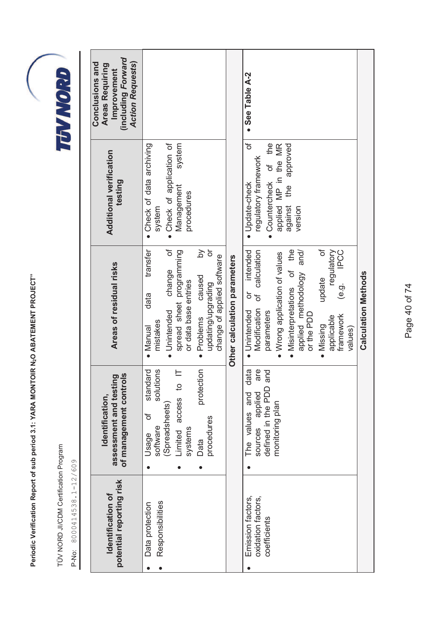TÜV NORD JI/CDM Certification Program TÜV NORD JI/CDM Certification Program

P-No: 8000414538.1-12/609 P-No: 8000414538.1-12/609



 $\mathsf{L}$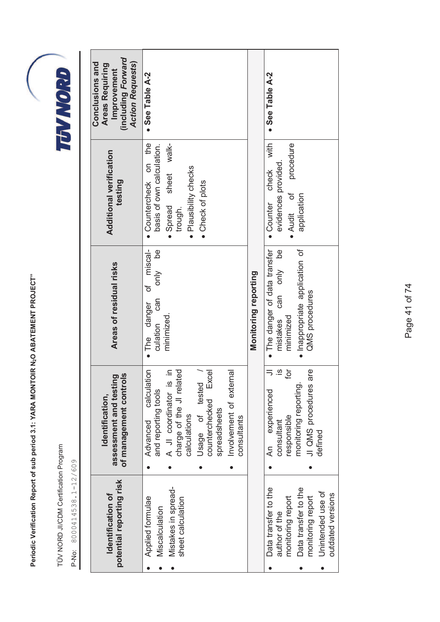|                                                                       | Periodic Verification Report of sub period 3.1: YARA MONTOIR N2O ABATEMENT PROJECT"        |                                                                                     |                                                                |                                                                                                           |
|-----------------------------------------------------------------------|--------------------------------------------------------------------------------------------|-------------------------------------------------------------------------------------|----------------------------------------------------------------|-----------------------------------------------------------------------------------------------------------|
| TÜV NORD JI/CDM Certification Program<br>8000414538.1-12/609<br>P-No: |                                                                                            |                                                                                     |                                                                | TUVNORI                                                                                                   |
|                                                                       |                                                                                            |                                                                                     |                                                                |                                                                                                           |
| potential reporting risk<br>Identification of                         | assessment and testing<br>of management controls<br>Identification,                        | Areas of residual risks                                                             | Additional verification<br>testing                             | (including Forward<br><b>Action Requests)</b><br>Conclusions and<br><b>Areas Requiring</b><br>Improvement |
| Applied formulae<br>Miscalculation                                    | $\overline{5}$<br>calculati<br>and reporting tools<br>Advanced                             | miscal-<br>ed<br>De<br>only<br>đ<br>Can<br>danger<br>culation<br>$\blacksquare$ The | the<br>basis of own calculation.<br>Sp<br>· Countercheck       | • See Table A-2                                                                                           |
| Mistakes in spread-<br>sheet calculation                              | $\equiv$<br>charge of the JI related<br>A JI coordinator is<br>calculations                | minimized                                                                           | walk-<br>· Plausibility checks<br>sheet<br>· Spread<br>trough. |                                                                                                           |
|                                                                       | Excel<br>Usage of tested<br>counterchecked<br>spreadsheets                                 |                                                                                     | • Check of plots                                               |                                                                                                           |
|                                                                       | Involvement of external<br>consultants                                                     |                                                                                     |                                                                |                                                                                                           |
|                                                                       |                                                                                            | Monitoring reporting                                                                |                                                                |                                                                                                           |
| Data transfer to the<br>monitoring report<br>author of the            | $\equiv$<br>$\overline{\omega}$<br>ğ<br>experienced<br>responsible<br>consultant<br>Հ<br>Հ | • The danger of data transfer<br><u>be</u><br>only<br>can<br>minimized<br>mistakes  | with<br>evidences provided<br>check<br>• Counter               | • See Table A-2                                                                                           |
| Data transfer to the<br>monitoring report                             | JI QMS procedures are<br>monitoring reporting.                                             | · Inappropriate application of<br>QMS procedures                                    | procedure<br>ð<br>application<br>• Audit                       |                                                                                                           |
| Unintended use of<br>outdated versions                                | defined                                                                                    |                                                                                     |                                                                |                                                                                                           |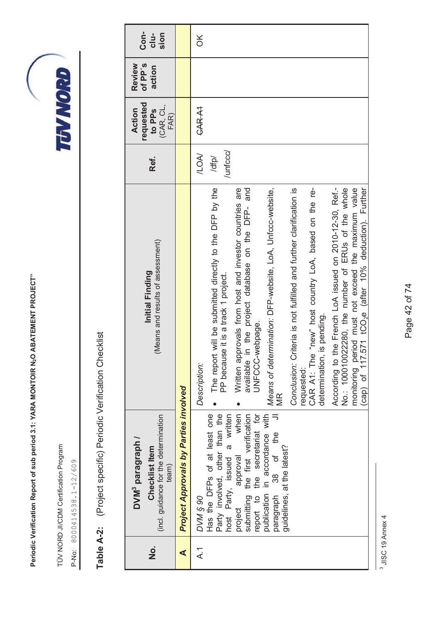TÜV NORD JI/CDM Certification Program TÜV NORD JI/CDM Certification Program

P-No: 8000414538.1-12/609 P-No: 8000414538.1-12/609

TUVNORD

| i                              |
|--------------------------------|
| <b>1222-122456-1225</b><br>, " |
| ı                              |
|                                |
| Ĺ<br>I                         |
| Ŭ<br>I<br>$\frac{1}{2}$        |

| o<br>Z       | (incl. guidance for the determination<br>DVM <sup>3</sup> paragraph /<br>Checklist<br>Item<br>team)                                                                                                                                                                                                                                           | (Means and results of assessment)<br>Initial Finding                                                                                                                                                                                                                                                                                                                                                                                                                                                                                                                                                                                                                                                                                                     | Ref.                            | requested<br>(CAR, CL,<br>Action<br>to PP <sub>S</sub><br>FAR) | of PP's<br>Review<br>action | Con-<br>$clu-$<br>sion |
|--------------|-----------------------------------------------------------------------------------------------------------------------------------------------------------------------------------------------------------------------------------------------------------------------------------------------------------------------------------------------|----------------------------------------------------------------------------------------------------------------------------------------------------------------------------------------------------------------------------------------------------------------------------------------------------------------------------------------------------------------------------------------------------------------------------------------------------------------------------------------------------------------------------------------------------------------------------------------------------------------------------------------------------------------------------------------------------------------------------------------------------------|---------------------------------|----------------------------------------------------------------|-----------------------------|------------------------|
| ∢            | <b>Project Approvals by Parties involved</b>                                                                                                                                                                                                                                                                                                  |                                                                                                                                                                                                                                                                                                                                                                                                                                                                                                                                                                                                                                                                                                                                                          |                                 |                                                                |                             |                        |
| $\lambda$ -1 | Party involved, other than the<br>approval when<br>Fried the first verification<br>submitting the first verification<br>report to the secretariat for<br>Has the DFPs of at least one<br>publication in accordance with<br>host Party, issued a written<br>38 of the<br>guidelines, at the latest?<br>paragraph<br><b>DVW § 90</b><br>project | According to the French LoA issued on 2010-12-30, Ref.-<br>No.: 100010022280, the number of ERUs of the whole<br>monitoring period must not exceed the maximum value<br>The report will be submitted directly to the DFP by the<br>Conclusion: Criteria is not fulfilled and further clarification is<br>(cap) of 117.571 tCO <sub>2</sub> e (after 10% deduction). Further<br>n the project database on the DFP- and<br>Means of determination: DFP-website, LoA, Unfccc-website,<br>CAR A1: The "new" host country LoA, based on the re-<br>Written approvals from host and investor countries are<br>PP because it is a track 1 project.<br>determination, is pending.<br>UNFCCC-webpage.<br>available<br>Description:<br>requested:<br>$\frac{R}{2}$ | /unfccc/<br><b>NOV</b><br>/dfp/ | CAR A1                                                         |                             | ă                      |

<sup>3</sup> JISC 19 Annex 4 3 JISC 19 Annex 4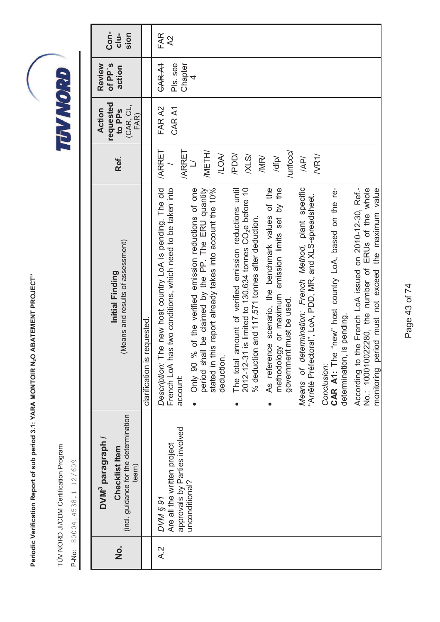TÜV NORD JI/CDM Certification Program TÜV NORD JI/CDM Certification Program

| (incl. guidance for the determination<br>DVM <sup>3</sup> paragraph /<br>Checklist Item<br>team) | (Means and results of assessment)<br>Initial Finding                                                                                                                                          | Ref.                         | requested<br>(CAR, CL,<br>Action<br>to PP <sub>S</sub><br>FAR) | of PP's<br>Review<br>action          | Con-<br>$clu-$<br>sion |
|--------------------------------------------------------------------------------------------------|-----------------------------------------------------------------------------------------------------------------------------------------------------------------------------------------------|------------------------------|----------------------------------------------------------------|--------------------------------------|------------------------|
|                                                                                                  | clarification is requested.                                                                                                                                                                   |                              |                                                                |                                      |                        |
| approvals by Parties involved<br>Are all the written project<br><b>DVM § 91</b>                  | Description: The new host country LoA is pending. The old<br>French LoA has two conditions, which need to be taken into<br>account:                                                           | <b>ARRET</b><br><b>ARRET</b> | FAR A2<br>CAR A1                                               | Chapter<br><b>CAR A1</b><br>PIs. see | FAR<br>$\lambda$       |
| unconditional?                                                                                   | period shall be claimed by the PP. The ERU quantity<br>this report already takes into account the 10%<br>% of the verified emission reductions of one<br>deduction.<br>stated in t<br>Only 90 | <b>IMETH/</b><br><b>ILOA</b> |                                                                | 4                                    |                        |
|                                                                                                  | amount of verified emission reductions until<br>$2012-12-31$ is limited to 130,634 tonnes $CO2e$ before 10<br>% deduction and 117.571 tonnes after deduction.<br>The total                    | /PDD/<br>XLS/                |                                                                |                                      |                        |
|                                                                                                  | As reference scenario, the benchmark values of the<br>methodology or maximum emission limits set by the<br>government must be used.                                                           | /unfccc/<br>/MR/<br>/dfp/    |                                                                |                                      |                        |
|                                                                                                  | Means of determination: French Method, plant specific<br>"Arrêté Préfectoral", LoA, PDD, MR, and XLS-spreadsheet.                                                                             | $N$ R1/<br>/AP/              |                                                                |                                      |                        |
|                                                                                                  | CAR A1: The "new" host country LoA, based on the re-<br>determination, is pending.<br>Conclusion:                                                                                             |                              |                                                                |                                      |                        |
|                                                                                                  | According to the French LoA issued on 2010-12-30, Ref.-<br>monitoring period must not exceed the maximum value<br>No.: 100010022280, the number of ERUs of the whole                          |                              |                                                                |                                      |                        |

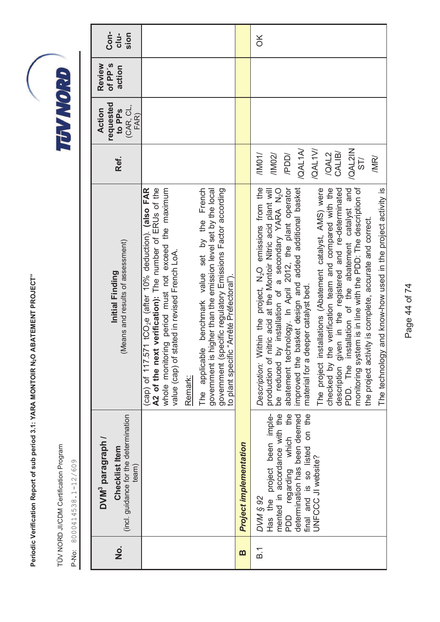TÜV NORD JI/CDM Certification Program TÜV NORD JI/CDM Certification Program

P-No: 8000414538.1-12/609 P-No: 8000414538.1-12/609

| o<br>Z            | (incl. guidance for the determination<br>DVM <sup>3</sup> paragraph /<br>Checklist Item<br>team)                                                                                                             | (Means and results of assessment)<br>Initial Finding                                                                                                                                                                                                                                                                                                                                                                                                                                                                                                                                                                                                                                                                                                                                                                      | Ref.                                                                                               | requested<br>(CAR, CL,<br>Action<br>to PP <sub>S</sub><br>FAR) | of PP's<br>Review<br>action | Con-<br>$clu-$<br>sion |
|-------------------|--------------------------------------------------------------------------------------------------------------------------------------------------------------------------------------------------------------|---------------------------------------------------------------------------------------------------------------------------------------------------------------------------------------------------------------------------------------------------------------------------------------------------------------------------------------------------------------------------------------------------------------------------------------------------------------------------------------------------------------------------------------------------------------------------------------------------------------------------------------------------------------------------------------------------------------------------------------------------------------------------------------------------------------------------|----------------------------------------------------------------------------------------------------|----------------------------------------------------------------|-----------------------------|------------------------|
|                   |                                                                                                                                                                                                              | (cap) of 117.571 tCO <sub>2</sub> e (after 10% deduction). (also FAR<br>A2 of the next verification): The number of ERUs of the<br>whole monitoring period must not exceed the maximum<br>value (cap) of stated in revised French LoA.                                                                                                                                                                                                                                                                                                                                                                                                                                                                                                                                                                                    |                                                                                                    |                                                                |                             |                        |
|                   |                                                                                                                                                                                                              | The applicable benchmark value set by the French<br>government is higher than the emission level set by the local<br>Remark:                                                                                                                                                                                                                                                                                                                                                                                                                                                                                                                                                                                                                                                                                              |                                                                                                    |                                                                |                             |                        |
|                   |                                                                                                                                                                                                              | government (specific regulatory Emissions Factor according<br>to plant specific "Arrêté Préfectoral").                                                                                                                                                                                                                                                                                                                                                                                                                                                                                                                                                                                                                                                                                                                    |                                                                                                    |                                                                |                             |                        |
| m                 | <b>Project implementation</b>                                                                                                                                                                                |                                                                                                                                                                                                                                                                                                                                                                                                                                                                                                                                                                                                                                                                                                                                                                                                                           |                                                                                                    |                                                                |                             |                        |
| $\overline{B}$ .1 | mented in accordance with the<br>Has the project been imple-<br>the<br>determination has been deemed<br>final and is so listed on the<br>PDD regarding which<br><b>UNFCCC JI website?</b><br><b>DVM § 92</b> | monitoring system is in line with the PDD: The description of<br>checked by the verification team and compared with the<br>abatement technology. In April 2012, the plant operator<br>improved the basket design and added additional basket<br>material for a deeper catalyst bed.<br>Nithin the project, N <sub>2</sub> O emissions from the<br>description given in the registered and re-determinated<br>PDD. The installation of the abatement catalyst and<br>nstallations (Abatement catalyst, AMS) were<br>The technology and know-how used in the project activity is<br>nitric acid at the Montoir Nitric acid plant will<br>by installation of a secondary YARA N <sub>2</sub> O<br>the project activity is complete, accurate and correct.<br>The project in<br>Description: \<br>production of<br>be reduced | /QAL1A/<br>/QAL1V/<br>/QAL2IN<br>CALIB/<br><b>VOOD</b><br>/QAL2<br>/1002/<br>/IM01/<br>/MR/<br>ST/ |                                                                |                             | $\frac{X}{0}$          |

Page 44 of 74 Page 44 of 74

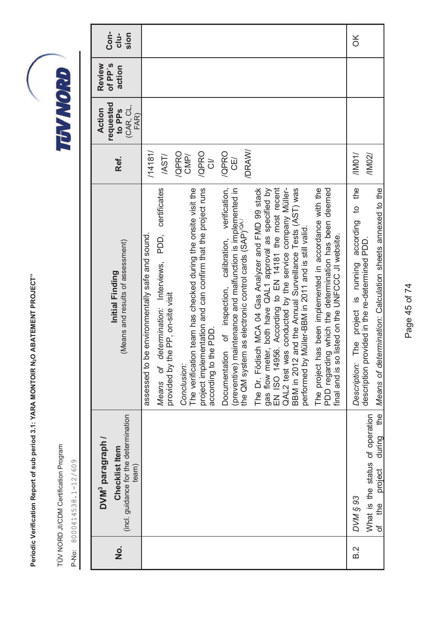TÜV NORD JI/CDM Certification Program TÜV NORD JI/CDM Certification Program

| <b>Con-</b><br>sion<br>cl <sub>u</sub>                                                           |                                                                                                                                                                                                                                                                                                                                                                                                                                                                                                                                                                                                                                                                                                                                                                                                                                                                                                                                                                                                                                                                            | $\frac{1}{\sqrt{2}}$                                                                                                                                                      |
|--------------------------------------------------------------------------------------------------|----------------------------------------------------------------------------------------------------------------------------------------------------------------------------------------------------------------------------------------------------------------------------------------------------------------------------------------------------------------------------------------------------------------------------------------------------------------------------------------------------------------------------------------------------------------------------------------------------------------------------------------------------------------------------------------------------------------------------------------------------------------------------------------------------------------------------------------------------------------------------------------------------------------------------------------------------------------------------------------------------------------------------------------------------------------------------|---------------------------------------------------------------------------------------------------------------------------------------------------------------------------|
| of PP's<br>Review<br>action                                                                      |                                                                                                                                                                                                                                                                                                                                                                                                                                                                                                                                                                                                                                                                                                                                                                                                                                                                                                                                                                                                                                                                            |                                                                                                                                                                           |
| requested<br>(CAR, CL,<br>Action<br>to PP <sub>S</sub><br>FAR)                                   |                                                                                                                                                                                                                                                                                                                                                                                                                                                                                                                                                                                                                                                                                                                                                                                                                                                                                                                                                                                                                                                                            |                                                                                                                                                                           |
| Ref.                                                                                             | /DRAW/<br>/14181/<br>/QPRO<br>/QPRO<br>/QPRO<br>CMP/<br>/AST/<br>CE/<br>$\vec{c}$                                                                                                                                                                                                                                                                                                                                                                                                                                                                                                                                                                                                                                                                                                                                                                                                                                                                                                                                                                                          | /IM01/<br>/11002/                                                                                                                                                         |
| (Means and results of assessment)<br>Initial Finding                                             | verification,<br>gas flow meter, both have QAL1 approval as specified by<br>EN ISO 14956. According to EN 14181 the most recent<br>project implementation and can confirm that the project runs<br>QAL2 test was conducted by the service company Müller-<br>has been implemented in accordance with the<br>PDD, certificates<br>The verification team has checked during the onsite visit the<br>maintenance and malfunction is implemented in<br>The Dr. Födisch MCA 04 Gas Analyzer and FMD 99 stack<br>and the Annual Surveillance Tests (AST) was<br>PDD regarding which the determination has been deemed<br>the QM system as electronic control cards (SAP) <sup>(0A/</sup><br>performed by Müller-BBM in 2011 and is still valid.<br>be environmentally safe and sound.<br>final and is so listed on the UNFCCC JI website.<br>Documentation of inspection, calibration,<br>determination: Interviews,<br>provided by the PP, on-site visit<br>according to the PDD<br><b>BBM</b> in 2012<br>(preventive)<br>The project<br>assessed to<br>Conclusion:<br>Means of | according to the<br>Means of determination: Calculation sheets annexed to the<br>description provided in the re-determined PDD.<br>The project is running<br>Description: |
| (incl. guidance for the determination<br>DVM <sup>3</sup> paragraph /<br>Checklist Item<br>team) |                                                                                                                                                                                                                                                                                                                                                                                                                                                                                                                                                                                                                                                                                                                                                                                                                                                                                                                                                                                                                                                                            | the<br>What is the status of operation<br>during<br>project<br><b>DVM § 93</b><br>of the                                                                                  |
| $\frac{\dot{\mathsf{o}}}{\mathsf{z}}$                                                            |                                                                                                                                                                                                                                                                                                                                                                                                                                                                                                                                                                                                                                                                                                                                                                                                                                                                                                                                                                                                                                                                            | is a                                                                                                                                                                      |

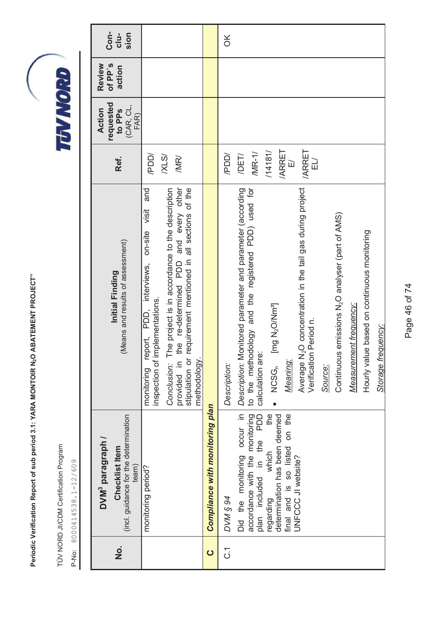TÜV NORD JI/CDM Certification Program TÜV NORD JI/CDM Certification Program

| $\frac{\dot{\mathsf{o}}}{\mathsf{z}}$ | (incl. guidance for the determination<br>DVM <sup>3</sup> paragraph /<br><b>Checklist Item</b><br>team)                                                                                                        | (Means and results of assessment)<br>Initial Finding                                                                                                                                                                                                                                                                                                                                                                                                                                               | Ref.                                                                                             | requested<br>(CAR, CL,<br>Action<br>to PP <sub>S</sub><br>FAR) | of PP's<br>Review<br>action | Con-<br>$clu-$<br>sion |
|---------------------------------------|----------------------------------------------------------------------------------------------------------------------------------------------------------------------------------------------------------------|----------------------------------------------------------------------------------------------------------------------------------------------------------------------------------------------------------------------------------------------------------------------------------------------------------------------------------------------------------------------------------------------------------------------------------------------------------------------------------------------------|--------------------------------------------------------------------------------------------------|----------------------------------------------------------------|-----------------------------|------------------------|
|                                       | monitoring period?                                                                                                                                                                                             | and every other<br>The project is in accordance to the description<br>requirement mentioned in all sections of the<br>and<br>visit<br>$on-site$<br>the re-determined PDD<br>interviews,<br>implementations.<br>PDD,<br>eport,<br>stipulation or<br>methodology.<br>inspection of<br>provided in<br>Conclusion:<br>monitoring                                                                                                                                                                       | /PDD/<br>XLSI<br>/MR/                                                                            |                                                                |                             |                        |
| $\mathbf C$                           | Compliance with monitoring plan                                                                                                                                                                                |                                                                                                                                                                                                                                                                                                                                                                                                                                                                                                    |                                                                                                  |                                                                |                             |                        |
| $\tilde{c}$                           | <b>DVM § 94</b>                                                                                                                                                                                                | Description:                                                                                                                                                                                                                                                                                                                                                                                                                                                                                       | /PDD/                                                                                            |                                                                |                             | $\frac{1}{2}$          |
|                                       | accordance with the monitoring<br>Did the monitoring occur in<br>plan included in the PDD<br>the<br>determination has been deemed<br>final and is so listed on the<br>which<br>UNFCCC JI website?<br>regarding | N <sub>2</sub> O concentration in the tail gas during project<br>to the methodology and the registered PDD) used for<br>Monitored parameter and parameter (according<br>Continuous emissions N <sub>2</sub> O analyser (part of AMS)<br>Hourly value based on continuous monitoring<br>[mg N <sub>2</sub> O/Nm <sup>3</sup> ]<br>Measurement frequency:<br>Verification Period n.<br>Storage frequency:<br>calculation are:<br>Meaning:<br>Description:<br>Average<br>NCSG <sub>n</sub><br>Source: | <b>ARRET</b><br><b>ARRET</b><br>/14181/<br>$MR-1/$<br>/DET/<br>$\Box$<br>$\overline{\mathbb{D}}$ |                                                                |                             |                        |

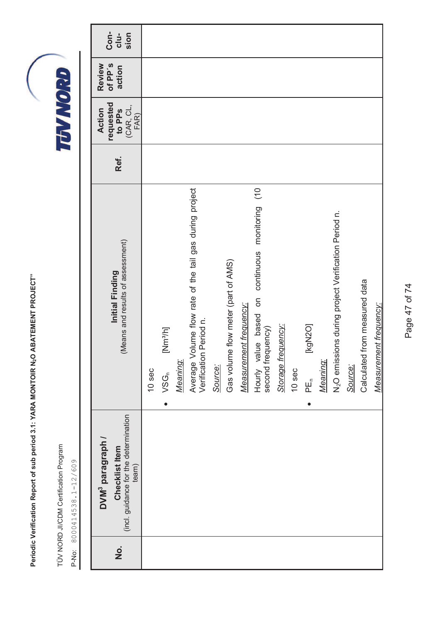TÜV NORD JI/CDM Certification Program TÜV NORD JI/CDM Certification Program

P-No: 8000414538.1-12/609 P-No: 8000414538.1-12/609

| Con-<br>$clu-$<br>sion                                                                                      |        |                                          |          |                                                                                      |         |                                     |                        |                                                                                                             |                    |        |                   |          |                                                                  |         |                                  |                        |
|-------------------------------------------------------------------------------------------------------------|--------|------------------------------------------|----------|--------------------------------------------------------------------------------------|---------|-------------------------------------|------------------------|-------------------------------------------------------------------------------------------------------------|--------------------|--------|-------------------|----------|------------------------------------------------------------------|---------|----------------------------------|------------------------|
| of PP's<br>Review<br>action                                                                                 |        |                                          |          |                                                                                      |         |                                     |                        |                                                                                                             |                    |        |                   |          |                                                                  |         |                                  |                        |
| requested<br>$\begin{array}{c} \text{(CAR, CL,} \\ \text{FAR)} \end{array}$<br>Action<br>to PP <sub>S</sub> |        |                                          |          |                                                                                      |         |                                     |                        |                                                                                                             |                    |        |                   |          |                                                                  |         |                                  |                        |
| Ref.                                                                                                        |        |                                          |          |                                                                                      |         |                                     |                        |                                                                                                             |                    |        |                   |          |                                                                  |         |                                  |                        |
| (Means and results of assessment)<br>Initial Finding                                                        | 10 sec | [Nm <sup>3</sup> /h]<br>VSG <sub>n</sub> | Meaning: | Average Volume flow rate of the tail gas during project<br>Period n.<br>Verification | Source: | Gas volume flow meter (part of AMS) | Measurement frequency: | $rac{1}{\sqrt{1}}$<br>monitoring<br>continuous<br>$\overline{5}$<br>Hourly value based<br>second frequency) | Storage frequency: | 10 sec | [kgN2O]<br>$PE_n$ | Meaning: | N <sub>2</sub> O emissions during project Verification Period n. | Source: | from measured data<br>Calculated | Measurement frequency: |
| (incl. guidance for the determination<br>DVM <sup>3</sup> paragraph /<br>Checklist Item<br>team)            |        |                                          |          |                                                                                      |         |                                     |                        |                                                                                                             |                    |        |                   |          |                                                                  |         |                                  |                        |
| <u>o</u>                                                                                                    |        |                                          |          |                                                                                      |         |                                     |                        |                                                                                                             |                    |        |                   |          |                                                                  |         |                                  |                        |

Page 47 of 74 Page 47 of 74

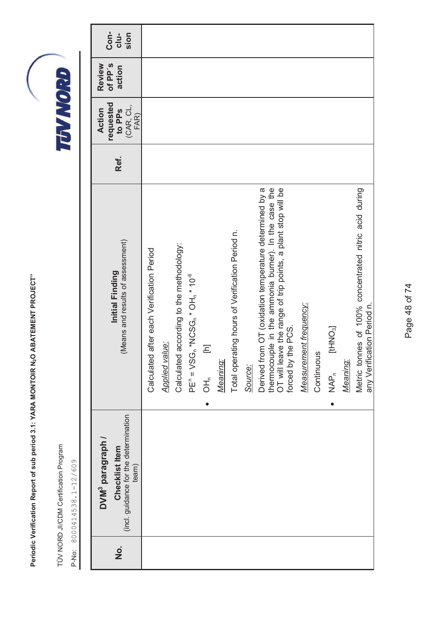TÜV NORD JI/CDM Certification Program TÜV NORD JI/CDM Certification Program

| <u>o</u><br>Z | (incl. guidance for the determination<br>DVM <sup>3</sup> paragraph /<br>Checklist Item<br>team) | (Means and results of assessment)<br>Initial Finding                                                                                                                                                 | Ref. | requested<br>(CAR, CL,<br>Action<br>to PP <sub>S</sub><br>FAR) | of PP's<br>Review<br>action | Con-<br>$clu-$<br>sion |
|---------------|--------------------------------------------------------------------------------------------------|------------------------------------------------------------------------------------------------------------------------------------------------------------------------------------------------------|------|----------------------------------------------------------------|-----------------------------|------------------------|
|               |                                                                                                  | after each Verification Period<br>Calculated                                                                                                                                                         |      |                                                                |                             |                        |
|               |                                                                                                  | <b>Applied value:</b>                                                                                                                                                                                |      |                                                                |                             |                        |
|               |                                                                                                  | according to the methodology:<br>Calculated                                                                                                                                                          |      |                                                                |                             |                        |
|               |                                                                                                  | $PEn = VSGn * NCSGn * OHn * 10-6$                                                                                                                                                                    |      |                                                                |                             |                        |
|               |                                                                                                  | Ξ<br>$\overline{d}$                                                                                                                                                                                  |      |                                                                |                             |                        |
|               |                                                                                                  | Meaning:                                                                                                                                                                                             |      |                                                                |                             |                        |
|               |                                                                                                  | Total operating hours of Verification Period n.                                                                                                                                                      |      |                                                                |                             |                        |
|               |                                                                                                  | Source:                                                                                                                                                                                              |      |                                                                |                             |                        |
|               |                                                                                                  | thermocouple in the ammonia burner). In the case the<br>OT will leave the range of trip points, a plant stop will be<br>Derived from OT (oxidation temperature determined by a<br>forced by the PCS. |      |                                                                |                             |                        |
|               |                                                                                                  | Measurement frequency:                                                                                                                                                                               |      |                                                                |                             |                        |
|               |                                                                                                  | Continuous                                                                                                                                                                                           |      |                                                                |                             |                        |
|               |                                                                                                  | [tHNO <sub>3</sub> ]<br>$\overline{R}_{\overline{A}}^{\overline{P}_{\overline{C}}}$                                                                                                                  |      |                                                                |                             |                        |
|               |                                                                                                  | Meaning:                                                                                                                                                                                             |      |                                                                |                             |                        |
|               |                                                                                                  | Metric tonnes of 100% concentrated nitric acid during<br>any Verification Period n.                                                                                                                  |      |                                                                |                             |                        |

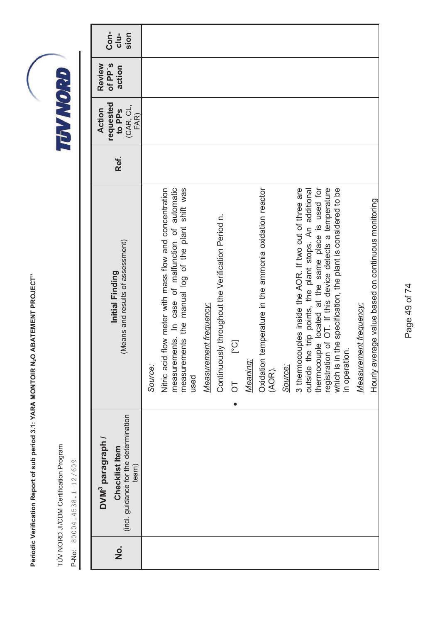TÜV NORD JI/CDM Certification Program TÜV NORD JI/CDM Certification Program

| $\frac{\dot{\mathsf{o}}}{\mathsf{z}}$ | (incl. guidance for the determination<br>DVM <sup>3</sup> paragraph /<br>Checklist Item<br>team) | (Means and results of assessment)<br>Initial Finding                                                                                                                                                                                                                                                                                                                                                                                                                                                                                                                                                                                                                                                                                                                  | Ref. | requested<br>(CAR, CL,<br><b>Action</b><br>to PP <sub>S</sub><br>FAR) | of PP's<br>Review<br>action | Con-<br>$clu-$<br>sion |
|---------------------------------------|--------------------------------------------------------------------------------------------------|-----------------------------------------------------------------------------------------------------------------------------------------------------------------------------------------------------------------------------------------------------------------------------------------------------------------------------------------------------------------------------------------------------------------------------------------------------------------------------------------------------------------------------------------------------------------------------------------------------------------------------------------------------------------------------------------------------------------------------------------------------------------------|------|-----------------------------------------------------------------------|-----------------------------|------------------------|
|                                       |                                                                                                  | flow meter with mass flow and concentration<br>measurements. In case of malfunction of automatic<br>3 thermocouples inside the AOR. If two out of three are<br>thermocouple located at the same place is used for<br>registration of OT. If this device detects a temperature<br>nents the manual log of the plant shift was<br>temperature in the ammonia oxidation reactor<br>which is in the specification, the plant is considered to be<br>outside the trip points, the plant stops. An additional<br>Continuously throughout the Verification Period n.<br>Measurement frequency:<br>Measurement frequency:<br>[°C]<br>in operation.<br>Nitric acid<br>measurem<br>Meaning:<br>Oxidation<br>Source:<br>Source:<br>(AOR).<br>used<br>$\overline{C}$<br>$\bullet$ |      |                                                                       |                             |                        |
|                                       |                                                                                                  | Hourly average value based on continuous monitoring                                                                                                                                                                                                                                                                                                                                                                                                                                                                                                                                                                                                                                                                                                                   |      |                                                                       |                             |                        |

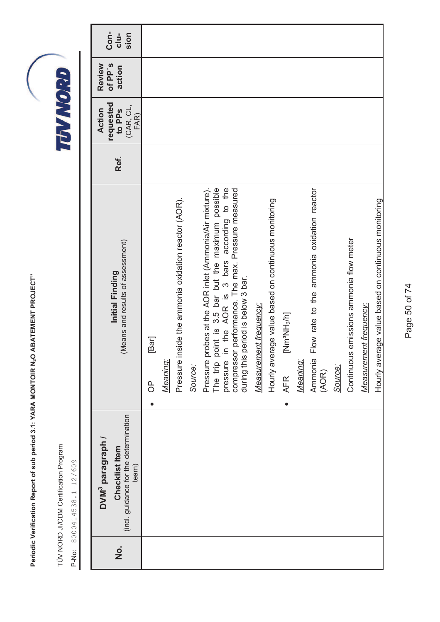TÜV NORD JI/CDM Certification Program TÜV NORD JI/CDM Certification Program

P-No: 8000414538.1-12/609 P-No: 8000414538.1-12/609

| (incl. guidance for the determination<br>DVM <sup>3</sup> paragraph /<br>Checklist Item<br>team) | (Means and results of assessment)<br>Initial Finding                                                                                       | Ref. | requested<br>(CAR, CL,<br>Action<br>to PP <sub>S</sub><br>FAR) | of PP's<br>Review<br>action | Con-<br>cl <sub>u</sub><br>sion |  |
|--------------------------------------------------------------------------------------------------|--------------------------------------------------------------------------------------------------------------------------------------------|------|----------------------------------------------------------------|-----------------------------|---------------------------------|--|
|                                                                                                  | [Bar]<br>$\overline{0}$                                                                                                                    |      |                                                                |                             |                                 |  |
|                                                                                                  | Meaning:                                                                                                                                   |      |                                                                |                             |                                 |  |
|                                                                                                  | nside the ammonia oxidation reactor (AOR).<br>Pressure i                                                                                   |      |                                                                |                             |                                 |  |
|                                                                                                  | Source:                                                                                                                                    |      |                                                                |                             |                                 |  |
|                                                                                                  | Pressure probes at the AOR inlet (Ammonia/Air mixture).                                                                                    |      |                                                                |                             |                                 |  |
|                                                                                                  | point is 3.5 bar but the maximum possible<br>The trip                                                                                      |      |                                                                |                             |                                 |  |
|                                                                                                  | pressure in the AOR is 3 bars according to the compressor performance. The max. Pressure measured<br>period is below 3 bar.<br>during this |      |                                                                |                             |                                 |  |
|                                                                                                  | Measurement frequency:                                                                                                                     |      |                                                                |                             |                                 |  |
|                                                                                                  | Hourly average value based on continuous monitoring                                                                                        |      |                                                                |                             |                                 |  |
|                                                                                                  | $[N^e$ HN°MH $^e$<br><b>AFR</b><br>$\bullet$                                                                                               |      |                                                                |                             |                                 |  |
|                                                                                                  | Meaning:                                                                                                                                   |      |                                                                |                             |                                 |  |
|                                                                                                  | Flow rate to the ammonia oxidation reactor<br>Ammonia<br>(AOR)                                                                             |      |                                                                |                             |                                 |  |
|                                                                                                  | Source:                                                                                                                                    |      |                                                                |                             |                                 |  |
|                                                                                                  | Continuous emissions ammonia flow meter                                                                                                    |      |                                                                |                             |                                 |  |
|                                                                                                  | <b>Measurement frequency:</b>                                                                                                              |      |                                                                |                             |                                 |  |
|                                                                                                  | Hourly average value based on continuous monitoring                                                                                        |      |                                                                |                             |                                 |  |

Page 50 of 74 Page 50 of 74

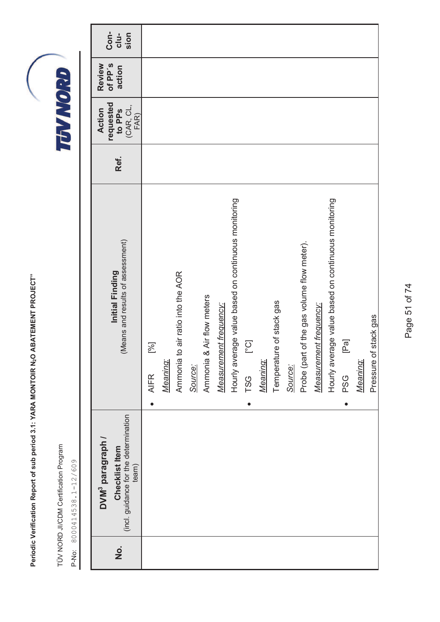TÜV NORD JI/CDM Certification Program TÜV NORD JI/CDM Certification Program

P-No: 8000414538.1-12/609 P-No: 8000414538.1-12/609

| Con-<br>$clu-$<br>sion                                                                           |                                                                                                                                                                                                                                                                                   |          |                                        |         |                           |                        |                                                     |                                   |          |                          |         |                                            |                        |                                                     |                                                          |          |                       |
|--------------------------------------------------------------------------------------------------|-----------------------------------------------------------------------------------------------------------------------------------------------------------------------------------------------------------------------------------------------------------------------------------|----------|----------------------------------------|---------|---------------------------|------------------------|-----------------------------------------------------|-----------------------------------|----------|--------------------------|---------|--------------------------------------------|------------------------|-----------------------------------------------------|----------------------------------------------------------|----------|-----------------------|
| of PP's<br>Review<br>action                                                                      |                                                                                                                                                                                                                                                                                   |          |                                        |         |                           |                        |                                                     |                                   |          |                          |         |                                            |                        |                                                     |                                                          |          |                       |
| requested<br>(CAR, CL, FAR)<br>Action<br>to PPs                                                  |                                                                                                                                                                                                                                                                                   |          |                                        |         |                           |                        |                                                     |                                   |          |                          |         |                                            |                        |                                                     |                                                          |          |                       |
| Ref.                                                                                             |                                                                                                                                                                                                                                                                                   |          |                                        |         |                           |                        |                                                     |                                   |          |                          |         |                                            |                        |                                                     |                                                          |          |                       |
| (Means and results of assessment)<br>Initial Finding                                             | $[%] \centering% \includegraphics[width=1.0\textwidth]{images/TrDiC-Architecture.png} \caption{The 3D (top) and the 4D (bottom) of the 3D (bottom) and the 4D (bottom) of the 3D (bottom) and the 4D (bottom) of the 3D (bottom).} \label{fig:TrDiC-Architecture}$<br><b>AIFR</b> | Meaning: | to air ratio into the AOR<br>Ammonia 1 | Source: | Ammonia & Air flow meters | Measurement frequency: | Hourly average value based on continuous monitoring | $[{\rm C}^{\circ}]$<br><b>TSG</b> | Meaning: | Temperature of stack gas | Source: | Probe (part of the gas volume flow meter). | Measurement frequency: | Hourly average value based on continuous monitoring | $\mathbb{P}$ ā $\overline{a}$<br><b>PSG</b><br>$\bullet$ | Meaning: | Pressure of stack gas |
| (incl. guidance for the determination<br>DVM <sup>3</sup> paragraph /<br>Checklist Item<br>team) |                                                                                                                                                                                                                                                                                   |          |                                        |         |                           |                        |                                                     |                                   |          |                          |         |                                            |                        |                                                     |                                                          |          |                       |
| $\frac{\dot{\mathsf{o}}}{\mathsf{z}}$                                                            |                                                                                                                                                                                                                                                                                   |          |                                        |         |                           |                        |                                                     |                                   |          |                          |         |                                            |                        |                                                     |                                                          |          |                       |

Page 51 of 74 Page 51 of 74

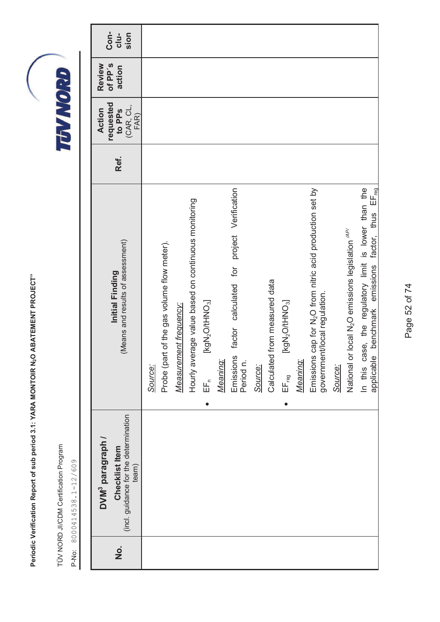TÜV NORD JI/CDM Certification Program TÜV NORD JI/CDM Certification Program

| o<br>Z | (incl. guidance for the determination<br>DVM <sup>3</sup> paragraph /<br>Checklist Item<br>team) | (Means and results of assessment)<br>Initial Finding                                                                     | Ref. | requested<br>(CAR, CL,<br>Action<br>to PP <sub>S</sub><br>FAR) | of PP's<br>Review<br>action | Con-<br>$clu-$<br>sion |
|--------|--------------------------------------------------------------------------------------------------|--------------------------------------------------------------------------------------------------------------------------|------|----------------------------------------------------------------|-----------------------------|------------------------|
|        |                                                                                                  | Source:                                                                                                                  |      |                                                                |                             |                        |
|        |                                                                                                  | Probe (part of the gas volume flow meter).                                                                               |      |                                                                |                             |                        |
|        |                                                                                                  | Measurement frequency:                                                                                                   |      |                                                                |                             |                        |
|        |                                                                                                  | Hourly average value based on continuous monitoring                                                                      |      |                                                                |                             |                        |
|        |                                                                                                  | [kgN <sub>2</sub> O/tHNO <sub>3</sub> ]<br>EF <sub>c</sub>                                                               |      |                                                                |                             |                        |
|        |                                                                                                  | Meaning:                                                                                                                 |      |                                                                |                             |                        |
|        |                                                                                                  | project Verification<br>factor calculated for<br>Emissions<br>Period n.                                                  |      |                                                                |                             |                        |
|        |                                                                                                  | Source:                                                                                                                  |      |                                                                |                             |                        |
|        |                                                                                                  | from measured data<br>Calculated                                                                                         |      |                                                                |                             |                        |
|        |                                                                                                  | [kgN2O/tHNO <sub>3</sub> ]<br>$EF_{reg}$                                                                                 |      |                                                                |                             |                        |
|        |                                                                                                  | Meaning:                                                                                                                 |      |                                                                |                             |                        |
|        |                                                                                                  | cap for N <sub>2</sub> O from nitric acid production set by<br>government/local regulation.<br>Emissions                 |      |                                                                |                             |                        |
|        |                                                                                                  | Source:                                                                                                                  |      |                                                                |                             |                        |
|        |                                                                                                  | National or local N <sub>2</sub> O emissions legislation <sup>"/AP/</sup>                                                |      |                                                                |                             |                        |
|        |                                                                                                  | In this case, the regulatory limit is lower than the<br>benchmark emissions factor, thus EF <sub>reg</sub><br>applicable |      |                                                                |                             |                        |

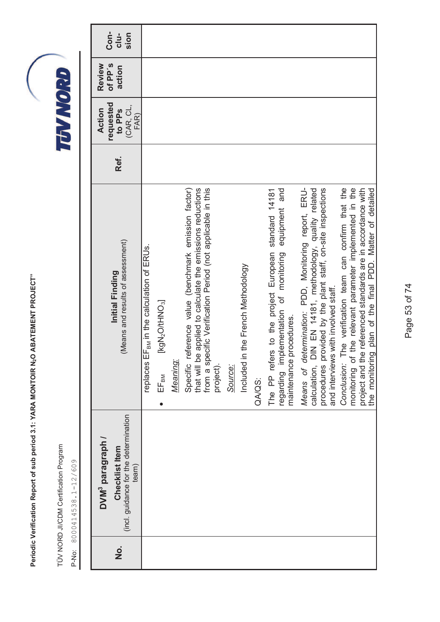TÜV NORD JI/CDM Certification Program TÜV NORD JI/CDM Certification Program

| $\dot{\mathbf{z}}$ | (incl. guidance for the determination<br>DVM <sup>3</sup> paragraph /<br>Checklist Item<br>team) | (Means and results of assessment)<br>Initial Finding                                                                                                                                                                  | Ref. | requested<br>(CAR, CL,<br>Action<br>to PP <sub>S</sub><br>FAR) | of PP's<br>Review<br>action | Con-<br>$clu-$<br>sion |
|--------------------|--------------------------------------------------------------------------------------------------|-----------------------------------------------------------------------------------------------------------------------------------------------------------------------------------------------------------------------|------|----------------------------------------------------------------|-----------------------------|------------------------|
|                    |                                                                                                  | replaces EF <sub>BM</sub> in the calculation of ERUs.                                                                                                                                                                 |      |                                                                |                             |                        |
|                    |                                                                                                  | [kgN <sub>2</sub> O/HNO <sub>3</sub> ]<br>EF <sub>BM</sub>                                                                                                                                                            |      |                                                                |                             |                        |
|                    |                                                                                                  | Meaning:                                                                                                                                                                                                              |      |                                                                |                             |                        |
|                    |                                                                                                  | Specific reference value (benchmark emission factor)<br>that will be applied to calculate the emissions reductions<br>from a specific Verification Period (not applicable in this<br>project).                        |      |                                                                |                             |                        |
|                    |                                                                                                  | Source:                                                                                                                                                                                                               |      |                                                                |                             |                        |
|                    |                                                                                                  | n the French Methodology<br>Included in                                                                                                                                                                               |      |                                                                |                             |                        |
|                    |                                                                                                  | QA/QS:                                                                                                                                                                                                                |      |                                                                |                             |                        |
|                    |                                                                                                  | equipment and<br>The PP refers to the project European standard 14181<br>regarding implementation of monitoring<br>procedures.<br>maintenance                                                                         |      |                                                                |                             |                        |
|                    |                                                                                                  | Means of determination: PDD, Monitoring report, ERU-<br>calculation, DIN EN 14181, methodology, quality related<br>procedures provided by the plant staff, on-site inspections<br>and interviews with involved staff. |      |                                                                |                             |                        |
|                    |                                                                                                  | The verification team can confirm that the<br>monitoring of the relevant parameter implemented in the<br>project and the referenced standards are in accordance with<br>Conclusion:                                   |      |                                                                |                             |                        |
|                    |                                                                                                  | the monitoring plan of the final PDD. Matter of detailed                                                                                                                                                              |      |                                                                |                             |                        |

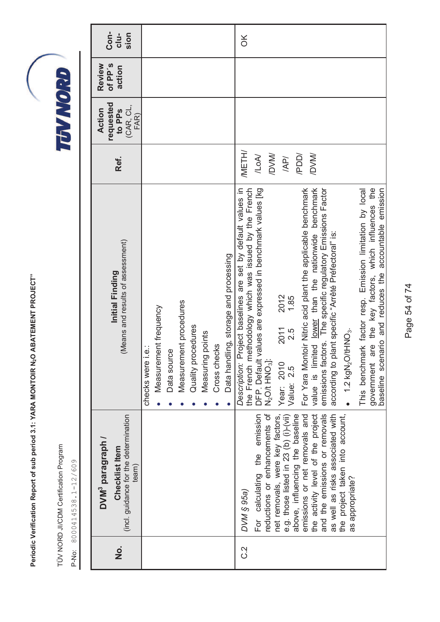TÜV NORD JI/CDM Certification Program TÜV NORD JI/CDM Certification Program

P-No: 8000414538.1-12/609 P-No: 8000414538.1-12/609

| $\dot{\mathbf{z}}$ | (incl. guidance for the determination<br>DVM <sup>3</sup> paragraph /<br>Checklist Item<br>team)                                                                                                                                                                                                                                                                                            | (Means and results of assessment)<br>Initial Finding                                                                                                                                                                                                                                                                                                                                                                                                                                                                                                                                                                                                                                                                                                                          | Ref.                                                                  | requested<br>(CAR, CL,<br>Action<br>to PP <sub>S</sub><br>FAR) | of PP's<br>Review<br>action | <b>Con-</b><br>$clu-$<br>sion |
|--------------------|---------------------------------------------------------------------------------------------------------------------------------------------------------------------------------------------------------------------------------------------------------------------------------------------------------------------------------------------------------------------------------------------|-------------------------------------------------------------------------------------------------------------------------------------------------------------------------------------------------------------------------------------------------------------------------------------------------------------------------------------------------------------------------------------------------------------------------------------------------------------------------------------------------------------------------------------------------------------------------------------------------------------------------------------------------------------------------------------------------------------------------------------------------------------------------------|-----------------------------------------------------------------------|----------------------------------------------------------------|-----------------------------|-------------------------------|
|                    |                                                                                                                                                                                                                                                                                                                                                                                             | Data handling, storage and processing<br>Measurement procedures<br>Measurement frequency<br>Quality procedures<br>Measuring points<br>Cross checks<br>checks were i.e.:<br>Data source                                                                                                                                                                                                                                                                                                                                                                                                                                                                                                                                                                                        |                                                                       |                                                                |                             |                               |
| 2.0                | and the emissions or removals<br>For calculating the emission<br>reductions or enhancements of<br>emissions or net removals and<br>the activity level of the project<br>as well as risks associated with<br>e.g. those listed in 23 (b) (i)-(vii)<br>above, influencing the baseline<br>net removals, were key factors,<br>the project taken into account,<br>as appropriate?<br>DVM § 95a) | Description: Project baselines are set by default values in<br>the French methodology which was issued by the French<br>government are the key factors, which influences the<br>DFP. Default values are expressed in benchmark values [kg<br>value is limited lower than the nationwide benchmark<br>accountable emission<br>For Yara Montoir Nitric acid plant the applicable benchmark<br>emissions factors. The specific regulatory Emissions Factor<br>This benchmark factor resp. Emission limitation by local<br>according to plant specific "Arrêté Préfectoral" is:<br>baseline scenario and reduces the<br>2012<br>1.85<br>2011<br>2.5<br>$\bullet$ 1.2 kgN <sub>2</sub> O/tHNO <sub>3</sub> .<br>N <sub>2</sub> O/t HNO <sub>3</sub> ]:<br>Year: 2010<br>Value: 2.5 | <b>IMETH/</b><br><b>IDVM/</b><br><b>IDVM/</b><br>10M<br>/PDD/<br>/AP/ |                                                                |                             | $\aleph$                      |

Page 54 of 74 Page 54 of 74

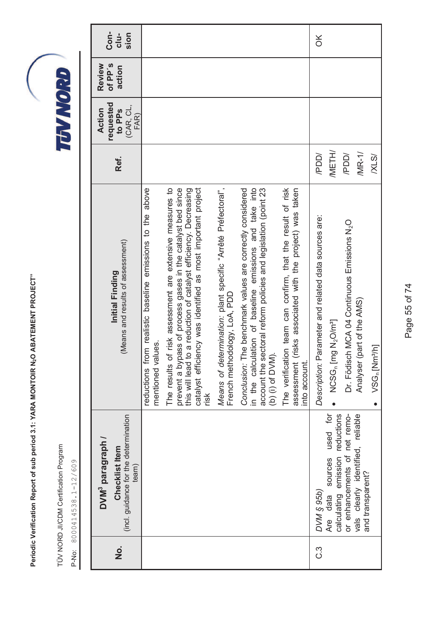TÜV NORD JI/CDM Certification Program TÜV NORD JI/CDM Certification Program

P-No: 8000414538.1-12/609 P-No: 8000414538.1-12/609

| Con-<br>sion<br>cl <sub>u</sub>                                                                  |                                                                                   |                                                                                                                                                                                                                                                                        |                                                                                              |                                                                                                                                                                                                                |                                                                                                                                            | XO                                                   |                                                                 |                                                          |                                                       |                                       |
|--------------------------------------------------------------------------------------------------|-----------------------------------------------------------------------------------|------------------------------------------------------------------------------------------------------------------------------------------------------------------------------------------------------------------------------------------------------------------------|----------------------------------------------------------------------------------------------|----------------------------------------------------------------------------------------------------------------------------------------------------------------------------------------------------------------|--------------------------------------------------------------------------------------------------------------------------------------------|------------------------------------------------------|-----------------------------------------------------------------|----------------------------------------------------------|-------------------------------------------------------|---------------------------------------|
| of PP's<br>Review<br>action                                                                      |                                                                                   |                                                                                                                                                                                                                                                                        |                                                                                              |                                                                                                                                                                                                                |                                                                                                                                            |                                                      |                                                                 |                                                          |                                                       |                                       |
| requested<br>to PPs<br>(CAR, CL,<br>Action<br>FAR)                                               |                                                                                   |                                                                                                                                                                                                                                                                        |                                                                                              |                                                                                                                                                                                                                |                                                                                                                                            |                                                      |                                                                 |                                                          |                                                       |                                       |
| Ref.                                                                                             |                                                                                   |                                                                                                                                                                                                                                                                        |                                                                                              |                                                                                                                                                                                                                |                                                                                                                                            | /PDD/                                                | <b>IMETH/</b>                                                   | <b>/PDD/</b>                                             | MRT1/                                                 | XLS                                   |
| (Means and results of assessment)<br>Initial Finding                                             | above<br>reductions from realistic baseline emissions to the<br>mentioned values. | of risk assessment are extensive measures to<br>prevent a bypass of process gases in the catalyst bed since<br>catalyst efficiency was identified as most important project<br>this will lead to a reduction of catalyst efficiency. Decreasing<br>The results<br>risk | Means of determination: plant specific "Arrêté Préfectoral",<br>French methodology, LoA, PDD | in the calculation of baseline emissions and take into<br>account the sectoral reform policies and legislation (point 23<br>Conclusion: The benchmark values are correctly considered<br>(b) $(i)$ of $DVM$ ). | The verification team can confirm, that the result of risk<br>(risks associated with the project) was taken<br>into account.<br>assessment | Description: Parameter and related data sources are: | NCSG <sub>n</sub> [mg N <sub>2</sub> O/m <sup>a</sup> ]         | Dr. Födisch MCA 04 Continuous Emissions N <sub>2</sub> O | Analyser (part of the AMS)                            | VSG <sub>n</sub> [Nm <sup>3</sup> /h] |
| (incl. guidance for the determination<br>DVM <sup>3</sup> paragraph /<br>Checklist Item<br>team) |                                                                                   |                                                                                                                                                                                                                                                                        |                                                                                              |                                                                                                                                                                                                                |                                                                                                                                            | DVM § 95b)                                           | sources used for<br>calculating emission reductions<br>Are data | or enhancements of net remo-                             | vals clearly identified, reliable<br>and transparent? |                                       |
| $\dot{\mathbf{z}}$                                                                               |                                                                                   |                                                                                                                                                                                                                                                                        |                                                                                              |                                                                                                                                                                                                                |                                                                                                                                            | ာ                                                    |                                                                 |                                                          |                                                       |                                       |

Page 55 of 74 Page 55 of 74

TEVNORD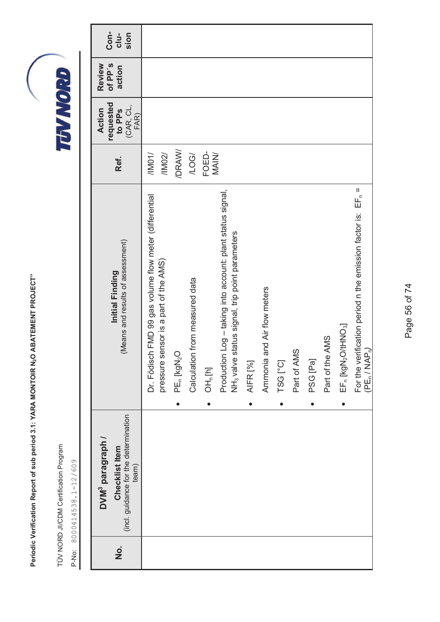TÜV NORD JI/CDM Certification Program TÜV NORD JI/CDM Certification Program

| Con-<br>$clu-$<br>sion<br>of PP's<br>Review<br>action                                            |                                                                                                 |                                     |                                |                       |                                                                                                                             |                 |                                |          |             |          |                 |                                                                      |                                                                                                                  |
|--------------------------------------------------------------------------------------------------|-------------------------------------------------------------------------------------------------|-------------------------------------|--------------------------------|-----------------------|-----------------------------------------------------------------------------------------------------------------------------|-----------------|--------------------------------|----------|-------------|----------|-----------------|----------------------------------------------------------------------|------------------------------------------------------------------------------------------------------------------|
|                                                                                                  |                                                                                                 |                                     |                                |                       |                                                                                                                             |                 |                                |          |             |          |                 |                                                                      |                                                                                                                  |
| requested<br>(CAR, CL,<br>FAR)<br>to PP <sub>S</sub><br>Action                                   |                                                                                                 |                                     |                                |                       |                                                                                                                             |                 |                                |          |             |          |                 |                                                                      |                                                                                                                  |
| Ref.                                                                                             | /IMD1/<br>/11002/                                                                               | /DRAW/                              | /LOG                           | FOED-<br><b>MAIN/</b> |                                                                                                                             |                 |                                |          |             |          |                 |                                                                      |                                                                                                                  |
| (Means and results of assessment)<br>Initial Finding                                             | Dr. Födisch FMD 99 gas volume flow meter (differential<br>pressure sensor is a part of the AMS) | PE <sub>n</sub> [kgN <sub>2</sub> O | Calculation from measured data | OH <sub>n</sub> [h]   | Production Log - taking into account: plant status signal,<br>status signal, trip point parameters<br>NH <sub>3</sub> valve | <b>AIFR</b> [%] | and Air flow meters<br>Ammonia | TSG [°C] | Part of AMS | PSG [Pa] | Part of the AMS | EF <sub>n</sub> [kgN <sub>2</sub> O/tHNO <sub>3</sub> ]<br>$\bullet$ | For the verification period n the emission factor is: EF <sub>n</sub> =<br>(PE <sub>n</sub> / NAP <sub>n</sub> ) |
| (incl. guidance for the determination<br>DVM <sup>3</sup> paragraph /<br>Checklist Item<br>team) |                                                                                                 |                                     |                                |                       |                                                                                                                             |                 |                                |          |             |          |                 |                                                                      |                                                                                                                  |
| $\frac{\dot{\mathsf{o}}}{\mathsf{z}}$                                                            |                                                                                                 |                                     |                                |                       |                                                                                                                             |                 |                                |          |             |          |                 |                                                                      |                                                                                                                  |

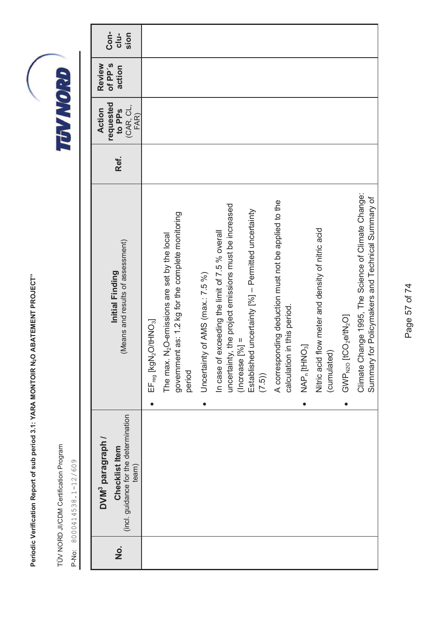TÜV NORD JI/CDM Certification Program TÜV NORD JI/CDM Certification Program

| o<br>N | (incl. guidance for the determination<br>DVM <sup>3</sup> paragraph /<br>Checklist Item<br>team) | (Means and results of assessment)<br>Initial Finding                                                                                                                                               | Ref. | requested<br>(CAR, CL,<br>Action<br>to PP <sub>S</sub><br>FAR) | of PP's<br>Review<br>action | Con-<br>$clu-$<br>sion |
|--------|--------------------------------------------------------------------------------------------------|----------------------------------------------------------------------------------------------------------------------------------------------------------------------------------------------------|------|----------------------------------------------------------------|-----------------------------|------------------------|
|        |                                                                                                  | $EF_{reg}$ [kgN <sub>2</sub> O/tHNO <sub>3</sub> ]<br>$\bullet$                                                                                                                                    |      |                                                                |                             |                        |
|        |                                                                                                  | government as: 1.2 kg for the complete monitoring<br>N <sub>2</sub> O-emissions are set by the local<br>The max.<br>period                                                                         |      |                                                                |                             |                        |
|        |                                                                                                  | Uncertainty of AMS (max.: 7.5 %)<br>$\bullet$                                                                                                                                                      |      |                                                                |                             |                        |
|        |                                                                                                  | uncertainty, the project emissions must be increased<br>Established uncertainty [%] - Permitted uncertainty<br>exceeding the limit of 7.5 % overall<br>$[%] =$<br>In case of<br>(Increase<br>(7.5) |      |                                                                |                             |                        |
|        |                                                                                                  | A corresponding deduction must not be applied to the<br>calculation in this period.                                                                                                                |      |                                                                |                             |                        |
|        |                                                                                                  | NAP <sub>n</sub> [tHNO <sub>3</sub> ]<br>$\bullet$                                                                                                                                                 |      |                                                                |                             |                        |
|        |                                                                                                  | Nitric acid flow meter and density of nitric acid<br>(cumulated)                                                                                                                                   |      |                                                                |                             |                        |
|        |                                                                                                  | GWP <sub>N20</sub> [tCO <sub>2</sub> e/tN <sub>2</sub> O]                                                                                                                                          |      |                                                                |                             |                        |
|        |                                                                                                  | Climate Change 1995, The Science of Climate Change:<br>for Policymakers and Technical Summary of<br>Summary                                                                                        |      |                                                                |                             |                        |

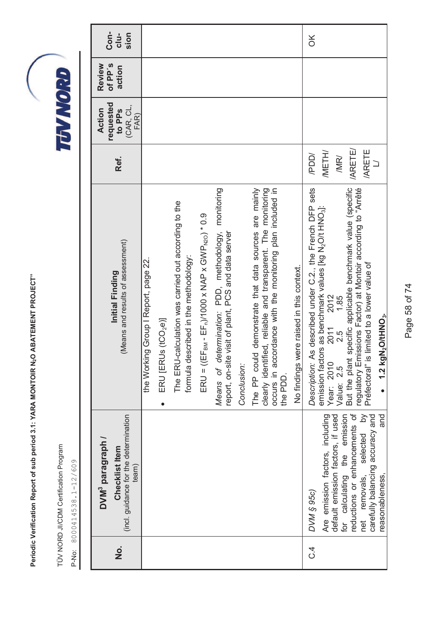TÜV NORD JI/CDM Certification Program TÜV NORD JI/CDM Certification Program

P-No: 8000414538.1-12/609 P-No: 8000414538.1-12/609

| Con-<br>sion<br>$clu-$                                                                           |                                                                                                                                                                                                                                                                                                                                                                                                                                                                                                                                                                                                                                | $\frac{X}{C}$                                                                                                                                                                                                                                                                                                                                                                                                                                       |
|--------------------------------------------------------------------------------------------------|--------------------------------------------------------------------------------------------------------------------------------------------------------------------------------------------------------------------------------------------------------------------------------------------------------------------------------------------------------------------------------------------------------------------------------------------------------------------------------------------------------------------------------------------------------------------------------------------------------------------------------|-----------------------------------------------------------------------------------------------------------------------------------------------------------------------------------------------------------------------------------------------------------------------------------------------------------------------------------------------------------------------------------------------------------------------------------------------------|
| of PP's<br>Review<br>action                                                                      |                                                                                                                                                                                                                                                                                                                                                                                                                                                                                                                                                                                                                                |                                                                                                                                                                                                                                                                                                                                                                                                                                                     |
| requested<br>(CAR, CL,<br>Action<br>to PP <sub>S</sub><br>FAR)                                   |                                                                                                                                                                                                                                                                                                                                                                                                                                                                                                                                                                                                                                |                                                                                                                                                                                                                                                                                                                                                                                                                                                     |
| Ref.                                                                                             |                                                                                                                                                                                                                                                                                                                                                                                                                                                                                                                                                                                                                                | <b>/ARETE/</b><br><b>ARETE</b><br><b>IMETH/</b><br>/PDD/<br>/MR/                                                                                                                                                                                                                                                                                                                                                                                    |
| (Means and results of assessment)<br>Initial Finding                                             | Means of determination: PDD, methodology, monitoring<br>The PP could demonstrate that data sources are mainly<br>clearly identified, reliable and transparent. The monitoring<br>occurs in accordance with the monitoring plan included in<br>The ERU-calculation was carried out according to the<br>$ERU = (EFBM - EFn)/1000 \times NAP \times GWPN20) * 0.9$<br>report, on-site visit of plant, PCS and data server<br>formula described in the methodology:<br>the Working Group I Report, page 22.<br>No findings were raised in this context.<br>ERU [ERUs (tCO <sub>2</sub> e)]<br>Conclusion:<br>the PDD.<br>$\bullet$ | Description: As described under C.2., the French DFP sets<br>specific applicable benchmark value (specific<br>regulatory Emissions Factor) at Montoir according to "Arrêté<br>emission factors as benchmark values [kg N <sub>2</sub> O/t HNO <sub>3</sub> ]:<br>Préfectoral" is limited to a lower value of<br>1.85<br>2012<br>1.2 kgN <sub>2</sub> O/tHNO <sub>3</sub> .<br>2011<br>2.5<br>But the plant<br>Year: 2010<br>Value: 2.5<br>$\bullet$ |
| (incl. guidance for the determination<br>DVM <sup>3</sup> paragraph /<br>Checklist Item<br>team) |                                                                                                                                                                                                                                                                                                                                                                                                                                                                                                                                                                                                                                | $\delta$<br>reductions or enhancements of<br>for calculating the emission<br>and<br>Are emission factors, including<br>carefully balancing accuracy and<br>default emission factors, if used<br>selected<br>reasonableness,<br>net removals,<br>DVM § 95c)                                                                                                                                                                                          |
| o<br>Z                                                                                           |                                                                                                                                                                                                                                                                                                                                                                                                                                                                                                                                                                                                                                | ب<br>ن                                                                                                                                                                                                                                                                                                                                                                                                                                              |

Page 58 of 74 Page 58 of 74

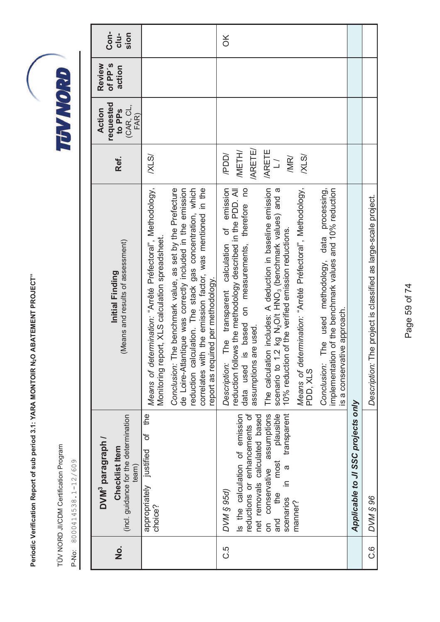TÜV NORD JI/CDM Certification Program TÜV NORD JI/CDM Certification Program

| $\dot{\mathbf{z}}$ | (incl. guidance for the determination<br>DVM <sup>3</sup> paragraph /<br>Checklist Item<br>team)                       | (Means and results of assessment)<br>Initial Finding                                                                                                                                                                                                                                        | Ref.                                          | requested<br>(CAR, CL,<br>Action<br>to PP <sub>S</sub><br>FAR) | of PP's<br>Review<br>action | Con-<br>$clu-$<br>sion |
|--------------------|------------------------------------------------------------------------------------------------------------------------|---------------------------------------------------------------------------------------------------------------------------------------------------------------------------------------------------------------------------------------------------------------------------------------------|-----------------------------------------------|----------------------------------------------------------------|-----------------------------|------------------------|
|                    | the<br>đ<br>appropriately justified<br>choice?                                                                         | Means of determination: "Arrêté Préfectoral", Methodology,<br>Monitoring report, XLS calculation spreadsheet.                                                                                                                                                                               | XLSI                                          |                                                                |                             |                        |
|                    |                                                                                                                        | The benchmark value, as set by the Prefecture<br>de Loire-Atlantique was correctly included in the emission<br>reduction calculation. The stack gas concentration, which<br>correlates with the emission factor, was mentioned in the<br>report as required per methodology.<br>Conclusion: |                                               |                                                                |                             |                        |
| ى<br>ن             | Is the calculation of emission<br>reductions or enhancements of<br>net removals calculated based<br>DVM § 95d)         | of emission<br>reduction follows the methodology described in the PDD. All<br>is based on measurements, therefore no<br>The transparent calculation<br>assumptions are used.<br>Description:<br>data used                                                                                   | <b>ARETE/</b><br><b>IMETH/</b><br>/PDD/       |                                                                |                             | $\frac{X}{C}$          |
|                    | transparent<br>on conservative assumptions<br>and the most plausible<br>most<br>$\sigma$<br>≘.<br>scenarios<br>manner? | The calculation includes: A deduction in baseline emission<br>Means of determination: "Arrêté Préfectoral", Methodology,<br>1.2 kg N <sub>2</sub> O/t HNO <sub>3</sub> (benchmark values) and a<br>10% reduction of the verified emission reductions.<br>scenario to<br>PDD, XLS            | <b>ARETE</b><br>XLSI<br>/MR/<br>$\frac{1}{2}$ |                                                                |                             |                        |
|                    |                                                                                                                        | The used methodology, data processing,<br>implementation of the benchmark values and 10% reduction<br>is a conservative approach.<br>Conclusion:                                                                                                                                            |                                               |                                                                |                             |                        |
|                    | Applicable to JI SSC projects only                                                                                     |                                                                                                                                                                                                                                                                                             |                                               |                                                                |                             |                        |
| ە<br>ن             | <b>DVM § 96</b>                                                                                                        | Description: The project is classified as large-scale project.                                                                                                                                                                                                                              |                                               |                                                                |                             |                        |

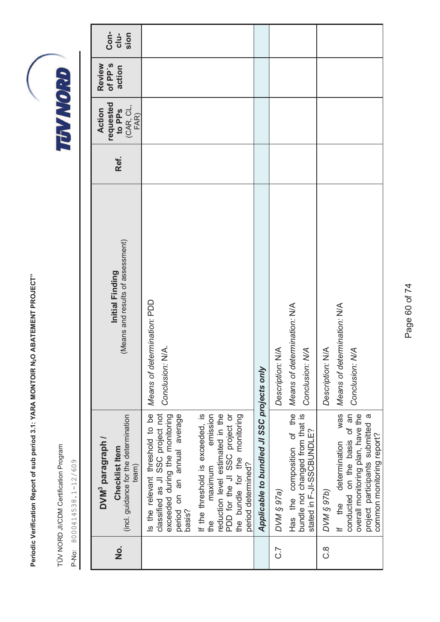TÜV NORD JI/CDM Certification Program TÜV NORD JI/CDM Certification Program

P-No: 8000414538.1-12/609 P-No: 8000414538.1-12/609

| o<br>Z | (incl. guidance for the determination<br>DVM <sup>3</sup> paragraph /<br>Checklist Item<br>team)                                                                                           | (Means and results of assessment)<br>Initial Finding               | Ref. | requested<br>to PPS<br>(CAR, CL,<br>Action | of PP's<br>Review<br>action | Con-<br>sion<br>$clu-$ |
|--------|--------------------------------------------------------------------------------------------------------------------------------------------------------------------------------------------|--------------------------------------------------------------------|------|--------------------------------------------|-----------------------------|------------------------|
|        | Is the relevant threshold to be<br>classified as JI SSC project not<br>exceeded during the monitoring<br>period on an annual average<br>basis?                                             | Means of determination: PDD<br>Conclusion: N/A.                    |      | FAR)                                       |                             |                        |
|        | If the threshold is exceeded, is<br>reduction level estimated in the<br>emission<br>PDD for the JI SSC project or<br>the bundle for the monitoring<br>period determined?<br>maximum<br>the |                                                                    |      |                                            |                             |                        |
|        | Applicable to bundled JI SSC projects only                                                                                                                                                 |                                                                    |      |                                            |                             |                        |
| ر<br>ن | Has the composition of the<br>bundle not changed from that is<br>stated in F-JI-SSCBUNDLE?<br>DVM § 97a)                                                                                   | Means of determination: N/A<br>Description: N/A<br>Conclusion: N/A |      |                                            |                             |                        |
| .<br>ပ | DVM § 97b)                                                                                                                                                                                 | Description: N/A                                                   |      |                                            |                             |                        |
|        | was<br>conducted on the basis of an<br>overall monitoring plan, have the<br>project participants submitted a<br>common monitoring report?<br>determination<br>If the                       | Means of determination: N/A<br>Conclusion: N/A                     |      |                                            |                             |                        |

Page 60 of 74 Page 60 of 74

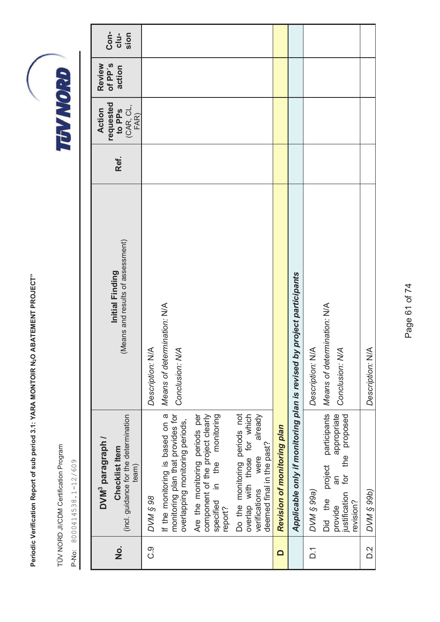|                   | Periodic Verification Report of sub period 3.1: YARA MONTOIR N <sub>2</sub> O                                                  | ABATEMENT PROJECT"                                                    |      |                                                     |                             |                        |
|-------------------|--------------------------------------------------------------------------------------------------------------------------------|-----------------------------------------------------------------------|------|-----------------------------------------------------|-----------------------------|------------------------|
| p-No:             | TÜV NORD JI/CDM Certification Program<br>8000414538.1-12/609                                                                   |                                                                       |      | TUWORD                                              |                             |                        |
|                   |                                                                                                                                |                                                                       |      |                                                     |                             |                        |
| $\frac{1}{2}$     | (incl. guidance for the determination<br>DVM <sup>3</sup> paragraph /<br>Checklist Item<br>team)                               | (Means and results of assessment)<br>Initial Finding                  | Ref. | requested<br>to PPs<br>$(AR, CL,$<br>Action<br>FAR) | of PP's<br>Review<br>action | Con-<br>$clu-$<br>sion |
| ပ္ပ               | <b>S6 8 M/Q</b>                                                                                                                | Description: N/A                                                      |      |                                                     |                             |                        |
|                   | monitoring plan that provides for<br>If the monitoring is based on a<br>overlapping monitoring periods,                        | Means of determination: N/A<br>Conclusion: N/A                        |      |                                                     |                             |                        |
|                   | Are the monitoring periods per<br>component of the project clearly<br>monitoring<br>in the<br>specified<br>report?             |                                                                       |      |                                                     |                             |                        |
|                   | Do the monitoring periods not<br>overlap with those for which<br>already<br>deemed final in the past?<br>were<br>verifications |                                                                       |      |                                                     |                             |                        |
| $\blacksquare$    | Revision of monitoring plan                                                                                                    |                                                                       |      |                                                     |                             |                        |
|                   |                                                                                                                                | Applicable only if monitoring plan is revised by project participants |      |                                                     |                             |                        |
| $\overline{D}$ .  | DVM § 99a)                                                                                                                     | Description: N/A                                                      |      |                                                     |                             |                        |
|                   | participants<br>appropriate<br>proposed<br>the<br>project<br>ίğι<br>Μ<br>justification<br>Did the<br>revision?<br>provide      | Means of determination: N/A<br>Conclusion: N/A                        |      |                                                     |                             |                        |
| $\overline{D}$ .2 | <b>OVM § 99b)</b>                                                                                                              | Description: N/A                                                      |      |                                                     |                             |                        |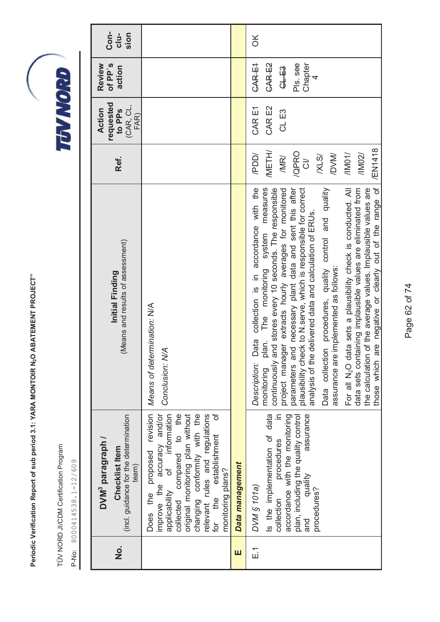TÜV NORD JI/CDM Certification Program TÜV NORD JI/CDM Certification Program

P-No: 8000414538.1-12/609 P-No: 8000414538.1-12/609

| o<br>Z      | (incl. guidance for the determination<br>DVM <sup>3</sup> paragraph /<br>Checklist Item<br>team)                                                                                                                                                                                 | (Means and results of assessment)<br>Initial Finding                                                                                                                                                                                                                                                                                                                                                                                                                                                                                                                                                                                                                                                                                                                                                                | Ref.                                                                                                              | requested<br>(CAR, CL,<br>Action<br>to PPs<br>FAR) | of PP's<br>Review<br>action                          | Con-<br>sion<br>$clu-$ |
|-------------|----------------------------------------------------------------------------------------------------------------------------------------------------------------------------------------------------------------------------------------------------------------------------------|---------------------------------------------------------------------------------------------------------------------------------------------------------------------------------------------------------------------------------------------------------------------------------------------------------------------------------------------------------------------------------------------------------------------------------------------------------------------------------------------------------------------------------------------------------------------------------------------------------------------------------------------------------------------------------------------------------------------------------------------------------------------------------------------------------------------|-------------------------------------------------------------------------------------------------------------------|----------------------------------------------------|------------------------------------------------------|------------------------|
|             | Does the proposed revision<br>improve the accuracy and/or<br>applicability of information<br>compared to the<br>original monitoring plan without<br>changing conformity with the<br>relevant rules and regulations<br>for the establishment of<br>monitoring plans?<br>collected | Means of determination: N/A<br>Conclusion: N/A                                                                                                                                                                                                                                                                                                                                                                                                                                                                                                                                                                                                                                                                                                                                                                      |                                                                                                                   |                                                    |                                                      |                        |
| ш           | Data management                                                                                                                                                                                                                                                                  |                                                                                                                                                                                                                                                                                                                                                                                                                                                                                                                                                                                                                                                                                                                                                                                                                     |                                                                                                                   |                                                    |                                                      |                        |
| $\tilde{E}$ | Is the implementation of data<br>collection procedures in<br>accordance with the monitoring<br>assurance<br>plan, including the quality control<br>quality<br>DVM § 101a)<br>procedures?<br>and                                                                                  | are negative or clearly out of the range of<br>Data collection procedures, quality control and quality<br>For all N <sub>2</sub> O data sets a plausibility check is conducted. All<br>Data collection is in accordance with the<br>The monitoring system measures<br>continuously and stores every 10 seconds. The responsible<br>project manager extracts hourly averages for monitored<br>plausibility check to N.serve, which is responsible for correct<br>data sets containing implausible values are eliminated from<br>the calculation of the average values. Implausible values are<br>parameters and necessary plant data and sent this after<br>analysis of the delivered data and calculation of ERUs.<br>assurance are implemented as follows:<br>$J$ an.<br>those which<br>Description:<br>monitoring | /EN1418<br><b>IMETH/</b><br>/QPRO<br>/11002/<br><b>IDVM/</b><br>/PDD/<br>/IMD1/<br>XLS/<br>/MR/<br>$\overline{5}$ | CAR E2<br>CAR E1<br>CL E3                          | CAR E2<br>Pls. see<br>Chapter<br>CAR E1<br>GLEB<br>4 | $\frac{X}{0}$          |

Page 62 of 74 Page 62 of 74

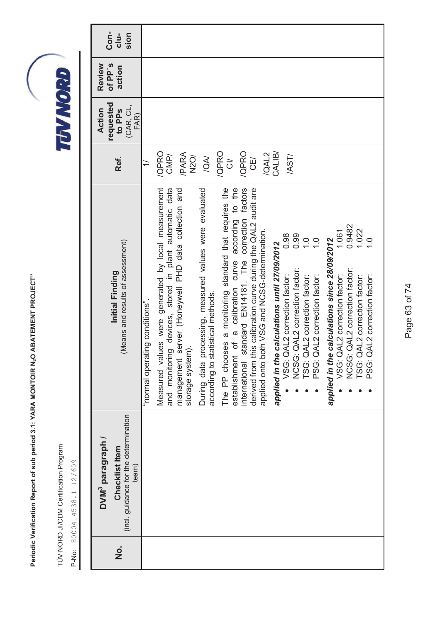TÜV NORD JI/CDM Certification Program TÜV NORD JI/CDM Certification Program

TEVNORD

P-No: 8000414538.1-12/609 P-No: 8000414538.1-12/609

| o<br>No | (incl. guidance for the determination<br>DVM <sup>3</sup> paragraph /<br>Checklist Item<br>team) | (Means and results of assessment)<br>Initial Finding                                                                                  | Ref.               | requested<br>(CAR, CL,<br><b>Action</b><br>to PP <sub>S</sub><br>FAR) | of PP's<br>Review<br>action | Con-<br>sion<br>$clu-$ |
|---------|--------------------------------------------------------------------------------------------------|---------------------------------------------------------------------------------------------------------------------------------------|--------------------|-----------------------------------------------------------------------|-----------------------------|------------------------|
|         |                                                                                                  | inormal operating conditions".                                                                                                        | $\overline{1}$     |                                                                       |                             |                        |
|         |                                                                                                  | Measured values were generated by local measurement<br>and monitoring devices, stored in plant automatic data                         | /QPRO<br>CMP/      |                                                                       |                             |                        |
|         |                                                                                                  | server (Honeywell PHD data collection and<br>storage system).<br>management                                                           | /PARA<br>N2O/      |                                                                       |                             |                        |
|         |                                                                                                  | processing, measured values were evaluated<br>During data processing, measu<br>according to statistical methods.                      | VON.               |                                                                       |                             |                        |
|         |                                                                                                  | The PP chooses a monitoring standard that requires the<br>of a calibration curve according to the<br>establishment                    | /QPRO<br>$\vec{c}$ |                                                                       |                             |                        |
|         |                                                                                                  | standard EN14181. The correction factors<br>this calibration curve during the QAL2 audit are<br>derived from t<br>international       | /QPRO<br>CE/       |                                                                       |                             |                        |
|         |                                                                                                  | applied onto both VSG and NCSG-determination.                                                                                         | /QAL2              |                                                                       |                             |                        |
|         |                                                                                                  | applied in the calculations until 27/09/2012                                                                                          | CALIB/             |                                                                       |                             |                        |
|         |                                                                                                  | 0.98<br>0.99<br>NCSG: QAL2 correction factor:<br>TSG: QAL2 correction factor:<br>QAL2 correction factor:<br>VSG: C                    | /AST/              |                                                                       |                             |                        |
|         |                                                                                                  | $\overline{1}$ .<br>$\frac{0}{1}$<br>QAL2 correction factor:<br>PSG: 0                                                                |                    |                                                                       |                             |                        |
|         |                                                                                                  | 0.9482<br>1.061<br>applied in the calculations since 28/09/2012<br>NCSG: QAL2 correction factor:<br>QAL2 correction factor:<br>VSG: 0 |                    |                                                                       |                             |                        |
|         |                                                                                                  | 1.022<br>$\frac{1}{2}$<br>QAL2 correction factor:<br>QAL2 correction factor:<br>TSG: C<br>PSG:                                        |                    |                                                                       |                             |                        |

Page 63 of 74 Page 63 of 74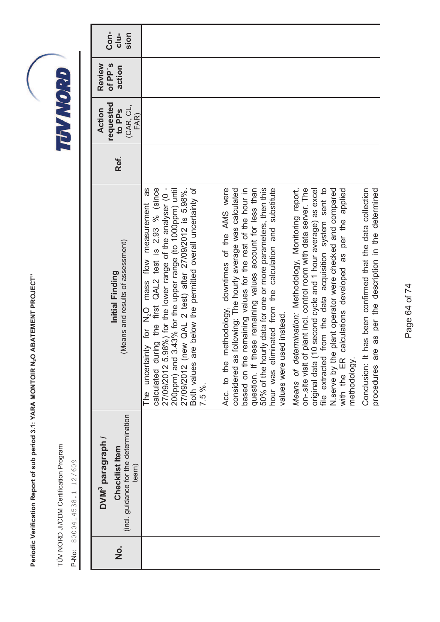TÜV NORD JI/CDM Certification Program TÜV NORD JI/CDM Certification Program

| $\dot{\mathbf{z}}$ | (incl. guidance for the determination<br>DVM <sup>3</sup> paragraph /<br>Checklist Item<br>team) | (Means and results of assessment)<br>Initial Finding                                                                                                                                                                                                                                                                                                                                                  | Ref. | requested<br>(CAR, CL,<br><b>Action</b><br>to PP <sub>S</sub><br>FAR) | of PP's<br>Review<br>action | Con-<br>$clu-$<br>sion |
|--------------------|--------------------------------------------------------------------------------------------------|-------------------------------------------------------------------------------------------------------------------------------------------------------------------------------------------------------------------------------------------------------------------------------------------------------------------------------------------------------------------------------------------------------|------|-----------------------------------------------------------------------|-----------------------------|------------------------|
|                    |                                                                                                  | 8g<br>27/09/2012 (new QAL 2 test) after 27/09/2012 is 5.98%.<br>Both values are below the permitted overall uncertainty of<br>calculated during the first QAL2 test is 2.93 % (since<br>27/09/2012 5.98%) for the lower range of the analyser (0 -<br>200ppm) and 3.43% for the upper range (to 1000ppm) until<br>measurement<br>mass flow<br>for N <sub>2</sub> O<br>The uncertainty<br>7.5%.        |      |                                                                       |                             |                        |
|                    |                                                                                                  | based on the remaining values for the rest of the hour in<br>question. If these remaining values account for less than<br>50% of the hourly data for one or more parameters, then this<br>methodology, downtimes of the AMS were<br>considered as following: The hourly average was calculated<br>hour was eliminated from the calculation and substitute<br>values were used instead.<br>Acc. to the |      |                                                                       |                             |                        |
|                    |                                                                                                  | plant incl. control room with data server. The<br>Means of determination: Methodology, Monitoring report,<br>from the data acquisition system sent to<br>original data (10 second cycle and 1 hour average) as excel<br>N serve by the plant operator were checked and compared<br>calculations developed as per the applied<br>on-.site visit of<br>file extracted<br>methodology.<br>with the ER    |      |                                                                       |                             |                        |
|                    |                                                                                                  | re as per the description in the determined<br>Conclusion: It has been confirmed that the data collection<br>procedures ar                                                                                                                                                                                                                                                                            |      |                                                                       |                             |                        |

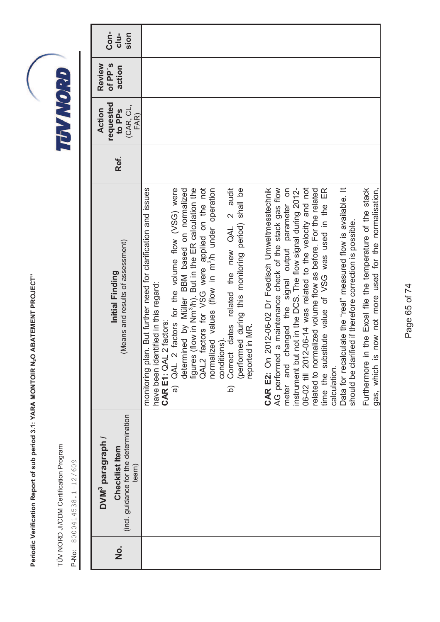TÜV NORD JI/CDM Certification Program TÜV NORD JI/CDM Certification Program

P-No: 8000414538.1-12/609 P-No: 8000414538.1-12/609

| Con-<br>$clu-$<br>sion                                                                                  |                                                                                                                                                                                                                                                                                                                                                                                                                                                                                                                                                                                        |                                                                                                                                                                                                                                                                                                                                                                                                                                                                                                                                                                                                                                                                                                          |
|---------------------------------------------------------------------------------------------------------|----------------------------------------------------------------------------------------------------------------------------------------------------------------------------------------------------------------------------------------------------------------------------------------------------------------------------------------------------------------------------------------------------------------------------------------------------------------------------------------------------------------------------------------------------------------------------------------|----------------------------------------------------------------------------------------------------------------------------------------------------------------------------------------------------------------------------------------------------------------------------------------------------------------------------------------------------------------------------------------------------------------------------------------------------------------------------------------------------------------------------------------------------------------------------------------------------------------------------------------------------------------------------------------------------------|
| of PP's<br>Review<br>action                                                                             |                                                                                                                                                                                                                                                                                                                                                                                                                                                                                                                                                                                        |                                                                                                                                                                                                                                                                                                                                                                                                                                                                                                                                                                                                                                                                                                          |
| requested<br>(CAR, CL,<br>Action<br>to PP <sub>S</sub><br>FAR)                                          |                                                                                                                                                                                                                                                                                                                                                                                                                                                                                                                                                                                        |                                                                                                                                                                                                                                                                                                                                                                                                                                                                                                                                                                                                                                                                                                          |
| Ref.                                                                                                    |                                                                                                                                                                                                                                                                                                                                                                                                                                                                                                                                                                                        |                                                                                                                                                                                                                                                                                                                                                                                                                                                                                                                                                                                                                                                                                                          |
| (Means and results of assessment)<br>Initial Finding                                                    | QAL2 factors for VSG were applied on the not<br>normalized values (flow in m <sup>3</sup> /h under operation<br>monitoring plan. But further need for clarification and issues<br>determined by Müller BBM based on normalized<br>figures (flow in Nm <sup>3</sup> /h). But in the ER calculation the<br>Correct dates related the new QAL 2 audit<br>a) QAL 2 factors for the volume flow (VSG) were<br>(performed during this monitoring period) shall be<br>have been identified in this regard:<br>CAR E1: QAL 2 factors:<br>reported in MR.<br>conditions).<br>$\widehat{\Omega}$ | now not more used for the normalisation,<br>changed the signal output parameter on<br>instrument but not in the DCS. The flow signal during 2012-<br>06-02 till 2012-06-14 was related to the velocity and not<br>Data for recalculate the "real" measured flow is available. It<br>Furthermore in the Excel file the temperature of the stack<br>1 a maintenance check of the stack gas flow<br>related to normalized volume flow as before. For the related<br>time the substitute value of VSG was used in the ER<br>2012-06-02 Dr Foedisch Umweltmesstechnik<br>should be clarified if therefore correction is possible.<br>AG performed<br>gas, which is<br>CAR E2: On<br>meter and<br>calculation. |
| (incl. guidance for the determination<br>DVM <sup>3</sup> paragraph /<br><b>Checklist Item</b><br>team) |                                                                                                                                                                                                                                                                                                                                                                                                                                                                                                                                                                                        |                                                                                                                                                                                                                                                                                                                                                                                                                                                                                                                                                                                                                                                                                                          |
| o<br>N                                                                                                  |                                                                                                                                                                                                                                                                                                                                                                                                                                                                                                                                                                                        |                                                                                                                                                                                                                                                                                                                                                                                                                                                                                                                                                                                                                                                                                                          |

Page 65 of 74 Page 65 of 74

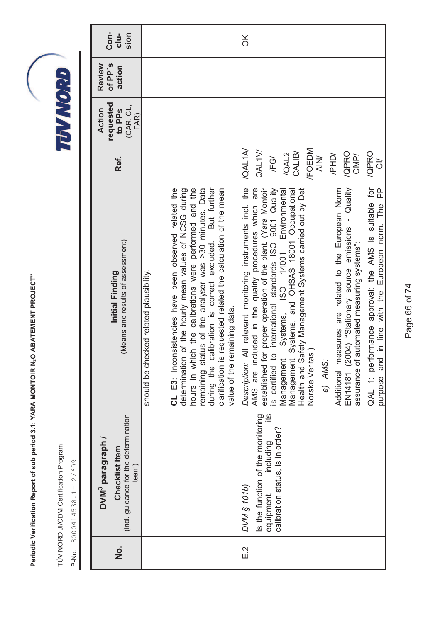TÜV NORD JI/CDM Certification Program TÜV NORD JI/CDM Certification Program

P-No: 8000414538.1-12/609 P-No: 8000414538.1-12/609

Page 66 of 74 Page 66 of 74

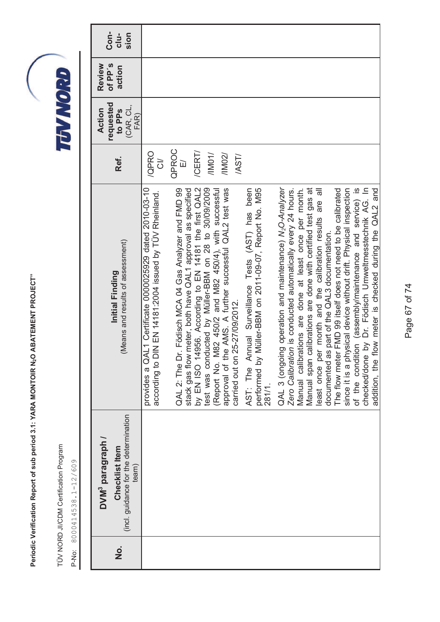TÜV NORD JI/CDM Certification Program TÜV NORD JI/CDM Certification Program

| <u>o</u><br>Z | (incl. guidance for the determination<br>DVM <sup>3</sup> paragraph /<br>Checklist Item<br>team) | (Means and results of assessment)<br>Initial Finding                                                                                              | Ref.                             | requested<br>(CAR, CL,<br><b>Action</b><br>to PP <sub>S</sub><br>FAR) | of PP's<br>Review<br>action | Con-<br>sion<br>$clu-$ |
|---------------|--------------------------------------------------------------------------------------------------|---------------------------------------------------------------------------------------------------------------------------------------------------|----------------------------------|-----------------------------------------------------------------------|-----------------------------|------------------------|
|               |                                                                                                  | Certificate 0000025929 dated 2010-03-10<br>according to DIN EN 14181:2004 issued by TUV Rheinland.<br>provides a QAL1                             | /QPRO<br>$\overline{5}$          |                                                                       |                             |                        |
|               |                                                                                                  | QAL 2: The Dr. Födisch MCA 04 Gas Analyzer and FMD 99<br>stack gas flow meter, both have QAL1 approval as specified                               | QPROC<br>$\overline{\mathbb{L}}$ |                                                                       |                             |                        |
|               |                                                                                                  | by EN ISO 14956. According to EN 14181 the first QAL2<br>test was conducted by Müller-BBM on 28 to 30/09/2009                                     | /CERT/<br>/1001/                 |                                                                       |                             |                        |
|               |                                                                                                  | (Report No. M82 450/2 and M82 450/4), with successful<br>approval of the AMS. A further successful QAL2 test was<br>carried out on 25-27/09/2012. | /11002/<br>/AST/                 |                                                                       |                             |                        |
|               |                                                                                                  | AST: The Annual Surveillance Tests (AST) has been<br>performed by Müller-BBM on 2011-09-07, Report No. M95<br>281/1.                              |                                  |                                                                       |                             |                        |
|               |                                                                                                  | QAL 3 (ongoing operation and maintenance) N <sub>2</sub> O-Analyzer<br>Zero Calibration is conducted automatically every 24 hours.                |                                  |                                                                       |                             |                        |
|               |                                                                                                  | calibrations are done with certified test gas at<br>Manual calibrations are done at least once per month.<br>Manual span                          |                                  |                                                                       |                             |                        |
|               |                                                                                                  | $\overline{\overline{a}}$<br>are<br>least once per month and the calibration results<br>documented as part of the QAL3 documentation.             |                                  |                                                                       |                             |                        |
|               |                                                                                                  | The flow meter FMD 99 itself does not need to be calibrated                                                                                       |                                  |                                                                       |                             |                        |
|               |                                                                                                  | since it is a physical device without drift. Physical inspection                                                                                  |                                  |                                                                       |                             |                        |
|               |                                                                                                  | of the condition (assembly/maintenance and service) is<br>checked/done by Dr. Födisch Umweltmesstechnik AG. In                                    |                                  |                                                                       |                             |                        |
|               |                                                                                                  | flow meter is checked during the QAL2 and<br>addition, the                                                                                        |                                  |                                                                       |                             |                        |

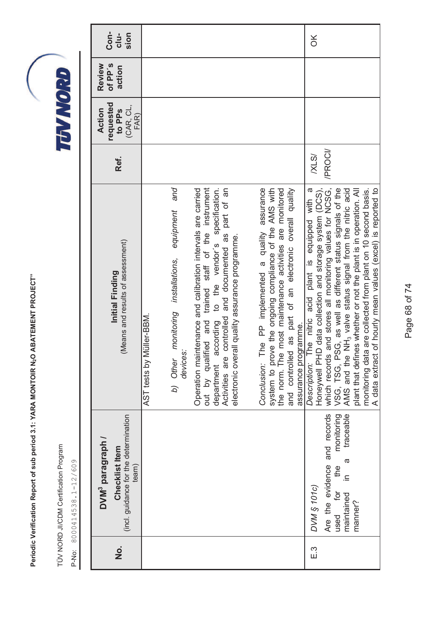TÜV NORD JI/CDM Certification Program TÜV NORD JI/CDM Certification Program

| <b>Con-</b><br>$clu-$<br>sion                                                                    |                                                                                                                                                                                                                                                                                                                                                        | $\frac{X}{0}$                                                                                                                                                                                                                                                                                                                                                                                                                                                                                                                                                                                                                                                                                                                                                                                                                                  |
|--------------------------------------------------------------------------------------------------|--------------------------------------------------------------------------------------------------------------------------------------------------------------------------------------------------------------------------------------------------------------------------------------------------------------------------------------------------------|------------------------------------------------------------------------------------------------------------------------------------------------------------------------------------------------------------------------------------------------------------------------------------------------------------------------------------------------------------------------------------------------------------------------------------------------------------------------------------------------------------------------------------------------------------------------------------------------------------------------------------------------------------------------------------------------------------------------------------------------------------------------------------------------------------------------------------------------|
| of PP's<br>Review<br>action                                                                      |                                                                                                                                                                                                                                                                                                                                                        |                                                                                                                                                                                                                                                                                                                                                                                                                                                                                                                                                                                                                                                                                                                                                                                                                                                |
| requested<br>(CAR, CL,<br>Action<br>to PP <sub>S</sub><br>FAR)                                   |                                                                                                                                                                                                                                                                                                                                                        |                                                                                                                                                                                                                                                                                                                                                                                                                                                                                                                                                                                                                                                                                                                                                                                                                                                |
| Ref.                                                                                             |                                                                                                                                                                                                                                                                                                                                                        | /PROCI/<br>XLSI                                                                                                                                                                                                                                                                                                                                                                                                                                                                                                                                                                                                                                                                                                                                                                                                                                |
| (Means and results of assessment)<br>Initial Finding                                             | equipment and<br>Operation maintenance and calibration intervals are carried<br>trained staff of the instrument<br>part of an<br>to the vendor's specification.<br>controlled and documented as<br>monitoring installations,<br>Müller-BBM<br>out by qualified and<br>according<br>devices<br>b) Other<br>Activities are<br>AST tests by<br>department | AMS and the NH <sub>3</sub> valve status signal from the nitric acid<br>system to prove the ongoing compliance of the AMS with<br>the norm. The most maintenance activities are monitored<br>and controlled as part of an electronic overall quality<br>Honeywell PHD data collection and storage system (DCS),<br>VSG, TSG, PSG, as well as different status signals of the<br>plant that defines whether or not the plant is in operation. All<br>A data extract of hourly mean values (excel) is reported to<br>The PP implemented a quality assurance<br>monitoring data are collected from plant on 10 second basis.<br>a<br>which records and stores all monitoring values for NCSG,<br>The nitric acid plant is equipped with<br>electronic overall quality assurance programme.<br>assurance programme.<br>Description:<br>Conclusion: |
| (incl. guidance for the determination<br>DVM <sup>3</sup> paragraph /<br>Checklist Item<br>team) |                                                                                                                                                                                                                                                                                                                                                        | Are the evidence and records<br>traceable<br>monitoring<br>ā<br>the<br>$\equiv$<br>DVM § 101c)<br>used for<br>maintained<br>manner?                                                                                                                                                                                                                                                                                                                                                                                                                                                                                                                                                                                                                                                                                                            |
| <u>o</u><br>Z                                                                                    |                                                                                                                                                                                                                                                                                                                                                        | Ξ.                                                                                                                                                                                                                                                                                                                                                                                                                                                                                                                                                                                                                                                                                                                                                                                                                                             |

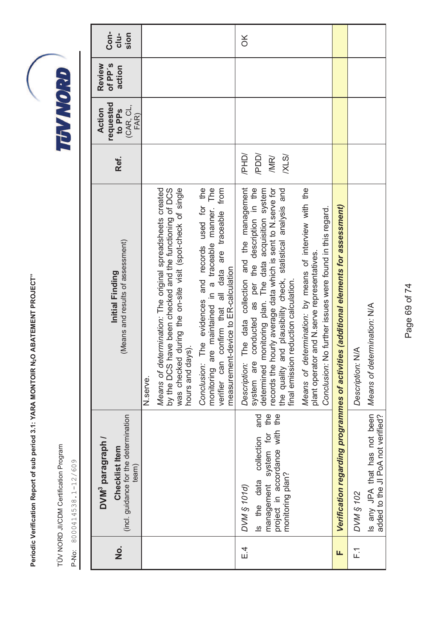TÜV NORD JI/CDM Certification Program TÜV NORD JI/CDM Certification Program

P-No: 8000414538.1-12/609 P-No: 8000414538.1-12/609

| o<br>Z    | (incl. guidance for the determination<br>DVM <sup>3</sup> paragraph /<br><b>Checklist Item</b><br>team)                                  | (Means and results of assessment)<br>Initial Finding                                                                                                                                                                                                                                                                                                | Ref.                          | requested<br>(CAR, CL,<br>Action<br>to PP <sub>S</sub><br>FAR) | of PP's<br>Review<br>action | Con-<br>$clu-$<br>sion |
|-----------|------------------------------------------------------------------------------------------------------------------------------------------|-----------------------------------------------------------------------------------------------------------------------------------------------------------------------------------------------------------------------------------------------------------------------------------------------------------------------------------------------------|-------------------------------|----------------------------------------------------------------|-----------------------------|------------------------|
|           |                                                                                                                                          | N.serve.                                                                                                                                                                                                                                                                                                                                            |                               |                                                                |                             |                        |
|           |                                                                                                                                          | was checked during the on-site visit (spot-check of single<br>Means of determination: The original spreadsheets created<br>by the DCS have been checked and the functioning of DCS<br>hours and days).                                                                                                                                              |                               |                                                                |                             |                        |
|           |                                                                                                                                          | are maintained in a traceable manner. The<br>The evidences and records used for the<br>from<br>confirm that all data are traceable<br>measurement-device to ER-calculation<br>verifier can<br>Conclusion:<br>monitoring                                                                                                                             |                               |                                                                |                             |                        |
| $\bar{4}$ | the<br>the<br>and<br>project in accordance with<br>management system for<br>collection<br>monitoring plan?<br>Is the data<br>DVM § 1010) | The data collection and the management<br>conducted as per the description in the<br>records the hourly average data which is sent to N.serve for<br>the quality and plausibility check, statistical analysis and<br>determined monitoring plan. The data acquisition system<br>final emission reduction calculation.<br>system are<br>Description: | /PHD/<br>/PDD/<br>/MR/<br>XLS |                                                                |                             | $\frac{1}{2}$          |
|           |                                                                                                                                          | Means of determination: by means of interview with the<br>lo further issues were found in this regard.<br>plant operator and N.serve representatives.<br>Conclusion: N                                                                                                                                                                              |                               |                                                                |                             |                        |
| щ         |                                                                                                                                          | Verification regarding programmes of activities (additional elements for assessment)                                                                                                                                                                                                                                                                |                               |                                                                |                             |                        |
| $F_{1}$   | DVM § 102                                                                                                                                | Description: N/A                                                                                                                                                                                                                                                                                                                                    |                               |                                                                |                             |                        |
|           | Is any JPA that has not been<br>added to the JI PoA not verified?                                                                        | Means of determination: N/A                                                                                                                                                                                                                                                                                                                         |                               |                                                                |                             |                        |

Page 69 of 74 Page 69 of 74

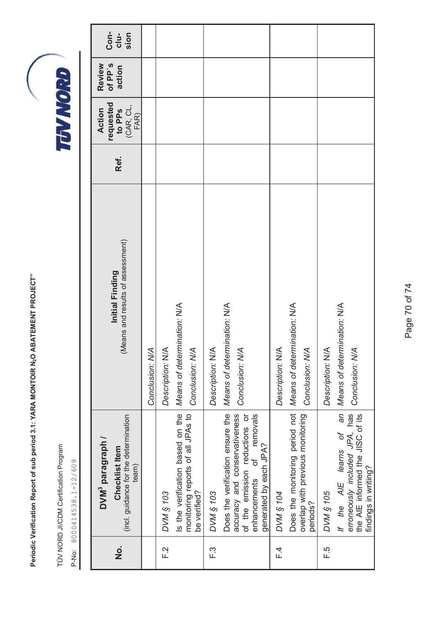TÜV NORD JI/CDM Certification Program TÜV NORD JI/CDM Certification Program

| <u>o</u><br>Z | (incl. guidance for the determination<br>DVM <sup>3</sup> paragraph /<br>Checklist Item<br>team)                                                         | (Means and results of assessment)<br>Initial Finding | Ref. | requested<br>(CAR, CL,<br>Action<br>to PP <sub>S</sub><br>FAR) | of PP's<br>Review<br>action | Con-<br>$clu-$<br>sion |
|---------------|----------------------------------------------------------------------------------------------------------------------------------------------------------|------------------------------------------------------|------|----------------------------------------------------------------|-----------------------------|------------------------|
|               |                                                                                                                                                          | Conclusion: N/A                                      |      |                                                                |                             |                        |
| F.2           | <b>DVM § 103</b>                                                                                                                                         | Description: N/A                                     |      |                                                                |                             |                        |
|               | Is the verification based on the<br>monitoring reports of all JPAs to<br>be verified?                                                                    | Means of determination: N/A<br>Conclusion: N/A       |      |                                                                |                             |                        |
| F.3           | <b>DVM § 103</b>                                                                                                                                         | Description: N/A                                     |      |                                                                |                             |                        |
|               | Does the verification ensure the<br>accuracy and conservativeness<br>of the emission reductions or<br>enhancements of removals<br>generated by each JPA? | Means of determination: N/A<br>Conclusion: N/A       |      |                                                                |                             |                        |
| F.            | DVM § 104                                                                                                                                                | Description: N/A                                     |      |                                                                |                             |                        |
|               | Does the monitoring period not<br>overlap with previous monitoring<br>periods?                                                                           | Means of determination: N/A<br>Conclusion: N/A       |      |                                                                |                             |                        |
| F.5           | <b>DVM § 105</b>                                                                                                                                         | Description: N/A                                     |      |                                                                |                             |                        |
|               | du<br>erroneously included JPA, has<br>the AIE informed the JISC of its<br>$\sigma$<br>If the AIE learns<br>findings in writing?                         | Means of determination: N/A<br>Conclusion: N/A       |      |                                                                |                             |                        |

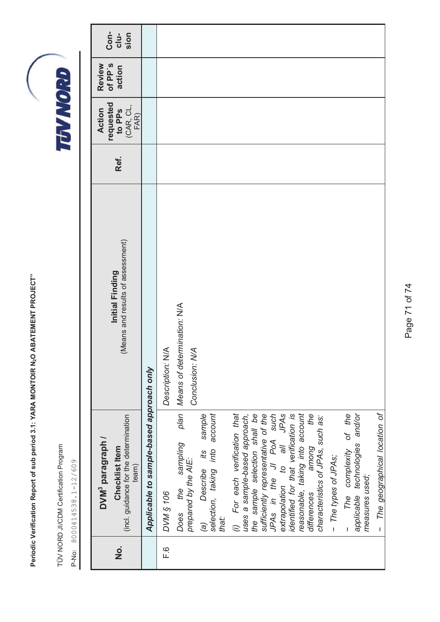TÜV NORD JI/CDM Certification Program TÜV NORD JI/CDM Certification Program

| $\dot{\mathbf{z}}$ | (incl. guidance for the determination<br>DVM <sup>3</sup> paragraph /<br>Checklist Item<br>team)                                                              | (Means and results of assessment)<br>Initial Finding  | Ref. | requested<br>to PPS<br>(CAR, CL,<br>Action<br>FAR) | of PP's<br>Review<br>action | Con-<br>clu-<br>sion |
|--------------------|---------------------------------------------------------------------------------------------------------------------------------------------------------------|-------------------------------------------------------|------|----------------------------------------------------|-----------------------------|----------------------|
|                    | Applicable to sample-based approach only                                                                                                                      |                                                       |      |                                                    |                             |                      |
| $\overline{F}$ .   | <b>DVM § 106</b>                                                                                                                                              | Description: N/A                                      |      |                                                    |                             |                      |
|                    | sampling<br>prepared by the AIE:<br>the<br>Does                                                                                                               | plan   Means of determination: N/A<br>Conclusion: N/A |      |                                                    |                             |                      |
|                    | account<br>sample<br>selection, taking into<br>its<br>Describe<br>that:<br>$\widehat{g}$                                                                      |                                                       |      |                                                    |                             |                      |
|                    | For each verification that<br>the sample selection shall be<br>sufficiently representative of the<br>uses a sample-based approach,                            |                                                       |      |                                                    |                             |                      |
|                    | the<br>JPAs in the JI PoA such<br>extrapolation to all JPAs<br>identified for that verification is<br>reasonable, taking into account<br>among<br>differences |                                                       |      |                                                    |                             |                      |
|                    | characteristics of JPAs, such as:<br>- The types of JPAs;                                                                                                     |                                                       |      |                                                    |                             |                      |
|                    | The complexity of the<br>applicable technologies and/or<br>measures used;                                                                                     |                                                       |      |                                                    |                             |                      |
|                    | The geographical location of<br>$\overline{1}$                                                                                                                |                                                       |      |                                                    |                             |                      |

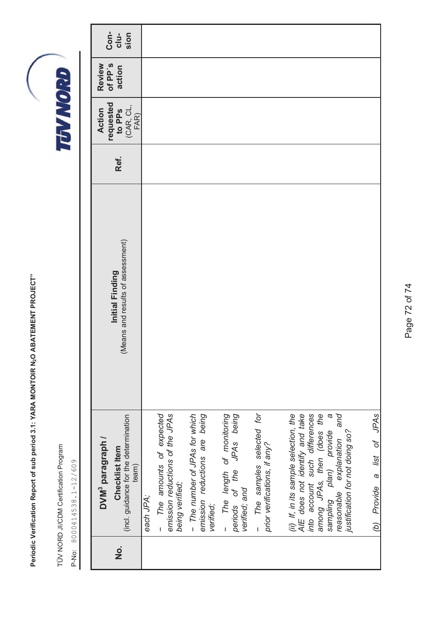TÜV NORD JI/CDM Certification Program TÜV NORD JI/CDM Certification Program

| Initial Finding<br>DVM <sup>3</sup> paragraph /<br>Checklist Item                                                                      |                                  |      | requested<br><b>Action</b>  | of PP's<br>Review |                      |
|----------------------------------------------------------------------------------------------------------------------------------------|----------------------------------|------|-----------------------------|-------------------|----------------------|
| (incl. guidance for the determination<br>team)                                                                                         | Means and results of assessment) | Ref. | to PPS<br>(CAR, CL,<br>FAR) | action            | Con-<br>clu-<br>sion |
| each JPA;                                                                                                                              |                                  |      |                             |                   |                      |
| The amounts of expected<br>emission reductions of the JPAs<br>being verified;<br>$\overline{1}$                                        |                                  |      |                             |                   |                      |
| - The number of JPAs for which<br>emission reductions are being<br>verified;                                                           |                                  |      |                             |                   |                      |
| - The length of monitoring<br>periods of the JPAs being<br>verified; and                                                               |                                  |      |                             |                   |                      |
| The samples selected for<br>prior verifications, if any?                                                                               |                                  |      |                             |                   |                      |
| AIE does not identify and take<br>into account such differences<br>(ii) If, in its sample selection, the                               |                                  |      |                             |                   |                      |
| among JPAs, then (does the<br>pue<br>$\omega$<br>sampling plan) provide<br>reasonable explanation a<br>justification for not doing so? |                                  |      |                             |                   |                      |
| (b) Provide a list of JPAs                                                                                                             |                                  |      |                             |                   |                      |

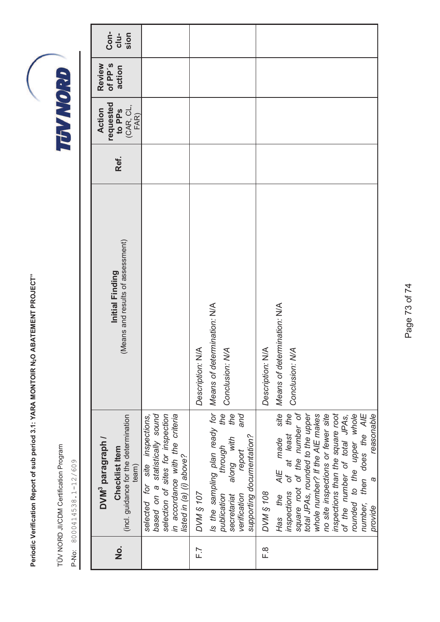Periodic Verification Report of sub period 3.1: YARA MONTOIR N2O ABATEMENT PROJECT" **Periodic Verification Report of sub period 3.1: YARA MONTOIR N O 2 ABATEMENT PROJECT"**

TÜV NORD JI/CDM Certification Program TÜV NORD JI/CDM Certification Program

P-No: 8000414538.1-12/609 P-No: 8000414538.1-12/609

|         | DVM <sup>3</sup> paragraph /                                                                                                                                                                                                                                                                                                                                              |                                                      |      | requested<br>Action                                                                                      | of PP's<br>Review |                      |
|---------|---------------------------------------------------------------------------------------------------------------------------------------------------------------------------------------------------------------------------------------------------------------------------------------------------------------------------------------------------------------------------|------------------------------------------------------|------|----------------------------------------------------------------------------------------------------------|-------------------|----------------------|
| o.<br>Z | (incl. guidance for the determination<br>Checklist Item<br>team)                                                                                                                                                                                                                                                                                                          | (Means and results of assessment)<br>Initial Finding | Ref. | $\begin{array}{c} \textbf{to } \textbf{PPs} \\ (\textbf{CAR}, \textbf{CL}, \\ \textbf{FAR}) \end{array}$ | action            | Con-<br>clu-<br>sion |
|         | based on a statistically sound<br>selection of sites for inspection<br>in accordance with the criteria<br>site inspections,<br>listed in (a) (i) above?<br>selected for                                                                                                                                                                                                   |                                                      |      |                                                                                                          |                   |                      |
| F.7     | DVM § 107                                                                                                                                                                                                                                                                                                                                                                 | Description: N/A                                     |      |                                                                                                          |                   |                      |
|         | Is the sampling plan ready for Means of determination: NIA<br>the<br>the<br>and<br>supporting documentation?<br>along with<br>through<br>report<br>publication<br>verification<br>secretariat                                                                                                                                                                             | Conclusion: N/A                                      |      |                                                                                                          |                   |                      |
| ©.<br>⊥ | <b>DVM § 108</b>                                                                                                                                                                                                                                                                                                                                                          | Description: N/A                                     |      |                                                                                                          |                   |                      |
|         | AIE made site<br>of at least the<br>square root of the number of<br>total JPAs, rounded to the upper<br>inspections than the square root<br>number, then does the AIE<br>whole number? If the AIE makes<br>no site inspections or fewer site<br>rounded to the upper whole<br>reasonable<br>of the number of total JPAs,<br>$\omega$<br>inspections<br>Has the<br>provide | Means of determination: N/A<br>Conclusion: N/A       |      |                                                                                                          |                   |                      |